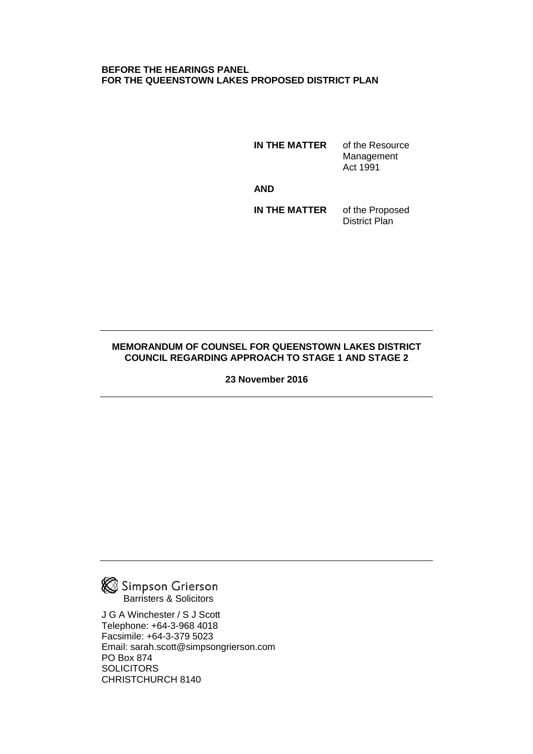#### **BEFORE THE HEARINGS PANEL FOR THE QUEENSTOWN LAKES PROPOSED DISTRICT PLAN**

**IN THE MATTER** of the Resource Management Act 1991

 *AND* AND

**IN THE MATTER** of the Proposed District Plan

#### **MEMORANDUM OF COUNSEL FOR QUEENSTOWN LAKES DISTRICT COUNCIL REGARDING APPROACH TO STAGE 1 AND STAGE 2**

**23 November 2016** 



J G A Winchester / S J Scott Telephone: +64-3-968 4018 Facsimile: +64-3-379 5023 Email: sarah.scott@simpsongrierson.com PO Box 874 **SOLICITORS** CHRISTCHURCH 8140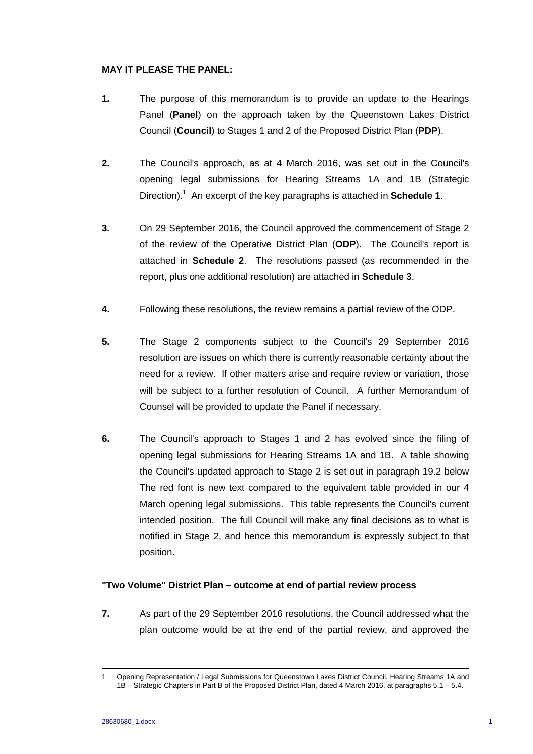#### **MAY IT PLEASE THE PANEL:**

- **1.** The purpose of this memorandum is to provide an update to the Hearings Panel (**Panel**) on the approach taken by the Queenstown Lakes District Council (**Council**) to Stages 1 and 2 of the Proposed District Plan (**PDP**).
- **2.** The Council's approach, as at 4 March 2016, was set out in the Council's opening legal submissions for Hearing Streams 1A and 1B (Strategic Direction).1 An excerpt of the key paragraphs is attached in **Schedule 1**.
- **3.** On 29 September 2016, the Council approved the commencement of Stage 2 of the review of the Operative District Plan (**ODP**). The Council's report is attached in **Schedule 2**. The resolutions passed (as recommended in the report, plus one additional resolution) are attached in **Schedule 3**.
- **4.** Following these resolutions, the review remains a partial review of the ODP.
- **5.** The Stage 2 components subject to the Council's 29 September 2016 resolution are issues on which there is currently reasonable certainty about the need for a review. If other matters arise and require review or variation, those will be subject to a further resolution of Council. A further Memorandum of Counsel will be provided to update the Panel if necessary.
- **6.** The Council's approach to Stages 1 and 2 has evolved since the filing of opening legal submissions for Hearing Streams 1A and 1B. A table showing the Council's updated approach to Stage 2 is set out in paragraph 19.2 below The red font is new text compared to the equivalent table provided in our 4 March opening legal submissions. This table represents the Council's current intended position. The full Council will make any final decisions as to what is notified in Stage 2, and hence this memorandum is expressly subject to that position.

#### **"Two Volume" District Plan – outcome at end of partial review process**

**7.** As part of the 29 September 2016 resolutions, the Council addressed what the plan outcome would be at the end of the partial review, and approved the

 <sup>1</sup> Opening Representation / Legal Submissions for Queenstown Lakes District Council, Hearing Streams 1A and 1B – Strategic Chapters in Part B of the Proposed District Plan, dated 4 March 2016, at paragraphs 5.1 – 5.4.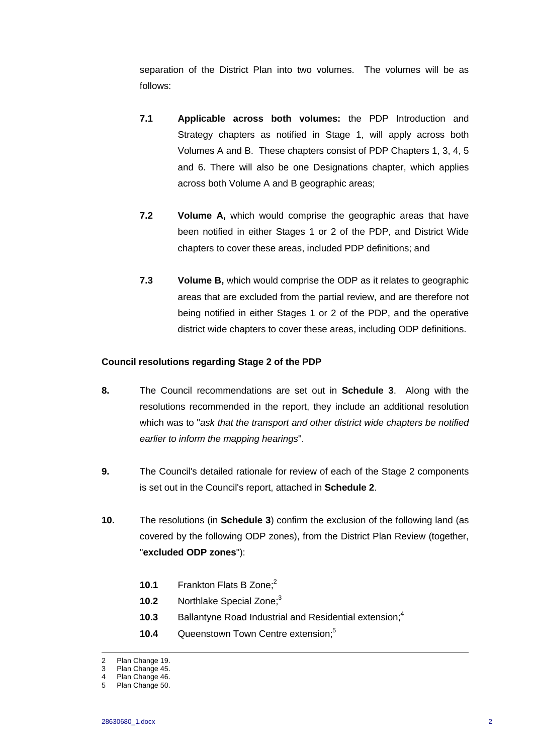separation of the District Plan into two volumes. The volumes will be as follows:

- **7.1 Applicable across both volumes:** the PDP Introduction and Strategy chapters as notified in Stage 1, will apply across both Volumes A and B. These chapters consist of PDP Chapters 1, 3, 4, 5 and 6. There will also be one Designations chapter, which applies across both Volume A and B geographic areas;
- **7.2 Volume A,** which would comprise the geographic areas that have been notified in either Stages 1 or 2 of the PDP, and District Wide chapters to cover these areas, included PDP definitions; and
- **7.3 Volume B,** which would comprise the ODP as it relates to geographic areas that are excluded from the partial review, and are therefore not being notified in either Stages 1 or 2 of the PDP, and the operative district wide chapters to cover these areas, including ODP definitions.

#### **Council resolutions regarding Stage 2 of the PDP**

- **8.** The Council recommendations are set out in **Schedule 3**. Along with the resolutions recommended in the report, they include an additional resolution which was to "*ask that the transport and other district wide chapters be notified earlier to inform the mapping hearings*".
- **9.** The Council's detailed rationale for review of each of the Stage 2 components is set out in the Council's report, attached in **Schedule 2**.
- **10.** The resolutions (in **Schedule 3**) confirm the exclusion of the following land (as covered by the following ODP zones), from the District Plan Review (together, "**excluded ODP zones**"):
	- **10.1** Frankton Flats B Zone:<sup>2</sup>
	- **10.2** Northlake Special Zone;<sup>3</sup>
	- **10.3** Ballantyne Road Industrial and Residential extension:<sup>4</sup>
	- **10.4** Queenstown Town Centre extension:<sup>5</sup>

 <sup>2</sup> Plan Change 19.

<sup>3</sup> Plan Change 45.

<sup>4</sup> Plan Change 46.

<sup>5</sup> Plan Change 50.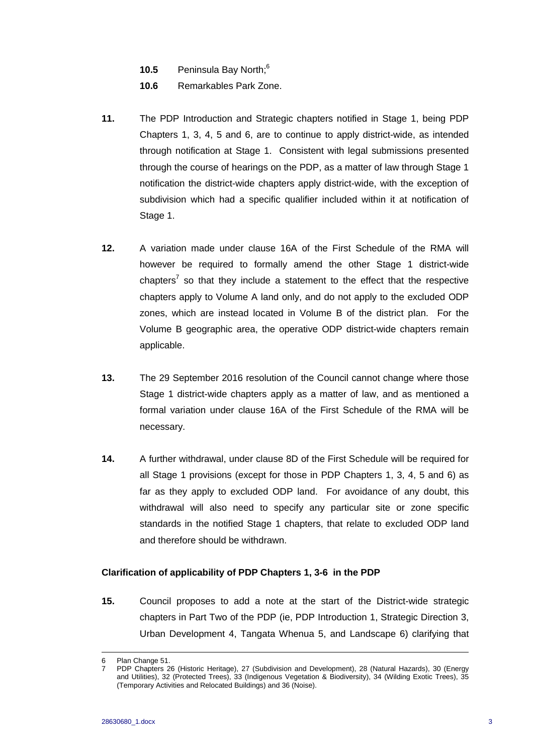- 10.5 **Peninsula Bay North**;<sup>6</sup>
- **10.6** Remarkables Park Zone.
- **11.** The PDP Introduction and Strategic chapters notified in Stage 1, being PDP Chapters 1, 3, 4, 5 and 6, are to continue to apply district-wide, as intended through notification at Stage 1. Consistent with legal submissions presented through the course of hearings on the PDP, as a matter of law through Stage 1 notification the district-wide chapters apply district-wide, with the exception of subdivision which had a specific qualifier included within it at notification of Stage 1.
- **12.** A variation made under clause 16A of the First Schedule of the RMA will however be required to formally amend the other Stage 1 district-wide chapters<sup>7</sup> so that they include a statement to the effect that the respective chapters apply to Volume A land only, and do not apply to the excluded ODP zones, which are instead located in Volume B of the district plan. For the Volume B geographic area, the operative ODP district-wide chapters remain applicable.
- **13.** The 29 September 2016 resolution of the Council cannot change where those Stage 1 district-wide chapters apply as a matter of law, and as mentioned a formal variation under clause 16A of the First Schedule of the RMA will be necessary.
- **14.** A further withdrawal, under clause 8D of the First Schedule will be required for all Stage 1 provisions (except for those in PDP Chapters 1, 3, 4, 5 and 6) as far as they apply to excluded ODP land. For avoidance of any doubt, this withdrawal will also need to specify any particular site or zone specific standards in the notified Stage 1 chapters, that relate to excluded ODP land and therefore should be withdrawn.

#### **Clarification of applicability of PDP Chapters 1, 3-6 in the PDP**

**15.** Council proposes to add a note at the start of the District-wide strategic chapters in Part Two of the PDP (ie, PDP Introduction 1, Strategic Direction 3, Urban Development 4, Tangata Whenua 5, and Landscape 6) clarifying that

 <sup>6</sup> Plan Change 51.

<sup>7</sup> PDP Chapters 26 (Historic Heritage), 27 (Subdivision and Development), 28 (Natural Hazards), 30 (Energy and Utilities), 32 (Protected Trees), 33 (Indigenous Vegetation & Biodiversity), 34 (Wilding Exotic Trees), 35 (Temporary Activities and Relocated Buildings) and 36 (Noise).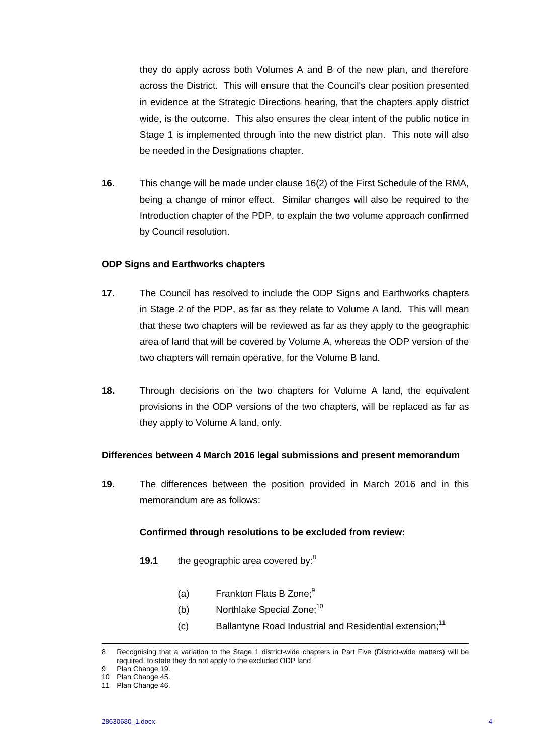they do apply across both Volumes A and B of the new plan, and therefore across the District. This will ensure that the Council's clear position presented in evidence at the Strategic Directions hearing, that the chapters apply district wide, is the outcome. This also ensures the clear intent of the public notice in Stage 1 is implemented through into the new district plan. This note will also be needed in the Designations chapter.

**16.** This change will be made under clause 16(2) of the First Schedule of the RMA, being a change of minor effect. Similar changes will also be required to the Introduction chapter of the PDP, to explain the two volume approach confirmed by Council resolution.

#### **ODP Signs and Earthworks chapters**

- **17.** The Council has resolved to include the ODP Signs and Earthworks chapters in Stage 2 of the PDP, as far as they relate to Volume A land. This will mean that these two chapters will be reviewed as far as they apply to the geographic area of land that will be covered by Volume A, whereas the ODP version of the two chapters will remain operative, for the Volume B land.
- **18.** Through decisions on the two chapters for Volume A land, the equivalent provisions in the ODP versions of the two chapters, will be replaced as far as they apply to Volume A land, only.

#### **Differences between 4 March 2016 legal submissions and present memorandum**

**19.** The differences between the position provided in March 2016 and in this memorandum are as follows:

#### **Confirmed through resolutions to be excluded from review:**

- **19.1 the geographic area covered by:**<sup>8</sup>
	- (a) Frankton Flats B Zone; $9^9$
	- (b) Northlake Special Zone; $10$
	- $(c)$  Ballantyne Road Industrial and Residential extension:<sup>11</sup>

 <sup>8</sup> Recognising that a variation to the Stage 1 district-wide chapters in Part Five (District-wide matters) will be required, to state they do not apply to the excluded ODP land

Plan Change 19.

<sup>10</sup> Plan Change 45.

<sup>11</sup> Plan Change 46.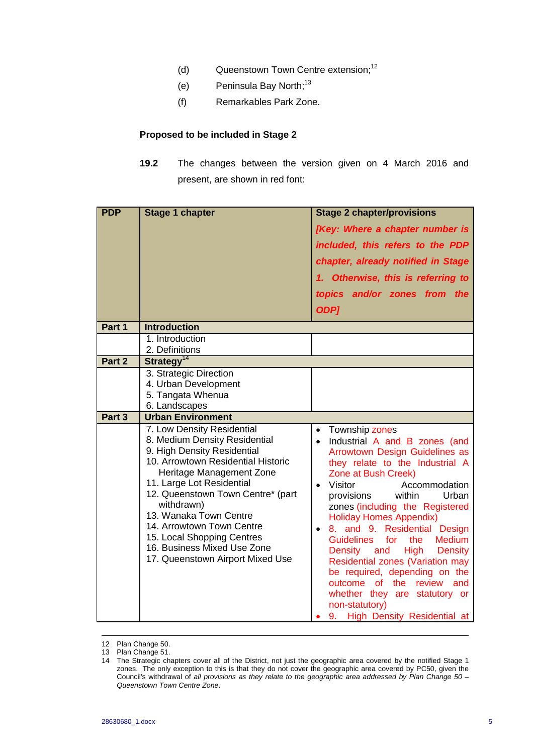- (d) Queenstown Town Centre extension;<sup>12</sup>
- (e) Peninsula Bay North;<sup>13</sup>
- (f) Remarkables Park Zone.

## **Proposed to be included in Stage 2**

**19.2** The changes between the version given on 4 March 2016 and present, are shown in red font:

| <b>PDP</b> | <b>Stage 1 chapter</b>                                                                                                                                                                                                                                                                                                                                                 | <b>Stage 2 chapter/provisions</b><br>[Key: Where a chapter number is<br>included, this refers to the PDP<br>chapter, already notified in Stage<br>1. Otherwise, this is referring to<br>topics and/or zones from the                                                                                                                                                                                                                                                                                                                                                                         |
|------------|------------------------------------------------------------------------------------------------------------------------------------------------------------------------------------------------------------------------------------------------------------------------------------------------------------------------------------------------------------------------|----------------------------------------------------------------------------------------------------------------------------------------------------------------------------------------------------------------------------------------------------------------------------------------------------------------------------------------------------------------------------------------------------------------------------------------------------------------------------------------------------------------------------------------------------------------------------------------------|
|            |                                                                                                                                                                                                                                                                                                                                                                        | <b>ODP]</b>                                                                                                                                                                                                                                                                                                                                                                                                                                                                                                                                                                                  |
| Part 1     | <b>Introduction</b>                                                                                                                                                                                                                                                                                                                                                    |                                                                                                                                                                                                                                                                                                                                                                                                                                                                                                                                                                                              |
|            | 1. Introduction                                                                                                                                                                                                                                                                                                                                                        |                                                                                                                                                                                                                                                                                                                                                                                                                                                                                                                                                                                              |
| Part 2     | 2. Definitions<br>Strategy <sup>14</sup>                                                                                                                                                                                                                                                                                                                               |                                                                                                                                                                                                                                                                                                                                                                                                                                                                                                                                                                                              |
|            | 3. Strategic Direction<br>4. Urban Development<br>5. Tangata Whenua<br>6. Landscapes                                                                                                                                                                                                                                                                                   |                                                                                                                                                                                                                                                                                                                                                                                                                                                                                                                                                                                              |
| Part 3     | <b>Urban Environment</b><br>7. Low Density Residential                                                                                                                                                                                                                                                                                                                 | Township zones<br>$\bullet$                                                                                                                                                                                                                                                                                                                                                                                                                                                                                                                                                                  |
|            | 8. Medium Density Residential<br>9. High Density Residential<br>10. Arrowtown Residential Historic<br>Heritage Management Zone<br>11. Large Lot Residential<br>12. Queenstown Town Centre* (part<br>withdrawn)<br>13. Wanaka Town Centre<br>14. Arrowtown Town Centre<br>15. Local Shopping Centres<br>16. Business Mixed Use Zone<br>17. Queenstown Airport Mixed Use | Industrial A and B zones (and<br>$\bullet$<br>Arrowtown Design Guidelines as<br>they relate to the Industrial A<br>Zone at Bush Creek)<br>Visitor<br>Accommodation<br>provisions<br>within<br>Urban<br>zones (including the Registered<br><b>Holiday Homes Appendix)</b><br>8. and 9. Residential Design<br><b>Medium</b><br><b>Guidelines</b><br>the<br>for<br>High<br>Density and<br><b>Density</b><br>Residential zones (Variation may<br>be required, depending on the<br>outcome of the review and<br>whether they are statutory or<br>non-statutory)<br>9. High Density Residential at |

<sup>12</sup> Plan Change 50.

<sup>13</sup> Plan Change 51.

<sup>14</sup> The Strategic chapters cover all of the District, not just the geographic area covered by the notified Stage 1 zones. The only exception to this is that they do not cover the geographic area covered by PC50, given the Council's withdrawal of *all provisions as they relate to the geographic area addressed by Plan Change 50 – Queenstown Town Centre Zone*.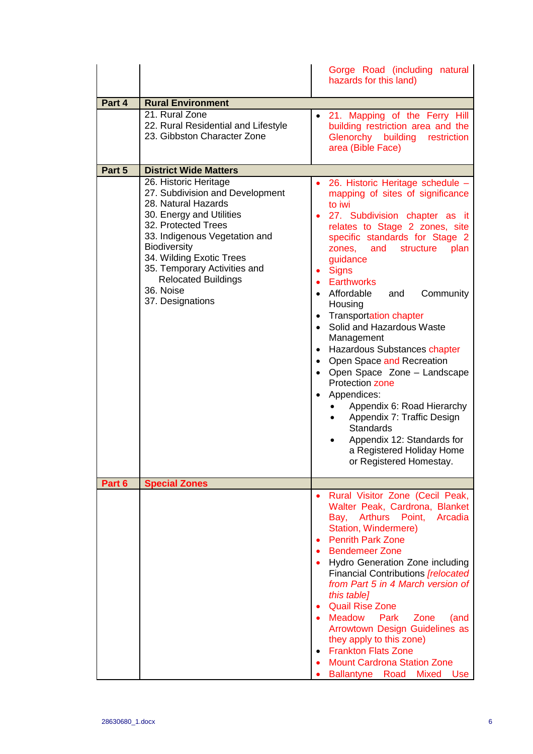|        |                                                                                                                                                                                                                                                                                                                       | Gorge Road (including natural<br>hazards for this land)                                                                                                                                                                                                                                                                                                                                                                                                                                                                                                                                                                                                                                                                                |
|--------|-----------------------------------------------------------------------------------------------------------------------------------------------------------------------------------------------------------------------------------------------------------------------------------------------------------------------|----------------------------------------------------------------------------------------------------------------------------------------------------------------------------------------------------------------------------------------------------------------------------------------------------------------------------------------------------------------------------------------------------------------------------------------------------------------------------------------------------------------------------------------------------------------------------------------------------------------------------------------------------------------------------------------------------------------------------------------|
| Part 4 | <b>Rural Environment</b>                                                                                                                                                                                                                                                                                              |                                                                                                                                                                                                                                                                                                                                                                                                                                                                                                                                                                                                                                                                                                                                        |
|        | 21. Rural Zone<br>22. Rural Residential and Lifestyle<br>23. Gibbston Character Zone                                                                                                                                                                                                                                  | 21. Mapping of the Ferry Hill<br>building restriction area and the<br>Glenorchy<br>building<br>restriction<br>area (Bible Face)                                                                                                                                                                                                                                                                                                                                                                                                                                                                                                                                                                                                        |
| Part 5 | <b>District Wide Matters</b>                                                                                                                                                                                                                                                                                          |                                                                                                                                                                                                                                                                                                                                                                                                                                                                                                                                                                                                                                                                                                                                        |
|        | 26. Historic Heritage<br>27. Subdivision and Development<br>28. Natural Hazards<br>30. Energy and Utilities<br>32. Protected Trees<br>33. Indigenous Vegetation and<br><b>Biodiversity</b><br>34. Wilding Exotic Trees<br>35. Temporary Activities and<br><b>Relocated Buildings</b><br>36. Noise<br>37. Designations | 26. Historic Heritage schedule -<br>mapping of sites of significance<br>to iwi<br>27. Subdivision chapter as it<br>relates to Stage 2 zones, site<br>specific standards for Stage 2<br>zones, and structure<br>plan<br>guidance<br><b>Signs</b><br><b>Earthworks</b><br>Affordable<br>Community<br>and<br>Housing<br><b>Transportation chapter</b><br>Solid and Hazardous Waste<br>$\bullet$<br>Management<br>Hazardous Substances chapter<br>$\bullet$<br>• Open Space and Recreation<br>• Open Space Zone - Landscape<br><b>Protection zone</b><br>Appendices:<br>Appendix 6: Road Hierarchy<br>Appendix 7: Traffic Design<br><b>Standards</b><br>Appendix 12: Standards for<br>a Registered Holiday Home<br>or Registered Homestay. |
| Part 6 | <b>Special Zones</b>                                                                                                                                                                                                                                                                                                  |                                                                                                                                                                                                                                                                                                                                                                                                                                                                                                                                                                                                                                                                                                                                        |
|        |                                                                                                                                                                                                                                                                                                                       | Rural Visitor Zone (Cecil Peak,<br>$\bullet$<br>Walter Peak, Cardrona, Blanket<br>Bay, Arthurs Point, Arcadia<br>Station, Windermere)<br><b>Penrith Park Zone</b><br><b>Bendemeer Zone</b><br>Hydro Generation Zone including<br><b>Financial Contributions [relocated</b><br>from Part 5 in 4 March version of<br>this table]<br><b>Quail Rise Zone</b><br>Meadow Park<br>Zone<br>(and<br>Arrowtown Design Guidelines as<br>they apply to this zone)<br>• Frankton Flats Zone<br><b>Mount Cardrona Station Zone</b><br>Ballantyne Road Mixed Use                                                                                                                                                                                      |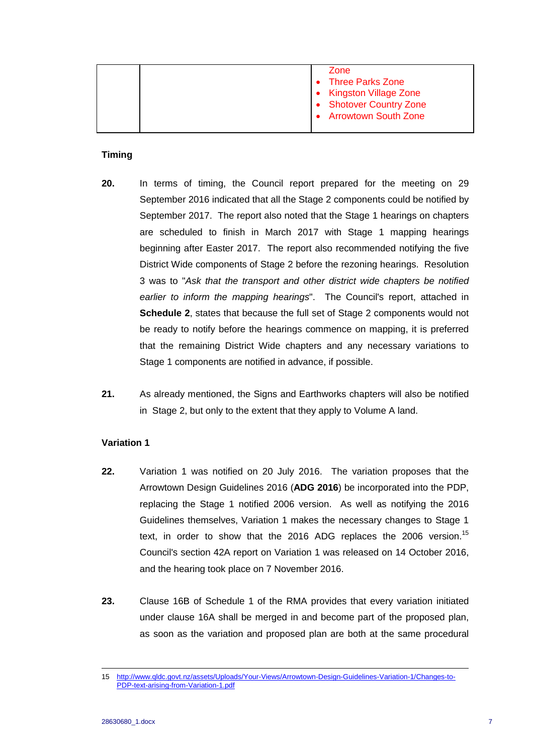| <b>Arrowtown South Zone</b> |
|-----------------------------|
|-----------------------------|

#### **Timing**

- **20.** In terms of timing, the Council report prepared for the meeting on 29 September 2016 indicated that all the Stage 2 components could be notified by September 2017. The report also noted that the Stage 1 hearings on chapters are scheduled to finish in March 2017 with Stage 1 mapping hearings beginning after Easter 2017. The report also recommended notifying the five District Wide components of Stage 2 before the rezoning hearings. Resolution 3 was to "*Ask that the transport and other district wide chapters be notified earlier to inform the mapping hearings*". The Council's report, attached in **Schedule 2**, states that because the full set of Stage 2 components would not be ready to notify before the hearings commence on mapping, it is preferred that the remaining District Wide chapters and any necessary variations to Stage 1 components are notified in advance, if possible.
- **21.** As already mentioned, the Signs and Earthworks chapters will also be notified in Stage 2, but only to the extent that they apply to Volume A land.

#### **Variation 1**

- **22.** Variation 1 was notified on 20 July 2016. The variation proposes that the Arrowtown Design Guidelines 2016 (**ADG 2016**) be incorporated into the PDP, replacing the Stage 1 notified 2006 version. As well as notifying the 2016 Guidelines themselves, Variation 1 makes the necessary changes to Stage 1 text, in order to show that the 2016 ADG replaces the 2006 version.<sup>15</sup> Council's section 42A report on Variation 1 was released on 14 October 2016, and the hearing took place on 7 November 2016.
- **23.** Clause 16B of Schedule 1 of the RMA provides that every variation initiated under clause 16A shall be merged in and become part of the proposed plan, as soon as the variation and proposed plan are both at the same procedural

 <sup>15</sup> http://www.qldc.govt.nz/assets/Uploads/Your-Views/Arrowtown-Design-Guidelines-Variation-1/Changes-to-PDP-text-arising-from-Variation-1.pdf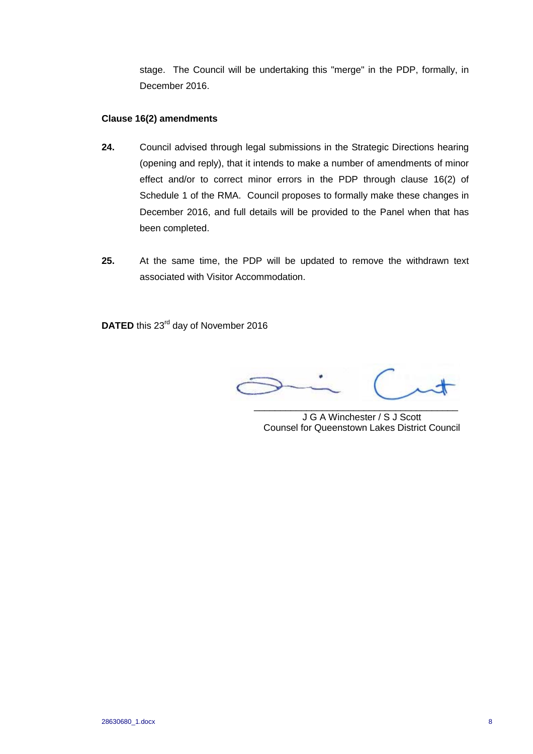stage. The Council will be undertaking this "merge" in the PDP, formally, in December 2016.

#### **Clause 16(2) amendments**

- **24.** Council advised through legal submissions in the Strategic Directions hearing (opening and reply), that it intends to make a number of amendments of minor effect and/or to correct minor errors in the PDP through clause 16(2) of Schedule 1 of the RMA. Council proposes to formally make these changes in December 2016, and full details will be provided to the Panel when that has been completed.
- **25.** At the same time, the PDP will be updated to remove the withdrawn text associated with Visitor Accommodation.

**DATED** this 23<sup>rd</sup> day of November 2016

 $\overline{\phantom{a}}$ 

J G A Winchester / S J Scott Counsel for Queenstown Lakes District Council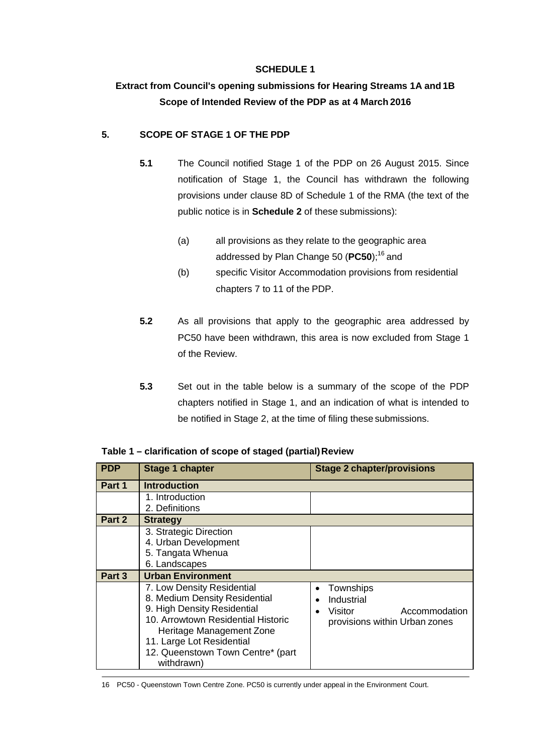## **SCHEDULE 1**

# **Extract from Council's opening submissions for Hearing Streams 1A and 1B Scope of Intended Review of the PDP as at 4 March 2016**

## **5. SCOPE OF STAGE 1 OF THE PDP**

- **5.1** The Council notified Stage 1 of the PDP on 26 August 2015. Since notification of Stage 1, the Council has withdrawn the following provisions under clause 8D of Schedule 1 of the RMA (the text of the public notice is in **Schedule 2** of these submissions):
	- (a) all provisions as they relate to the geographic area addressed by Plan Change 50 (PC50);<sup>16</sup> and
	- (b) specific Visitor Accommodation provisions from residential chapters 7 to 11 of the PDP.
- **5.2** As all provisions that apply to the geographic area addressed by PC50 have been withdrawn, this area is now excluded from Stage 1 of the Review.
- **5.3** Set out in the table below is a summary of the scope of the PDP chapters notified in Stage 1, and an indication of what is intended to be notified in Stage 2, at the time of filing these submissions.

| <b>PDP</b> | <b>Stage 1 chapter</b>                                                                                                                                                                                                                       | <b>Stage 2 chapter/provisions</b>                                                    |
|------------|----------------------------------------------------------------------------------------------------------------------------------------------------------------------------------------------------------------------------------------------|--------------------------------------------------------------------------------------|
| Part 1     | <b>Introduction</b>                                                                                                                                                                                                                          |                                                                                      |
|            | 1. Introduction<br>2. Definitions                                                                                                                                                                                                            |                                                                                      |
| Part 2     | <b>Strategy</b>                                                                                                                                                                                                                              |                                                                                      |
|            | 3. Strategic Direction<br>4. Urban Development<br>5. Tangata Whenua<br>6. Landscapes                                                                                                                                                         |                                                                                      |
| Part 3     | <b>Urban Environment</b>                                                                                                                                                                                                                     |                                                                                      |
|            | 7. Low Density Residential<br>8. Medium Density Residential<br>9. High Density Residential<br>10. Arrowtown Residential Historic<br>Heritage Management Zone<br>11. Large Lot Residential<br>12. Queenstown Town Centre* (part<br>withdrawn) | Townships<br>Industrial<br>Accommodation<br>Visitor<br>provisions within Urban zones |

**Table 1 – clarification of scope of staged (partial) Review**

16 PC50 - Queenstown Town Centre Zone. PC50 is currently under appeal in the Environment Court.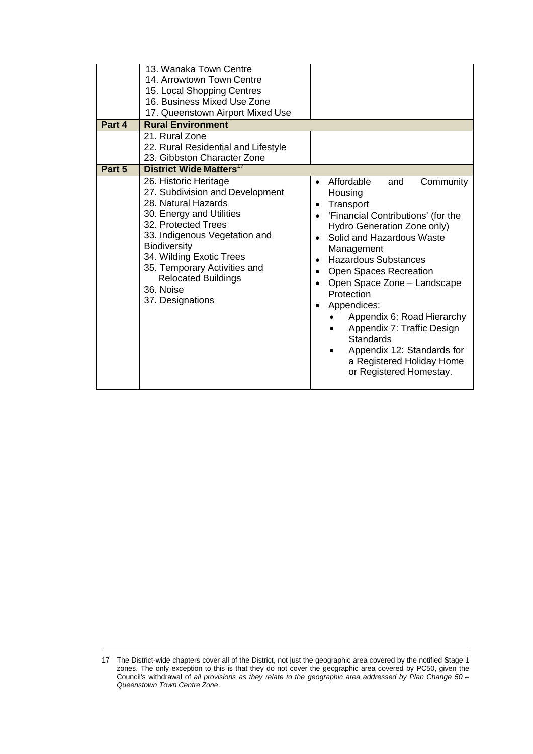| Part 4 | 13. Wanaka Town Centre<br>14. Arrowtown Town Centre<br>15. Local Shopping Centres<br>16. Business Mixed Use Zone<br>17. Queenstown Airport Mixed Use<br><b>Rural Environment</b>                                                                                                                                      |                                                                                                                                                                                                                                                                                                                                                                                                                                                                                      |
|--------|-----------------------------------------------------------------------------------------------------------------------------------------------------------------------------------------------------------------------------------------------------------------------------------------------------------------------|--------------------------------------------------------------------------------------------------------------------------------------------------------------------------------------------------------------------------------------------------------------------------------------------------------------------------------------------------------------------------------------------------------------------------------------------------------------------------------------|
|        | 21. Rural Zone<br>22. Rural Residential and Lifestyle<br>23. Gibbston Character Zone                                                                                                                                                                                                                                  |                                                                                                                                                                                                                                                                                                                                                                                                                                                                                      |
| Part 5 | District Wide Matters <sup>17</sup>                                                                                                                                                                                                                                                                                   |                                                                                                                                                                                                                                                                                                                                                                                                                                                                                      |
|        | 26. Historic Heritage<br>27. Subdivision and Development<br>28. Natural Hazards<br>30. Energy and Utilities<br>32. Protected Trees<br>33. Indigenous Vegetation and<br><b>Biodiversity</b><br>34. Wilding Exotic Trees<br>35. Temporary Activities and<br><b>Relocated Buildings</b><br>36. Noise<br>37. Designations | Affordable<br>and<br>Community<br>Housing<br>Transport<br>$\bullet$<br>'Financial Contributions' (for the<br>Hydro Generation Zone only)<br>Solid and Hazardous Waste<br>Management<br><b>Hazardous Substances</b><br>Open Spaces Recreation<br>Open Space Zone - Landscape<br>$\bullet$<br>Protection<br>Appendices:<br>Appendix 6: Road Hierarchy<br>Appendix 7: Traffic Design<br>Standards<br>Appendix 12: Standards for<br>a Registered Holiday Home<br>or Registered Homestay. |

<sup>17</sup> The District-wide chapters cover all of the District, not just the geographic area covered by the notified Stage 1 zones. The only exception to this is that they do not cover the geographic area covered by PC50, given the Council's withdrawal of *all provisions as they relate to the geographic area addressed by Plan Change 50 – Queenstown Town Centre Zone*.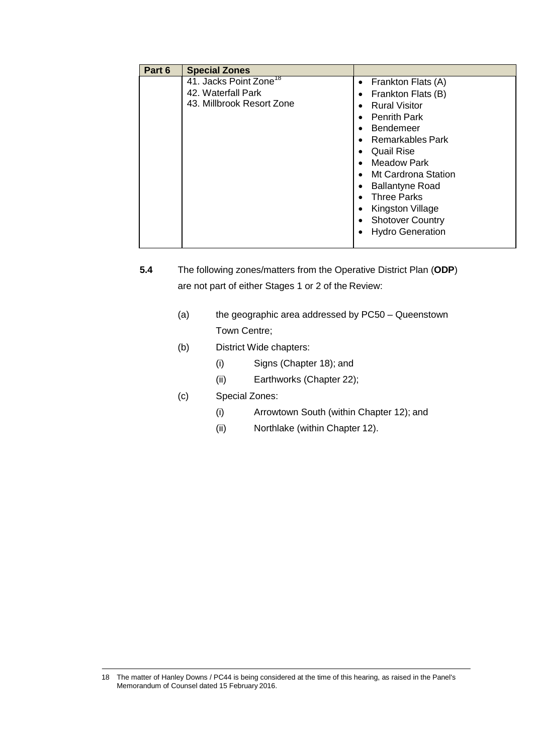| Part 6 | <b>Special Zones</b>                                                                  |                                                                                                                                                                                                                                                                      |
|--------|---------------------------------------------------------------------------------------|----------------------------------------------------------------------------------------------------------------------------------------------------------------------------------------------------------------------------------------------------------------------|
|        | 41. Jacks Point Zone <sup>18</sup><br>42. Waterfall Park<br>43. Millbrook Resort Zone | Frankton Flats (A)<br>$\bullet$<br>Frankton Flats (B)<br>$\bullet$<br><b>Rural Visitor</b><br>$\bullet$<br><b>Penrith Park</b><br>$\bullet$<br>Bendemeer<br>$\bullet$<br>Remarkables Park<br>$\bullet$<br><b>Quail Rise</b><br>$\bullet$<br>Meadow Park<br>$\bullet$ |
|        |                                                                                       | • Mt Cardrona Station<br><b>Ballantyne Road</b><br>$\bullet$<br><b>Three Parks</b><br>$\bullet$<br>Kingston Village<br>$\bullet$<br><b>Shotover Country</b><br>$\bullet$<br><b>Hydro Generation</b>                                                                  |

- **5.4** The following zones/matters from the Operative District Plan (**ODP**) are not part of either Stages 1 or 2 of the Review:
	- (a) the geographic area addressed by PC50 Queenstown Town Centre;
	- (b) District Wide chapters:
		- (i) Signs (Chapter 18); and
		- (ii) Earthworks (Chapter 22);
	- (c) Special Zones:
		- (i) Arrowtown South (within Chapter 12); and
		- (ii) Northlake (within Chapter 12).

<sup>18</sup> The matter of Hanley Downs / PC44 is being considered at the time of this hearing, as raised in the Panel's Memorandum of Counsel dated 15 February 2016.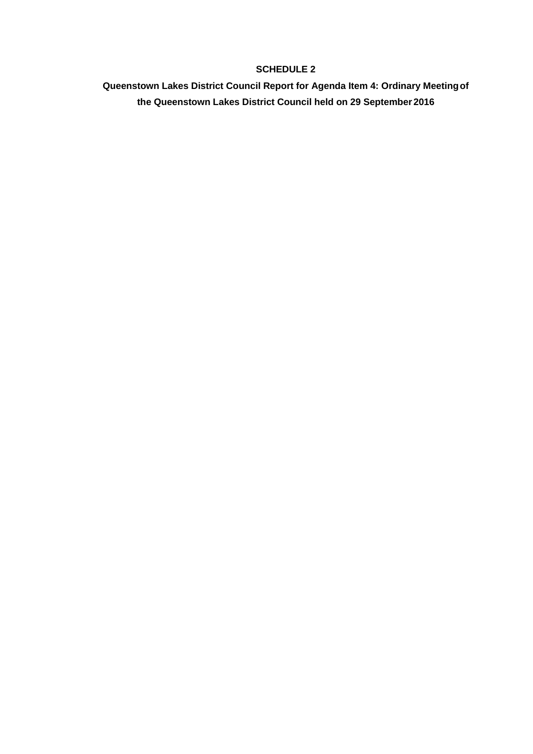## **SCHEDULE 2**

**Queenstown Lakes District Council Report for Agenda Item 4: Ordinary Meeting of the Queenstown Lakes District Council held on 29 September 2016**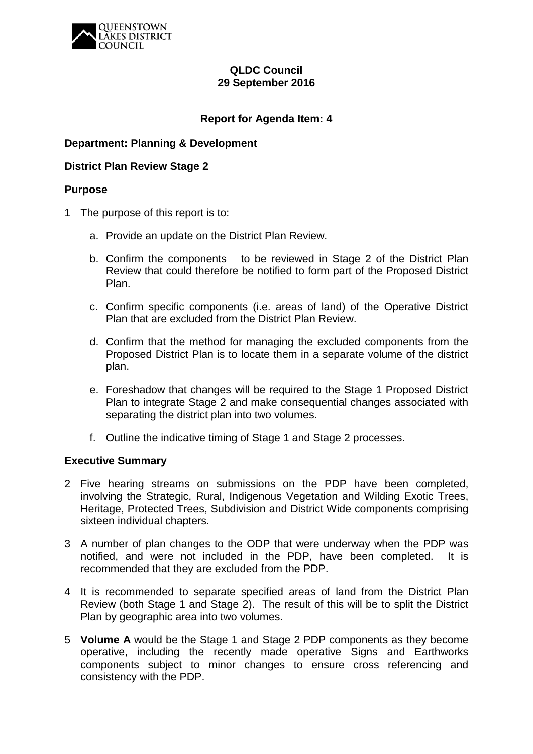

## **QLDC Council 29 September 2016**

## **Report for Agenda Item: 4**

## **Department: Planning & Development**

## **District Plan Review Stage 2**

#### **Purpose**

- 1 The purpose of this report is to:
	- a. Provide an update on the District Plan Review.
	- b. Confirm the components to be reviewed in Stage 2 of the District Plan Review that could therefore be notified to form part of the Proposed District Plan.
	- c. Confirm specific components (i.e. areas of land) of the Operative District Plan that are excluded from the District Plan Review.
	- d. Confirm that the method for managing the excluded components from the Proposed District Plan is to locate them in a separate volume of the district plan.
	- e. Foreshadow that changes will be required to the Stage 1 Proposed District Plan to integrate Stage 2 and make consequential changes associated with separating the district plan into two volumes.
	- f. Outline the indicative timing of Stage 1 and Stage 2 processes.

#### **Executive Summary**

- 2 Five hearing streams on submissions on the PDP have been completed, involving the Strategic, Rural, Indigenous Vegetation and Wilding Exotic Trees, Heritage, Protected Trees, Subdivision and District Wide components comprising sixteen individual chapters.
- 3 A number of plan changes to the ODP that were underway when the PDP was notified, and were not included in the PDP, have been completed. It is recommended that they are excluded from the PDP.
- 4 It is recommended to separate specified areas of land from the District Plan Review (both Stage 1 and Stage 2). The result of this will be to split the District Plan by geographic area into two volumes.
- 5 **Volume A** would be the Stage 1 and Stage 2 PDP components as they become operative, including the recently made operative Signs and Earthworks components subject to minor changes to ensure cross referencing and consistency with the PDP.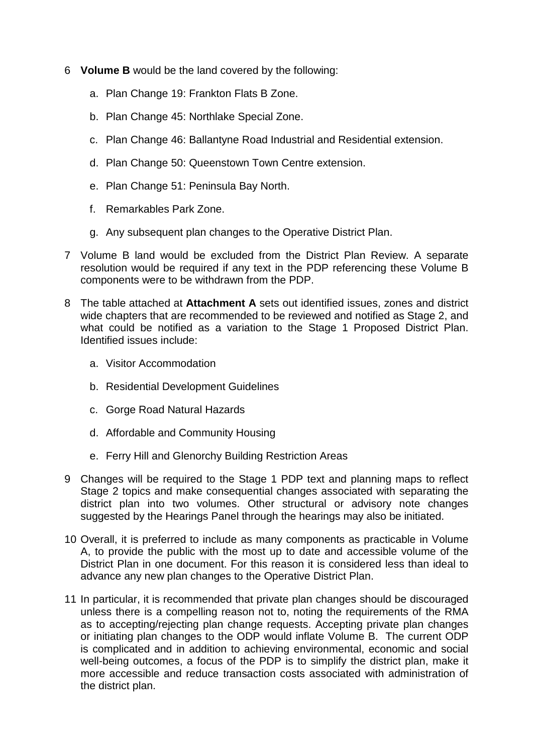- 6 **Volume B** would be the land covered by the following:
	- a. Plan Change 19: Frankton Flats B Zone.
	- b. Plan Change 45: Northlake Special Zone.
	- c. Plan Change 46: Ballantyne Road Industrial and Residential extension.
	- d. Plan Change 50: Queenstown Town Centre extension.
	- e. Plan Change 51: Peninsula Bay North.
	- f. Remarkables Park Zone.
	- g. Any subsequent plan changes to the Operative District Plan.
- 7 Volume B land would be excluded from the District Plan Review. A separate resolution would be required if any text in the PDP referencing these Volume B components were to be withdrawn from the PDP.
- 8 The table attached at **Attachment A** sets out identified issues, zones and district wide chapters that are recommended to be reviewed and notified as Stage 2, and what could be notified as a variation to the Stage 1 Proposed District Plan. Identified issues include:
	- a. Visitor Accommodation
	- b. Residential Development Guidelines
	- c. Gorge Road Natural Hazards
	- d. Affordable and Community Housing
	- e. Ferry Hill and Glenorchy Building Restriction Areas
- 9 Changes will be required to the Stage 1 PDP text and planning maps to reflect Stage 2 topics and make consequential changes associated with separating the district plan into two volumes. Other structural or advisory note changes suggested by the Hearings Panel through the hearings may also be initiated.
- 10 Overall, it is preferred to include as many components as practicable in Volume A, to provide the public with the most up to date and accessible volume of the District Plan in one document. For this reason it is considered less than ideal to advance any new plan changes to the Operative District Plan.
- 11 In particular, it is recommended that private plan changes should be discouraged unless there is a compelling reason not to, noting the requirements of the RMA as to accepting/rejecting plan change requests. Accepting private plan changes or initiating plan changes to the ODP would inflate Volume B. The current ODP is complicated and in addition to achieving environmental, economic and social well-being outcomes, a focus of the PDP is to simplify the district plan, make it more accessible and reduce transaction costs associated with administration of the district plan.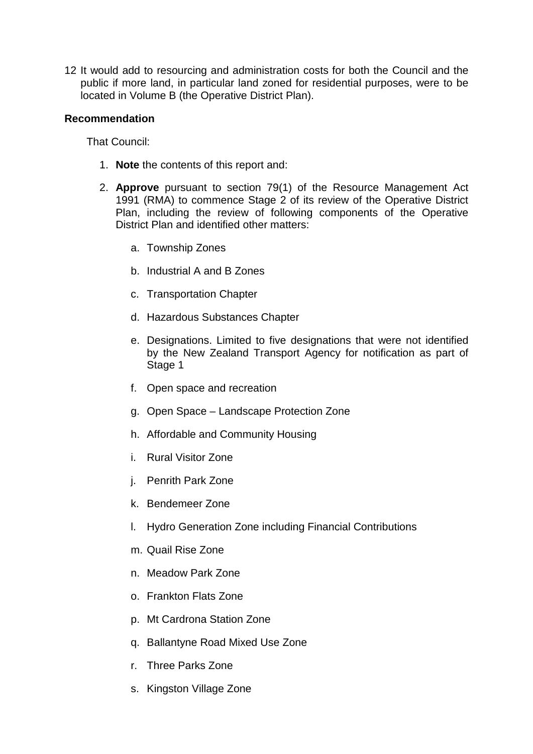12 It would add to resourcing and administration costs for both the Council and the public if more land, in particular land zoned for residential purposes, were to be located in Volume B (the Operative District Plan).

## **Recommendation**

That Council:

- 1. **Note** the contents of this report and:
- 2. **Approve** pursuant to section 79(1) of the Resource Management Act 1991 (RMA) to commence Stage 2 of its review of the Operative District Plan, including the review of following components of the Operative District Plan and identified other matters:
	- a. Township Zones
	- b. Industrial A and B Zones
	- c. Transportation Chapter
	- d. Hazardous Substances Chapter
	- e. Designations. Limited to five designations that were not identified by the New Zealand Transport Agency for notification as part of Stage 1
	- f. Open space and recreation
	- g. Open Space Landscape Protection Zone
	- h. Affordable and Community Housing
	- i. Rural Visitor Zone
	- j. Penrith Park Zone
	- k. Bendemeer Zone
	- l. Hydro Generation Zone including Financial Contributions
	- m. Quail Rise Zone
	- n. Meadow Park Zone
	- o. Frankton Flats Zone
	- p. Mt Cardrona Station Zone
	- q. Ballantyne Road Mixed Use Zone
	- r. Three Parks Zone
	- s. Kingston Village Zone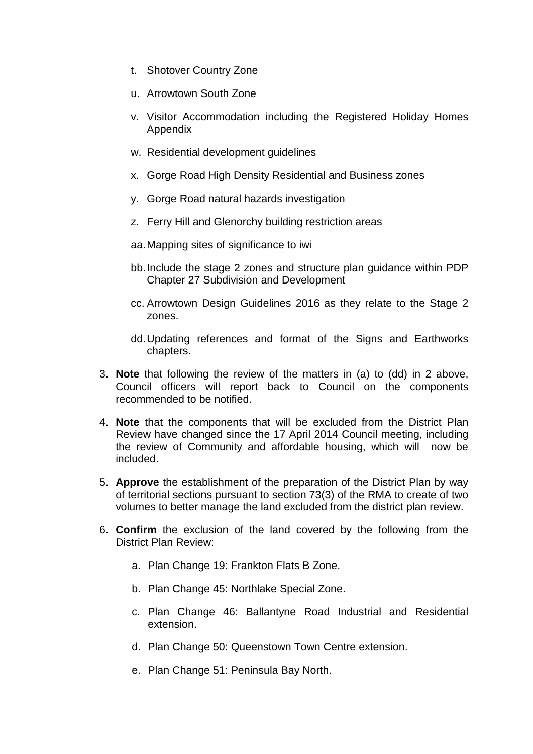- t. Shotover Country Zone
- u. Arrowtown South Zone
- v. Visitor Accommodation including the Registered Holiday Homes Appendix
- w. Residential development quidelines
- x. Gorge Road High Density Residential and Business zones
- y. Gorge Road natural hazards investigation
- z. Ferry Hill and Glenorchy building restriction areas
- aa.Mapping sites of significance to iwi
- bb.Include the stage 2 zones and structure plan guidance within PDP Chapter 27 Subdivision and Development
- cc. Arrowtown Design Guidelines 2016 as they relate to the Stage 2 zones.
- dd.Updating references and format of the Signs and Earthworks chapters.
- 3. **Note** that following the review of the matters in (a) to (dd) in 2 above, Council officers will report back to Council on the components recommended to be notified.
- 4. **Note** that the components that will be excluded from the District Plan Review have changed since the 17 April 2014 Council meeting, including the review of Community and affordable housing, which will now be included.
- 5. **Approve** the establishment of the preparation of the District Plan by way of territorial sections pursuant to section 73(3) of the RMA to create of two volumes to better manage the land excluded from the district plan review.
- 6. **Confirm** the exclusion of the land covered by the following from the District Plan Review:
	- a. Plan Change 19: Frankton Flats B Zone.
	- b. Plan Change 45: Northlake Special Zone.
	- c. Plan Change 46: Ballantyne Road Industrial and Residential extension.
	- d. Plan Change 50: Queenstown Town Centre extension.
	- e. Plan Change 51: Peninsula Bay North.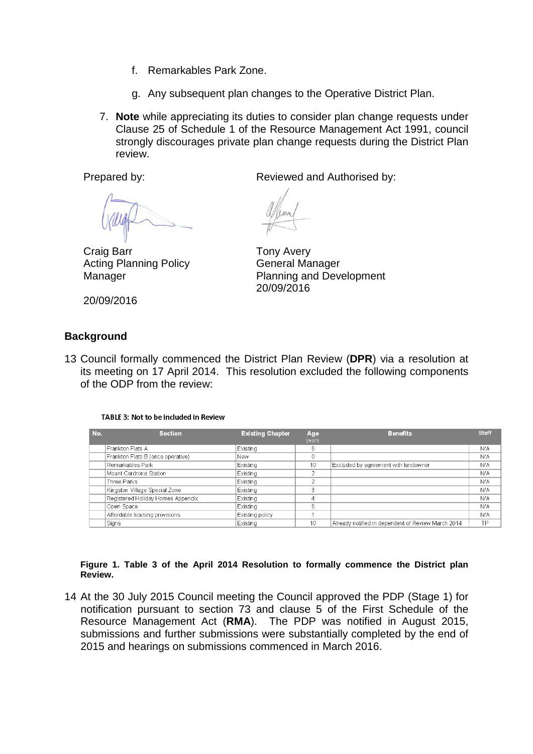- f. Remarkables Park Zone.
- g. Any subsequent plan changes to the Operative District Plan.
- 7. **Note** while appreciating its duties to consider plan change requests under Clause 25 of Schedule 1 of the Resource Management Act 1991, council strongly discourages private plan change requests during the District Plan review.

Prepared by: Reviewed and Authorised by:

Craig Barr Acting Planning Policy Manager

Tony Avery General Manager Planning and Development 20/09/2016

20/09/2016

## **Background**

13 Council formally commenced the District Plan Review (**DPR**) via a resolution at its meeting on 17 April 2014. This resolution excluded the following components of the ODP from the review:

#### TABLE 3: Not to be included in Review

| No. | <b>Section</b>                    | <b>Existing Chapter</b> | Age<br>vears | <b>Benefits</b>                                    | <b>Staff</b> |
|-----|-----------------------------------|-------------------------|--------------|----------------------------------------------------|--------------|
|     | Frankton Flats A                  | Existing                | 6            |                                                    | <b>N/A</b>   |
|     | Frankton Flats B (once operative) | <b>New</b>              |              |                                                    | <b>N/A</b>   |
|     | Remarkables Park                  | Existing                | 10           | Excluded by agreement with landowner               | <b>N/A</b>   |
|     | Mount Cardrona Station            | Existing                |              |                                                    | <b>N/A</b>   |
|     | Three Parks                       | Existing                | $\sim$       |                                                    | <b>N/A</b>   |
|     | Kingston Village Special Zone     | Existing                | 3            |                                                    | <b>N/A</b>   |
|     | Registered Holiday Homes Appendix | Existing                | 4            |                                                    | <b>N/A</b>   |
|     | Open Space                        | Existing                | 6            |                                                    | <b>N/A</b>   |
|     | Affordable housing provisions     | Existing policy         |              |                                                    | <b>N/A</b>   |
|     | Sians                             | Existina                | 10           | Already notified in dependent of Review March 2014 | TP           |

**Figure 1. Table 3 of the April 2014 Resolution to formally commence the District plan Review.**

14 At the 30 July 2015 Council meeting the Council approved the PDP (Stage 1) for notification pursuant to section 73 and clause 5 of the First Schedule of the Resource Management Act (**RMA**). The PDP was notified in August 2015, submissions and further submissions were substantially completed by the end of 2015 and hearings on submissions commenced in March 2016.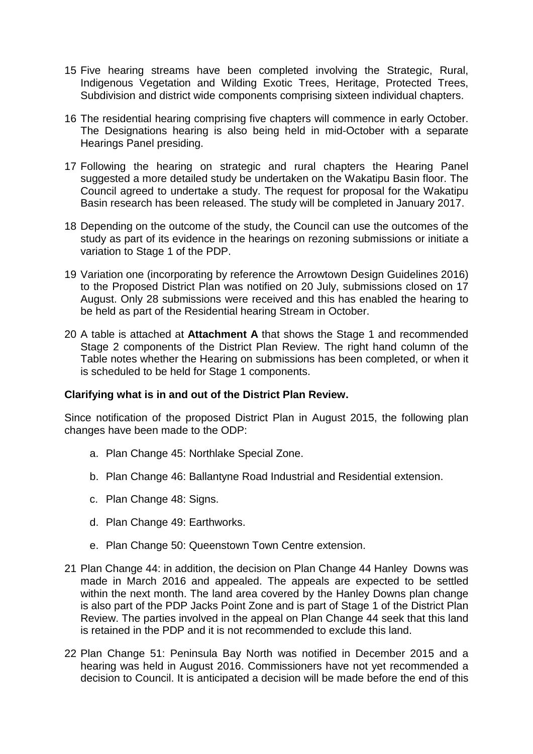- 15 Five hearing streams have been completed involving the Strategic, Rural, Indigenous Vegetation and Wilding Exotic Trees, Heritage, Protected Trees, Subdivision and district wide components comprising sixteen individual chapters.
- 16 The residential hearing comprising five chapters will commence in early October. The Designations hearing is also being held in mid-October with a separate Hearings Panel presiding.
- 17 Following the hearing on strategic and rural chapters the Hearing Panel suggested a more detailed study be undertaken on the Wakatipu Basin floor. The Council agreed to undertake a study. The request for proposal for the Wakatipu Basin research has been released. The study will be completed in January 2017.
- 18 Depending on the outcome of the study, the Council can use the outcomes of the study as part of its evidence in the hearings on rezoning submissions or initiate a variation to Stage 1 of the PDP.
- 19 Variation one (incorporating by reference the Arrowtown Design Guidelines 2016) to the Proposed District Plan was notified on 20 July, submissions closed on 17 August. Only 28 submissions were received and this has enabled the hearing to be held as part of the Residential hearing Stream in October.
- 20 A table is attached at **Attachment A** that shows the Stage 1 and recommended Stage 2 components of the District Plan Review. The right hand column of the Table notes whether the Hearing on submissions has been completed, or when it is scheduled to be held for Stage 1 components.

## **Clarifying what is in and out of the District Plan Review.**

Since notification of the proposed District Plan in August 2015, the following plan changes have been made to the ODP:

- a. Plan Change 45: Northlake Special Zone.
- b. Plan Change 46: Ballantyne Road Industrial and Residential extension.
- c. Plan Change 48: Signs.
- d. Plan Change 49: Earthworks.
- e. Plan Change 50: Queenstown Town Centre extension.
- 21 Plan Change 44: in addition, the decision on Plan Change 44 Hanley Downs was made in March 2016 and appealed. The appeals are expected to be settled within the next month. The land area covered by the Hanley Downs plan change is also part of the PDP Jacks Point Zone and is part of Stage 1 of the District Plan Review. The parties involved in the appeal on Plan Change 44 seek that this land is retained in the PDP and it is not recommended to exclude this land.
- 22 Plan Change 51: Peninsula Bay North was notified in December 2015 and a hearing was held in August 2016. Commissioners have not yet recommended a decision to Council. It is anticipated a decision will be made before the end of this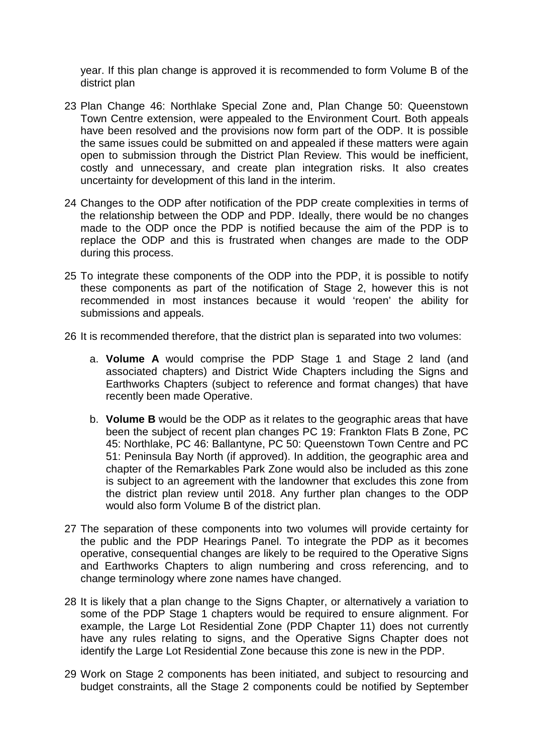year. If this plan change is approved it is recommended to form Volume B of the district plan

- 23 Plan Change 46: Northlake Special Zone and, Plan Change 50: Queenstown Town Centre extension, were appealed to the Environment Court. Both appeals have been resolved and the provisions now form part of the ODP. It is possible the same issues could be submitted on and appealed if these matters were again open to submission through the District Plan Review. This would be inefficient, costly and unnecessary, and create plan integration risks. It also creates uncertainty for development of this land in the interim.
- 24 Changes to the ODP after notification of the PDP create complexities in terms of the relationship between the ODP and PDP. Ideally, there would be no changes made to the ODP once the PDP is notified because the aim of the PDP is to replace the ODP and this is frustrated when changes are made to the ODP during this process.
- 25 To integrate these components of the ODP into the PDP, it is possible to notify these components as part of the notification of Stage 2, however this is not recommended in most instances because it would 'reopen' the ability for submissions and appeals.
- 26 It is recommended therefore, that the district plan is separated into two volumes:
	- a. **Volume A** would comprise the PDP Stage 1 and Stage 2 land (and associated chapters) and District Wide Chapters including the Signs and Earthworks Chapters (subject to reference and format changes) that have recently been made Operative.
	- b. **Volume B** would be the ODP as it relates to the geographic areas that have been the subject of recent plan changes PC 19: Frankton Flats B Zone, PC 45: Northlake, PC 46: Ballantyne, PC 50: Queenstown Town Centre and PC 51: Peninsula Bay North (if approved). In addition, the geographic area and chapter of the Remarkables Park Zone would also be included as this zone is subject to an agreement with the landowner that excludes this zone from the district plan review until 2018. Any further plan changes to the ODP would also form Volume B of the district plan.
- 27 The separation of these components into two volumes will provide certainty for the public and the PDP Hearings Panel. To integrate the PDP as it becomes operative, consequential changes are likely to be required to the Operative Signs and Earthworks Chapters to align numbering and cross referencing, and to change terminology where zone names have changed.
- 28 It is likely that a plan change to the Signs Chapter, or alternatively a variation to some of the PDP Stage 1 chapters would be required to ensure alignment. For example, the Large Lot Residential Zone (PDP Chapter 11) does not currently have any rules relating to signs, and the Operative Signs Chapter does not identify the Large Lot Residential Zone because this zone is new in the PDP.
- 29 Work on Stage 2 components has been initiated, and subject to resourcing and budget constraints, all the Stage 2 components could be notified by September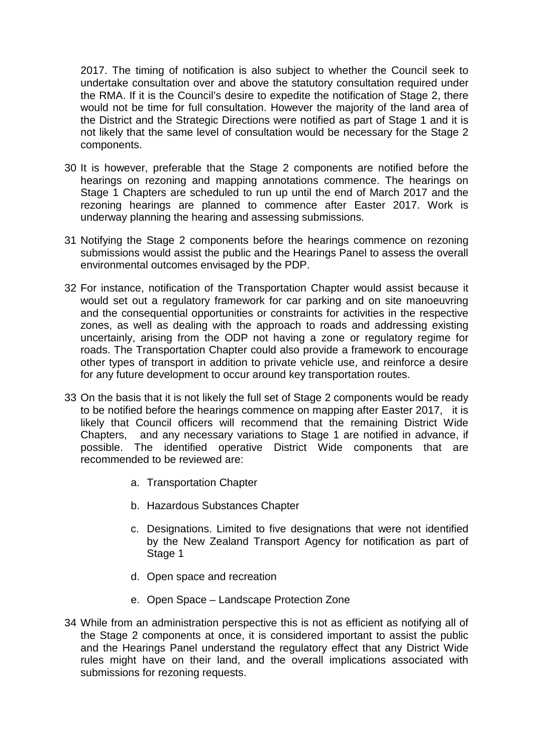2017. The timing of notification is also subject to whether the Council seek to undertake consultation over and above the statutory consultation required under the RMA. If it is the Council's desire to expedite the notification of Stage 2, there would not be time for full consultation. However the majority of the land area of the District and the Strategic Directions were notified as part of Stage 1 and it is not likely that the same level of consultation would be necessary for the Stage 2 components.

- 30 It is however, preferable that the Stage 2 components are notified before the hearings on rezoning and mapping annotations commence. The hearings on Stage 1 Chapters are scheduled to run up until the end of March 2017 and the rezoning hearings are planned to commence after Easter 2017. Work is underway planning the hearing and assessing submissions.
- 31 Notifying the Stage 2 components before the hearings commence on rezoning submissions would assist the public and the Hearings Panel to assess the overall environmental outcomes envisaged by the PDP.
- 32 For instance, notification of the Transportation Chapter would assist because it would set out a regulatory framework for car parking and on site manoeuvring and the consequential opportunities or constraints for activities in the respective zones, as well as dealing with the approach to roads and addressing existing uncertainly, arising from the ODP not having a zone or regulatory regime for roads. The Transportation Chapter could also provide a framework to encourage other types of transport in addition to private vehicle use, and reinforce a desire for any future development to occur around key transportation routes.
- 33 On the basis that it is not likely the full set of Stage 2 components would be ready to be notified before the hearings commence on mapping after Easter 2017, it is likely that Council officers will recommend that the remaining District Wide Chapters, and any necessary variations to Stage 1 are notified in advance, if possible. The identified operative District Wide components that are recommended to be reviewed are:
	- a. Transportation Chapter
	- b. Hazardous Substances Chapter
	- c. Designations. Limited to five designations that were not identified by the New Zealand Transport Agency for notification as part of Stage 1
	- d. Open space and recreation
	- e. Open Space Landscape Protection Zone
- 34 While from an administration perspective this is not as efficient as notifying all of the Stage 2 components at once, it is considered important to assist the public and the Hearings Panel understand the regulatory effect that any District Wide rules might have on their land, and the overall implications associated with submissions for rezoning requests.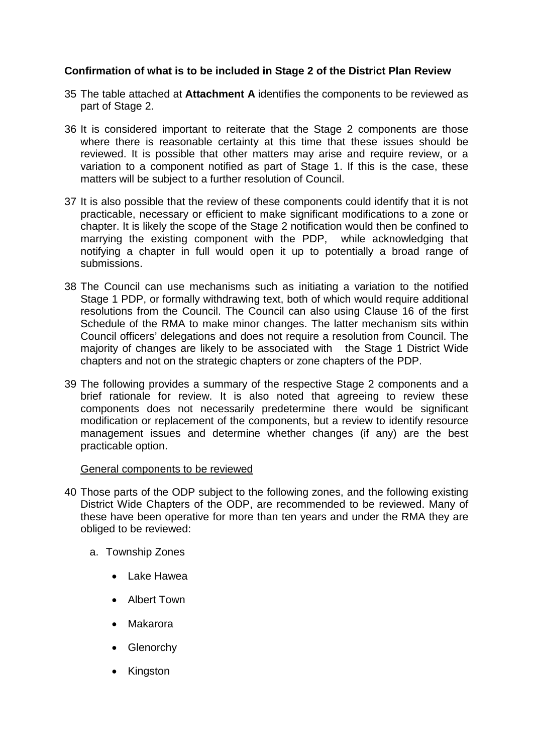## **Confirmation of what is to be included in Stage 2 of the District Plan Review**

- 35 The table attached at **Attachment A** identifies the components to be reviewed as part of Stage 2.
- 36 It is considered important to reiterate that the Stage 2 components are those where there is reasonable certainty at this time that these issues should be reviewed. It is possible that other matters may arise and require review, or a variation to a component notified as part of Stage 1. If this is the case, these matters will be subject to a further resolution of Council.
- 37 It is also possible that the review of these components could identify that it is not practicable, necessary or efficient to make significant modifications to a zone or chapter. It is likely the scope of the Stage 2 notification would then be confined to marrying the existing component with the PDP, while acknowledging that notifying a chapter in full would open it up to potentially a broad range of submissions.
- 38 The Council can use mechanisms such as initiating a variation to the notified Stage 1 PDP, or formally withdrawing text, both of which would require additional resolutions from the Council. The Council can also using Clause 16 of the first Schedule of the RMA to make minor changes. The latter mechanism sits within Council officers' delegations and does not require a resolution from Council. The majority of changes are likely to be associated with the Stage 1 District Wide chapters and not on the strategic chapters or zone chapters of the PDP.
- 39 The following provides a summary of the respective Stage 2 components and a brief rationale for review. It is also noted that agreeing to review these components does not necessarily predetermine there would be significant modification or replacement of the components, but a review to identify resource management issues and determine whether changes (if any) are the best practicable option.

#### General components to be reviewed

- 40 Those parts of the ODP subject to the following zones, and the following existing District Wide Chapters of the ODP, are recommended to be reviewed. Many of these have been operative for more than ten years and under the RMA they are obliged to be reviewed:
	- a. Township Zones
		- Lake Hawea
		- Albert Town
		- Makarora
		- Glenorchy
		- Kingston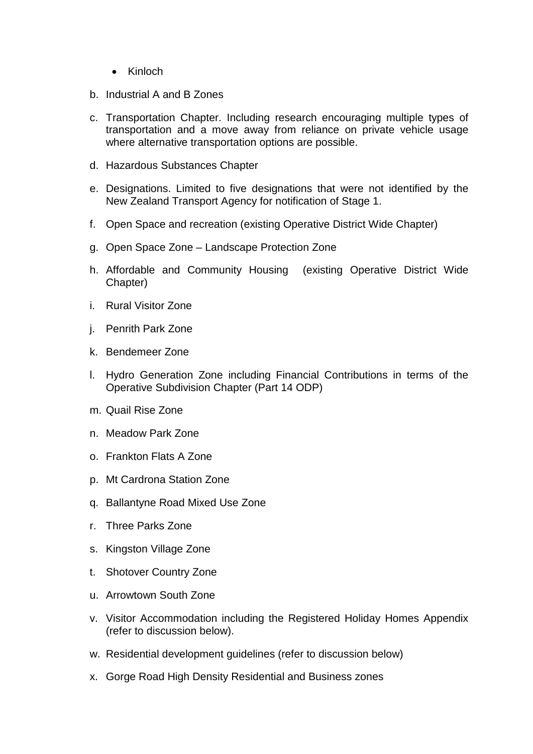- Kinloch
- b. Industrial A and B Zones
- c. Transportation Chapter. Including research encouraging multiple types of transportation and a move away from reliance on private vehicle usage where alternative transportation options are possible.
- d. Hazardous Substances Chapter
- e. Designations. Limited to five designations that were not identified by the New Zealand Transport Agency for notification of Stage 1.
- f. Open Space and recreation (existing Operative District Wide Chapter)
- g. Open Space Zone Landscape Protection Zone
- h. Affordable and Community Housing (existing Operative District Wide Chapter)
- i. Rural Visitor Zone
- j. Penrith Park Zone
- k. Bendemeer Zone
- l. Hydro Generation Zone including Financial Contributions in terms of the Operative Subdivision Chapter (Part 14 ODP)
- m. Quail Rise Zone
- n. Meadow Park Zone
- o. Frankton Flats A Zone
- p. Mt Cardrona Station Zone
- q. Ballantyne Road Mixed Use Zone
- r. Three Parks Zone
- s. Kingston Village Zone
- t. Shotover Country Zone
- u. Arrowtown South Zone
- v. Visitor Accommodation including the Registered Holiday Homes Appendix (refer to discussion below).
- w. Residential development guidelines (refer to discussion below)
- x. Gorge Road High Density Residential and Business zones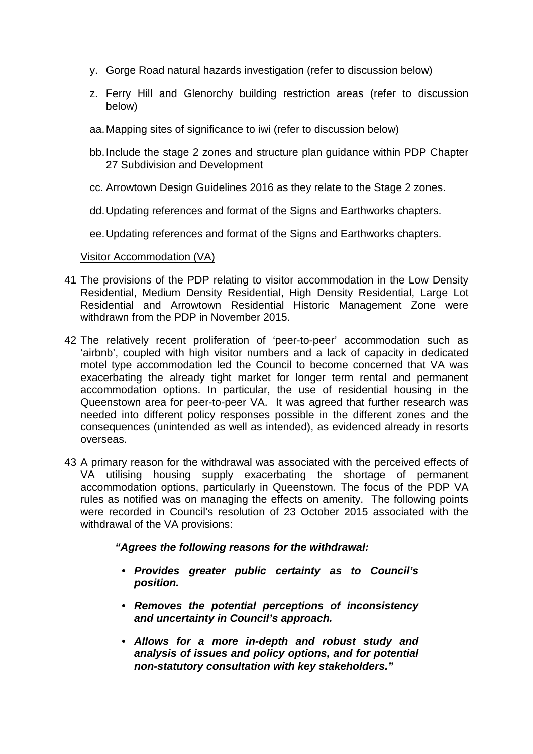- y. Gorge Road natural hazards investigation (refer to discussion below)
- z. Ferry Hill and Glenorchy building restriction areas (refer to discussion below)
- aa.Mapping sites of significance to iwi (refer to discussion below)
- bb.Include the stage 2 zones and structure plan guidance within PDP Chapter 27 Subdivision and Development
- cc. Arrowtown Design Guidelines 2016 as they relate to the Stage 2 zones.
- dd.Updating references and format of the Signs and Earthworks chapters.
- ee.Updating references and format of the Signs and Earthworks chapters.

#### Visitor Accommodation (VA)

- 41 The provisions of the PDP relating to visitor accommodation in the Low Density Residential, Medium Density Residential, High Density Residential, Large Lot Residential and Arrowtown Residential Historic Management Zone were withdrawn from the PDP in November 2015.
- 42 The relatively recent proliferation of 'peer-to-peer' accommodation such as 'airbnb', coupled with high visitor numbers and a lack of capacity in dedicated motel type accommodation led the Council to become concerned that VA was exacerbating the already tight market for longer term rental and permanent accommodation options. In particular, the use of residential housing in the Queenstown area for peer-to-peer VA. It was agreed that further research was needed into different policy responses possible in the different zones and the consequences (unintended as well as intended), as evidenced already in resorts overseas.
- 43 A primary reason for the withdrawal was associated with the perceived effects of VA utilising housing supply exacerbating the shortage of permanent accommodation options, particularly in Queenstown. The focus of the PDP VA rules as notified was on managing the effects on amenity. The following points were recorded in Council's resolution of 23 October 2015 associated with the withdrawal of the VA provisions:

#### *"Agrees the following reasons for the withdrawal:*

- *Provides greater public certainty as to Council's position.*
- *Removes the potential perceptions of inconsistency and uncertainty in Council's approach.*
- *Allows for a more in-depth and robust study and analysis of issues and policy options, and for potential non-statutory consultation with key stakeholders."*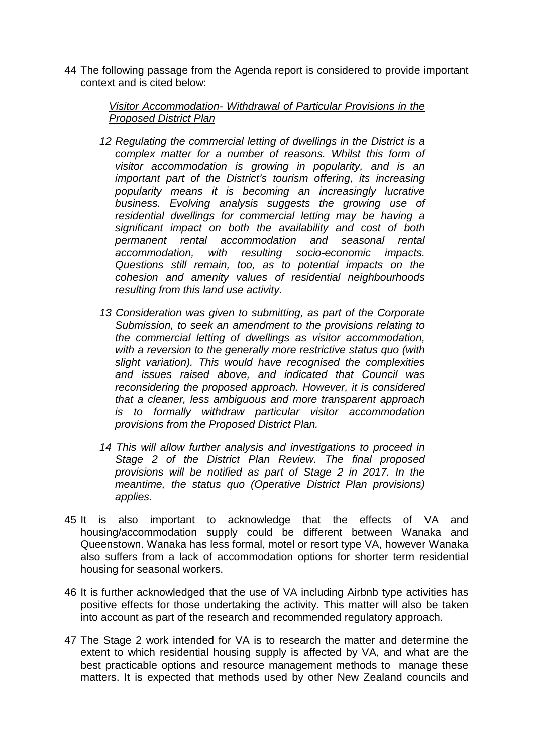44 The following passage from the Agenda report is considered to provide important context and is cited below:

## *Visitor Accommodation- Withdrawal of Particular Provisions in the Proposed District Plan*

- 12 Regulating the commercial letting of dwellings in the District is a *complex matter for a number of reasons. Whilst this form of visitor accommodation is growing in popularity, and is an important part of the District's tourism offering, its increasing popularity means it is becoming an increasingly lucrative business. Evolving analysis suggests the growing use of residential dwellings for commercial letting may be having a significant impact on both the availability and cost of both permanent rental accommodation and seasonal rental accommodation, with resulting socio-economic impacts. Questions still remain, too, as to potential impacts on the cohesion and amenity values of residential neighbourhoods resulting from this land use activity.*
- *13 Consideration was given to submitting, as part of the Corporate Submission, to seek an amendment to the provisions relating to the commercial letting of dwellings as visitor accommodation, with a reversion to the generally more restrictive status quo (with slight variation). This would have recognised the complexities and issues raised above, and indicated that Council was reconsidering the proposed approach. However, it is considered that a cleaner, less ambiguous and more transparent approach is to formally withdraw particular visitor accommodation provisions from the Proposed District Plan.*
- *14 This will allow further analysis and investigations to proceed in Stage 2 of the District Plan Review. The final proposed provisions will be notified as part of Stage 2 in 2017. In the meantime, the status quo (Operative District Plan provisions) applies.*
- 45 It is also important to acknowledge that the effects of VA and housing/accommodation supply could be different between Wanaka and Queenstown. Wanaka has less formal, motel or resort type VA, however Wanaka also suffers from a lack of accommodation options for shorter term residential housing for seasonal workers.
- 46 It is further acknowledged that the use of VA including Airbnb type activities has positive effects for those undertaking the activity. This matter will also be taken into account as part of the research and recommended regulatory approach.
- 47 The Stage 2 work intended for VA is to research the matter and determine the extent to which residential housing supply is affected by VA, and what are the best practicable options and resource management methods to manage these matters. It is expected that methods used by other New Zealand councils and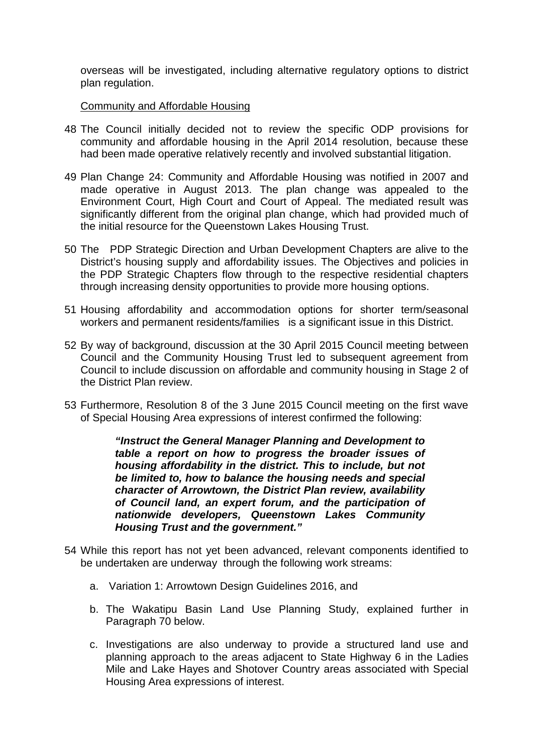overseas will be investigated, including alternative regulatory options to district plan regulation.

## Community and Affordable Housing

- 48 The Council initially decided not to review the specific ODP provisions for community and affordable housing in the April 2014 resolution, because these had been made operative relatively recently and involved substantial litigation.
- 49 Plan Change 24: Community and Affordable Housing was notified in 2007 and made operative in August 2013. The plan change was appealed to the Environment Court, High Court and Court of Appeal. The mediated result was significantly different from the original plan change, which had provided much of the initial resource for the Queenstown Lakes Housing Trust.
- 50 The PDP Strategic Direction and Urban Development Chapters are alive to the District's housing supply and affordability issues. The Objectives and policies in the PDP Strategic Chapters flow through to the respective residential chapters through increasing density opportunities to provide more housing options.
- 51 Housing affordability and accommodation options for shorter term/seasonal workers and permanent residents/families is a significant issue in this District.
- 52 By way of background, discussion at the 30 April 2015 Council meeting between Council and the Community Housing Trust led to subsequent agreement from Council to include discussion on affordable and community housing in Stage 2 of the District Plan review.
- 53 Furthermore, Resolution 8 of the 3 June 2015 Council meeting on the first wave of Special Housing Area expressions of interest confirmed the following:

*"Instruct the General Manager Planning and Development to table a report on how to progress the broader issues of housing affordability in the district. This to include, but not be limited to, how to balance the housing needs and special character of Arrowtown, the District Plan review, availability of Council land, an expert forum, and the participation of nationwide developers, Queenstown Lakes Community Housing Trust and the government."*

- 54 While this report has not yet been advanced, relevant components identified to be undertaken are underway through the following work streams:
	- a. Variation 1: Arrowtown Design Guidelines 2016, and
	- b. The Wakatipu Basin Land Use Planning Study, explained further in Paragraph 70 below.
	- c. Investigations are also underway to provide a structured land use and planning approach to the areas adjacent to State Highway 6 in the Ladies Mile and Lake Hayes and Shotover Country areas associated with Special Housing Area expressions of interest.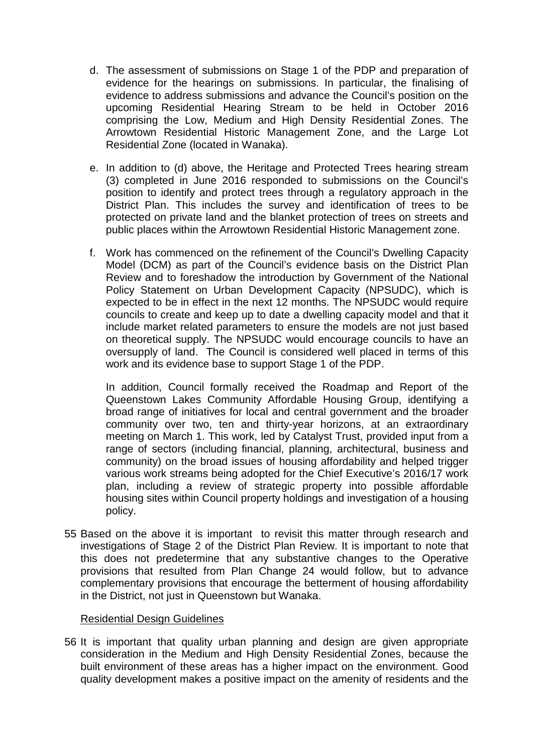- d. The assessment of submissions on Stage 1 of the PDP and preparation of evidence for the hearings on submissions. In particular, the finalising of evidence to address submissions and advance the Council's position on the upcoming Residential Hearing Stream to be held in October 2016 comprising the Low, Medium and High Density Residential Zones. The Arrowtown Residential Historic Management Zone, and the Large Lot Residential Zone (located in Wanaka).
- e. In addition to (d) above, the Heritage and Protected Trees hearing stream (3) completed in June 2016 responded to submissions on the Council's position to identify and protect trees through a regulatory approach in the District Plan. This includes the survey and identification of trees to be protected on private land and the blanket protection of trees on streets and public places within the Arrowtown Residential Historic Management zone.
- f. Work has commenced on the refinement of the Council's Dwelling Capacity Model (DCM) as part of the Council's evidence basis on the District Plan Review and to foreshadow the introduction by Government of the National Policy Statement on Urban Development Capacity (NPSUDC), which is expected to be in effect in the next 12 months. The NPSUDC would require councils to create and keep up to date a dwelling capacity model and that it include market related parameters to ensure the models are not just based on theoretical supply. The NPSUDC would encourage councils to have an oversupply of land. The Council is considered well placed in terms of this work and its evidence base to support Stage 1 of the PDP.

In addition, Council formally received the Roadmap and Report of the Queenstown Lakes Community Affordable Housing Group, identifying a broad range of initiatives for local and central government and the broader community over two, ten and thirty-year horizons, at an extraordinary meeting on March 1. This work, led by Catalyst Trust, provided input from a range of sectors (including financial, planning, architectural, business and community) on the broad issues of housing affordability and helped trigger various work streams being adopted for the Chief Executive's 2016/17 work plan, including a review of strategic property into possible affordable housing sites within Council property holdings and investigation of a housing policy.

55 Based on the above it is important to revisit this matter through research and investigations of Stage 2 of the District Plan Review. It is important to note that this does not predetermine that any substantive changes to the Operative provisions that resulted from Plan Change 24 would follow, but to advance complementary provisions that encourage the betterment of housing affordability in the District, not just in Queenstown but Wanaka.

#### Residential Design Guidelines

56 It is important that quality urban planning and design are given appropriate consideration in the Medium and High Density Residential Zones, because the built environment of these areas has a higher impact on the environment. Good quality development makes a positive impact on the amenity of residents and the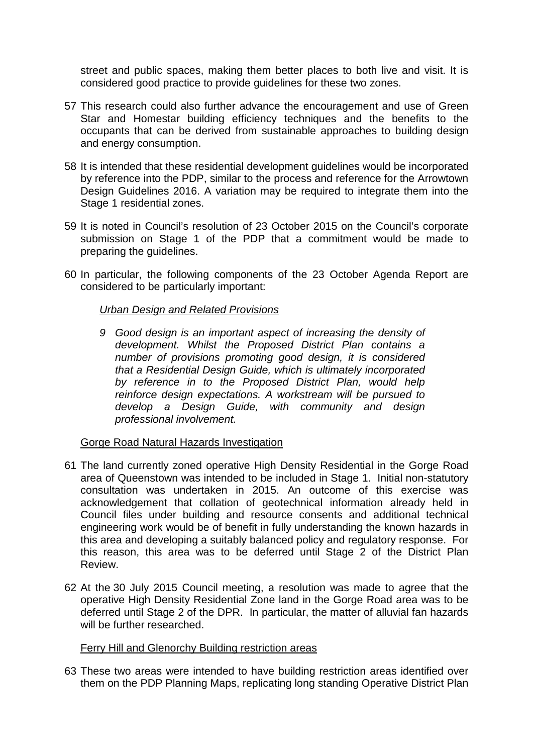street and public spaces, making them better places to both live and visit. It is considered good practice to provide guidelines for these two zones.

- 57 This research could also further advance the encouragement and use of Green Star and Homestar building efficiency techniques and the benefits to the occupants that can be derived from sustainable approaches to building design and energy consumption.
- 58 It is intended that these residential development guidelines would be incorporated by reference into the PDP, similar to the process and reference for the Arrowtown Design Guidelines 2016. A variation may be required to integrate them into the Stage 1 residential zones.
- 59 It is noted in Council's resolution of 23 October 2015 on the Council's corporate submission on Stage 1 of the PDP that a commitment would be made to preparing the guidelines.
- 60 In particular, the following components of the 23 October Agenda Report are considered to be particularly important:

## *Urban Design and Related Provisions*

*9 Good design is an important aspect of increasing the density of development. Whilst the Proposed District Plan contains a number of provisions promoting good design, it is considered that a Residential Design Guide, which is ultimately incorporated by reference in to the Proposed District Plan, would help reinforce design expectations. A workstream will be pursued to develop a Design Guide, with community and design professional involvement.* 

## Gorge Road Natural Hazards Investigation

- 61 The land currently zoned operative High Density Residential in the Gorge Road area of Queenstown was intended to be included in Stage 1. Initial non-statutory consultation was undertaken in 2015. An outcome of this exercise was acknowledgement that collation of geotechnical information already held in Council files under building and resource consents and additional technical engineering work would be of benefit in fully understanding the known hazards in this area and developing a suitably balanced policy and regulatory response. For this reason, this area was to be deferred until Stage 2 of the District Plan Review.
- 62 At the 30 July 2015 Council meeting, a resolution was made to agree that the operative High Density Residential Zone land in the Gorge Road area was to be deferred until Stage 2 of the DPR. In particular, the matter of alluvial fan hazards will be further researched.

## Ferry Hill and Glenorchy Building restriction areas

63 These two areas were intended to have building restriction areas identified over them on the PDP Planning Maps, replicating long standing Operative District Plan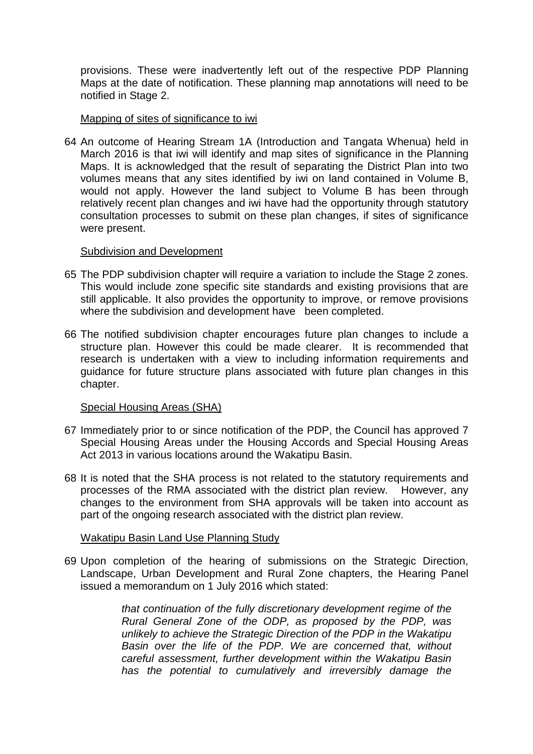provisions. These were inadvertently left out of the respective PDP Planning Maps at the date of notification. These planning map annotations will need to be notified in Stage 2.

## Mapping of sites of significance to iwi

64 An outcome of Hearing Stream 1A (Introduction and Tangata Whenua) held in March 2016 is that iwi will identify and map sites of significance in the Planning Maps. It is acknowledged that the result of separating the District Plan into two volumes means that any sites identified by iwi on land contained in Volume B, would not apply. However the land subject to Volume B has been through relatively recent plan changes and iwi have had the opportunity through statutory consultation processes to submit on these plan changes, if sites of significance were present.

#### Subdivision and Development

- 65 The PDP subdivision chapter will require a variation to include the Stage 2 zones. This would include zone specific site standards and existing provisions that are still applicable. It also provides the opportunity to improve, or remove provisions where the subdivision and development have been completed.
- 66 The notified subdivision chapter encourages future plan changes to include a structure plan. However this could be made clearer. It is recommended that research is undertaken with a view to including information requirements and guidance for future structure plans associated with future plan changes in this chapter.

## Special Housing Areas (SHA)

- 67 Immediately prior to or since notification of the PDP, the Council has approved 7 Special Housing Areas under the Housing Accords and Special Housing Areas Act 2013 in various locations around the Wakatipu Basin.
- 68 It is noted that the SHA process is not related to the statutory requirements and processes of the RMA associated with the district plan review. However, any changes to the environment from SHA approvals will be taken into account as part of the ongoing research associated with the district plan review.

## Wakatipu Basin Land Use Planning Study

69 Upon completion of the hearing of submissions on the Strategic Direction, Landscape, Urban Development and Rural Zone chapters, the Hearing Panel issued a memorandum on 1 July 2016 which stated:

> *that continuation of the fully discretionary development regime of the Rural General Zone of the ODP, as proposed by the PDP, was unlikely to achieve the Strategic Direction of the PDP in the Wakatipu Basin over the life of the PDP. We are concerned that, without careful assessment, further development within the Wakatipu Basin has the potential to cumulatively and irreversibly damage the*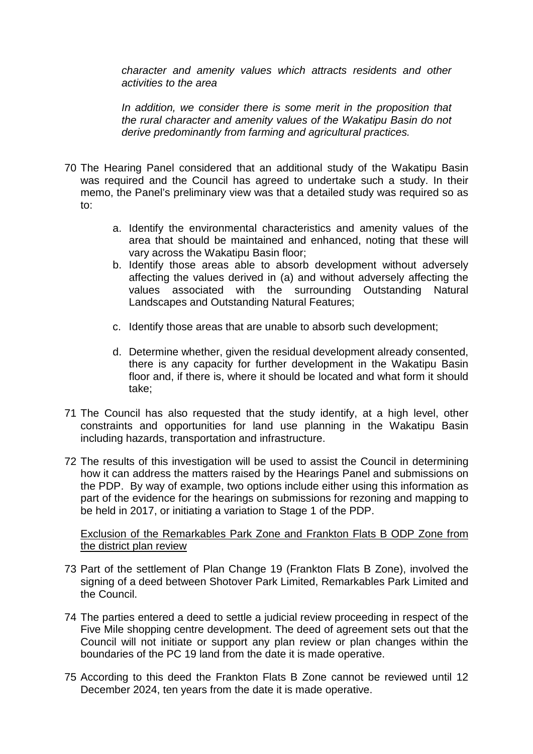*character and amenity values which attracts residents and other activities to the area*

*In addition, we consider there is some merit in the proposition that the rural character and amenity values of the Wakatipu Basin do not derive predominantly from farming and agricultural practices.*

- 70 The Hearing Panel considered that an additional study of the Wakatipu Basin was required and the Council has agreed to undertake such a study. In their memo, the Panel's preliminary view was that a detailed study was required so as to:
	- a. Identify the environmental characteristics and amenity values of the area that should be maintained and enhanced, noting that these will vary across the Wakatipu Basin floor;
	- b. Identify those areas able to absorb development without adversely affecting the values derived in (a) and without adversely affecting the values associated with the surrounding Outstanding Natural Landscapes and Outstanding Natural Features;
	- c. Identify those areas that are unable to absorb such development;
	- d. Determine whether, given the residual development already consented, there is any capacity for further development in the Wakatipu Basin floor and, if there is, where it should be located and what form it should take;
- 71 The Council has also requested that the study identify, at a high level, other constraints and opportunities for land use planning in the Wakatipu Basin including hazards, transportation and infrastructure.
- 72 The results of this investigation will be used to assist the Council in determining how it can address the matters raised by the Hearings Panel and submissions on the PDP. By way of example, two options include either using this information as part of the evidence for the hearings on submissions for rezoning and mapping to be held in 2017, or initiating a variation to Stage 1 of the PDP.

## Exclusion of the Remarkables Park Zone and Frankton Flats B ODP Zone from the district plan review

- 73 Part of the settlement of Plan Change 19 (Frankton Flats B Zone), involved the signing of a deed between Shotover Park Limited, Remarkables Park Limited and the Council.
- 74 The parties entered a deed to settle a judicial review proceeding in respect of the Five Mile shopping centre development. The deed of agreement sets out that the Council will not initiate or support any plan review or plan changes within the boundaries of the PC 19 land from the date it is made operative.
- 75 According to this deed the Frankton Flats B Zone cannot be reviewed until 12 December 2024, ten years from the date it is made operative.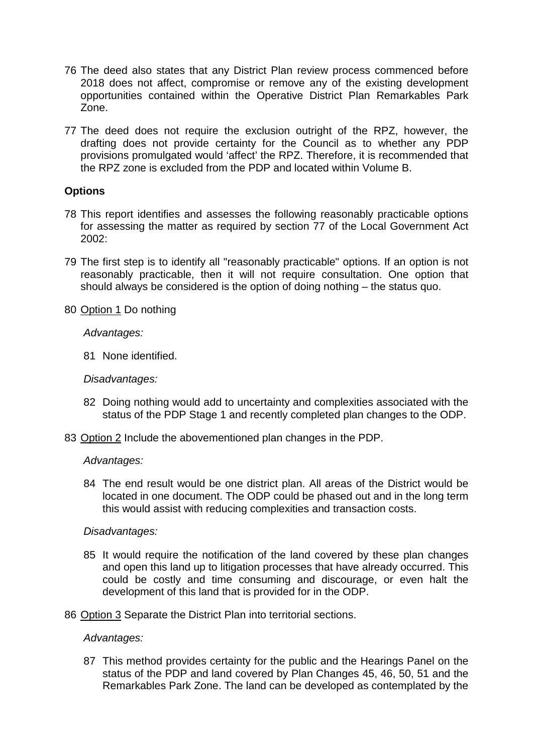- 76 The deed also states that any District Plan review process commenced before 2018 does not affect, compromise or remove any of the existing development opportunities contained within the Operative District Plan Remarkables Park Zone.
- 77 The deed does not require the exclusion outright of the RPZ, however, the drafting does not provide certainty for the Council as to whether any PDP provisions promulgated would 'affect' the RPZ. Therefore, it is recommended that the RPZ zone is excluded from the PDP and located within Volume B.

## **Options**

- 78 This report identifies and assesses the following reasonably practicable options for assessing the matter as required by section 77 of the Local Government Act  $2002 -$
- 79 The first step is to identify all "reasonably practicable" options. If an option is not reasonably practicable, then it will not require consultation. One option that should always be considered is the option of doing nothing – the status quo.
- 80 Option 1 Do nothing

*Advantages:*

81 None identified.

*Disadvantages:*

- 82 Doing nothing would add to uncertainty and complexities associated with the status of the PDP Stage 1 and recently completed plan changes to the ODP.
- 83 Option 2 Include the abovementioned plan changes in the PDP.

*Advantages:*

84 The end result would be one district plan. All areas of the District would be located in one document. The ODP could be phased out and in the long term this would assist with reducing complexities and transaction costs.

## *Disadvantages:*

- 85 It would require the notification of the land covered by these plan changes and open this land up to litigation processes that have already occurred. This could be costly and time consuming and discourage, or even halt the development of this land that is provided for in the ODP.
- 86 Option 3 Separate the District Plan into territorial sections.

#### *Advantages:*

87 This method provides certainty for the public and the Hearings Panel on the status of the PDP and land covered by Plan Changes 45, 46, 50, 51 and the Remarkables Park Zone. The land can be developed as contemplated by the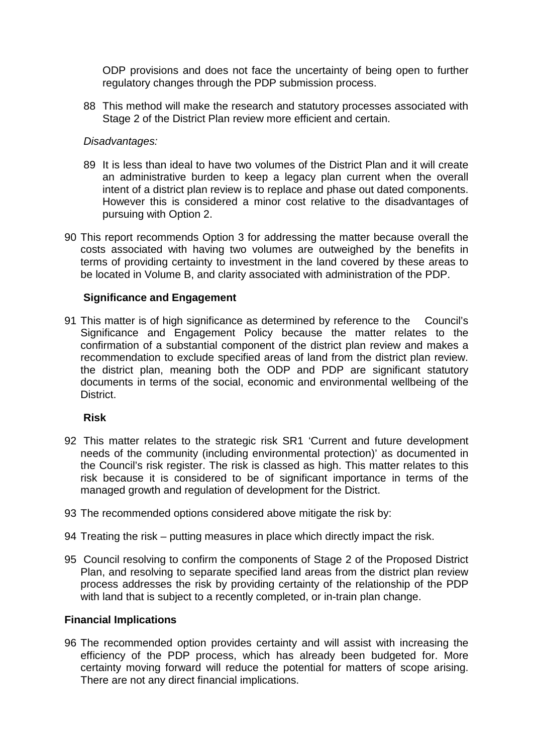ODP provisions and does not face the uncertainty of being open to further regulatory changes through the PDP submission process.

88 This method will make the research and statutory processes associated with Stage 2 of the District Plan review more efficient and certain.

## *Disadvantages:*

- 89 It is less than ideal to have two volumes of the District Plan and it will create an administrative burden to keep a legacy plan current when the overall intent of a district plan review is to replace and phase out dated components. However this is considered a minor cost relative to the disadvantages of pursuing with Option 2.
- 90 This report recommends Option 3 for addressing the matter because overall the costs associated with having two volumes are outweighed by the benefits in terms of providing certainty to investment in the land covered by these areas to be located in Volume B, and clarity associated with administration of the PDP.

## **Significance and Engagement**

91 This matter is of high significance as determined by reference to the [Council's](http://www.qldc.govt.nz/assets/Uploads/Council-Documents/Policies/Finance/QLDC-Significance-and-Engagement-Policy.pdf)  [Significance and Engagement Policy](http://www.qldc.govt.nz/assets/Uploads/Council-Documents/Policies/Finance/QLDC-Significance-and-Engagement-Policy.pdf) because the matter relates to the confirmation of a substantial component of the district plan review and makes a recommendation to exclude specified areas of land from the district plan review. the district plan, meaning both the ODP and PDP are significant statutory documents in terms of the social, economic and environmental wellbeing of the **District.** 

## **Risk**

- 92 This matter relates to the strategic risk SR1 'Current and future development needs of the community (including environmental protection)' as documented in the Council's risk register. The risk is classed as high. This matter relates to this risk because it is considered to be of significant importance in terms of the managed growth and regulation of development for the District.
- 93 The recommended options considered above mitigate the risk by:
- 94 Treating the risk putting measures in place which directly impact the risk.
- 95 Council resolving to confirm the components of Stage 2 of the Proposed District Plan, and resolving to separate specified land areas from the district plan review process addresses the risk by providing certainty of the relationship of the PDP with land that is subject to a recently completed, or in-train plan change.

## **Financial Implications**

96 The recommended option provides certainty and will assist with increasing the efficiency of the PDP process, which has already been budgeted for. More certainty moving forward will reduce the potential for matters of scope arising. There are not any direct financial implications.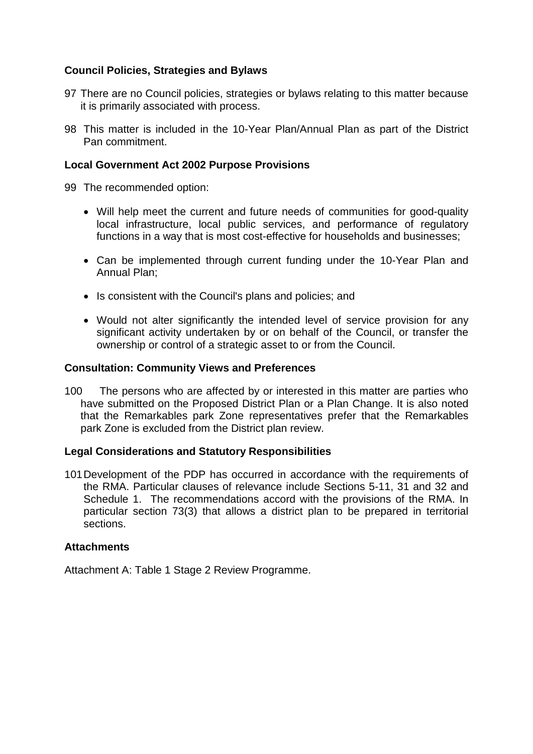## **Council Policies, Strategies and Bylaws**

- 97 There are no Council policies, strategies or bylaws relating to this matter because it is primarily associated with process.
- 98 This matter is included in the 10-Year Plan/Annual Plan as part of the District Pan commitment.

## **Local Government Act 2002 Purpose Provisions**

- 99 The recommended option:
	- Will help meet the current and future needs of communities for good-quality local infrastructure, local public services, and performance of regulatory functions in a way that is most cost-effective for households and businesses;
	- Can be implemented through current funding under the 10-Year Plan and Annual Plan;
	- Is consistent with the Council's plans and policies; and
	- Would not alter significantly the intended level of service provision for any significant activity undertaken by or on behalf of the Council, or transfer the ownership or control of a strategic asset to or from the Council.

## **Consultation: Community Views and Preferences**

100 The persons who are affected by or interested in this matter are parties who have submitted on the Proposed District Plan or a Plan Change. It is also noted that the Remarkables park Zone representatives prefer that the Remarkables park Zone is excluded from the District plan review.

## **Legal Considerations and Statutory Responsibilities**

101Development of the PDP has occurred in accordance with the requirements of the RMA. Particular clauses of relevance include Sections 5-11, 31 and 32 and Schedule 1. The recommendations accord with the provisions of the RMA. In particular section 73(3) that allows a district plan to be prepared in territorial sections.

#### **Attachments**

Attachment A: Table 1 Stage 2 Review Programme.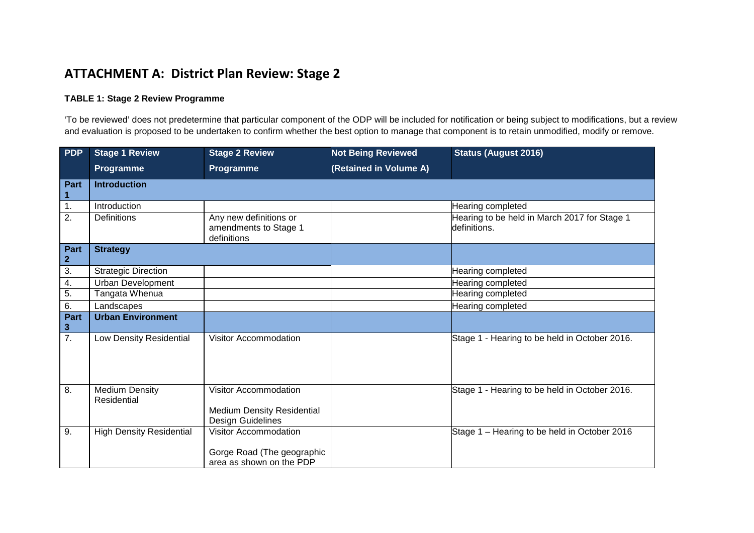# **ATTACHMENT A: District Plan Review: Stage 2**

#### **TABLE 1: Stage 2 Review Programme**

'To be reviewed' does not predetermine that particular component of the ODP will be included for notification or being subject to modifications, but a review and evaluation is proposed to be undertaken to confirm whether the best option to manage that component is to retain unmodified, modify or remove.

| <b>PDP</b>           | <b>Stage 1 Review</b>                | <b>Stage 2 Review</b>                                                                  | <b>Not Being Reviewed</b> | <b>Status (August 2016)</b>                                  |
|----------------------|--------------------------------------|----------------------------------------------------------------------------------------|---------------------------|--------------------------------------------------------------|
|                      | <b>Programme</b>                     | Programme                                                                              | (Retained in Volume A)    |                                                              |
| <b>Part</b>          | <b>Introduction</b>                  |                                                                                        |                           |                                                              |
| 1.                   | Introduction                         |                                                                                        |                           | Hearing completed                                            |
| $\overline{2}$ .     | Definitions                          | Any new definitions or<br>amendments to Stage 1<br>definitions                         |                           | Hearing to be held in March 2017 for Stage 1<br>definitions. |
| Part<br>$\mathbf{2}$ | <b>Strategy</b>                      |                                                                                        |                           |                                                              |
| $\overline{3}$ .     | <b>Strategic Direction</b>           |                                                                                        |                           | Hearing completed                                            |
| 4.                   | <b>Urban Development</b>             |                                                                                        |                           | Hearing completed                                            |
| $\overline{5}$ .     | Tangata Whenua                       |                                                                                        |                           | Hearing completed                                            |
| 6.                   | Landscapes                           |                                                                                        |                           | Hearing completed                                            |
| Part<br>$\mathbf{3}$ | <b>Urban Environment</b>             |                                                                                        |                           |                                                              |
| $\overline{7}$ .     | Low Density Residential              | Visitor Accommodation                                                                  |                           | Stage 1 - Hearing to be held in October 2016.                |
| 8.                   | <b>Medium Density</b><br>Residential | <b>Visitor Accommodation</b><br><b>Medium Density Residential</b><br>Design Guidelines |                           | Stage 1 - Hearing to be held in October 2016.                |
| 9.                   | <b>High Density Residential</b>      | <b>Visitor Accommodation</b><br>Gorge Road (The geographic<br>area as shown on the PDP |                           | Stage 1 - Hearing to be held in October 2016                 |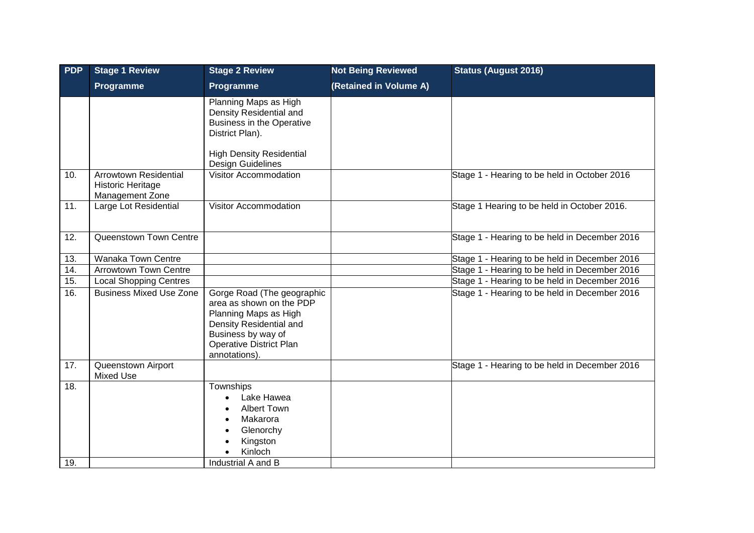| <b>PDP</b> | <b>Stage 1 Review</b>                                                | <b>Stage 2 Review</b>                                                                                                                                                               | <b>Not Being Reviewed</b> | <b>Status (August 2016)</b>                   |
|------------|----------------------------------------------------------------------|-------------------------------------------------------------------------------------------------------------------------------------------------------------------------------------|---------------------------|-----------------------------------------------|
|            | Programme                                                            | <b>Programme</b>                                                                                                                                                                    | (Retained in Volume A)    |                                               |
|            |                                                                      | Planning Maps as High<br>Density Residential and<br><b>Business in the Operative</b><br>District Plan).<br><b>High Density Residential</b>                                          |                           |                                               |
| 10.        | <b>Arrowtown Residential</b><br>Historic Heritage<br>Management Zone | Design Guidelines<br><b>Visitor Accommodation</b>                                                                                                                                   |                           | Stage 1 - Hearing to be held in October 2016  |
| 11.        | Large Lot Residential                                                | Visitor Accommodation                                                                                                                                                               |                           | Stage 1 Hearing to be held in October 2016.   |
| 12.        | Queenstown Town Centre                                               |                                                                                                                                                                                     |                           | Stage 1 - Hearing to be held in December 2016 |
| 13.        | Wanaka Town Centre                                                   |                                                                                                                                                                                     |                           | Stage 1 - Hearing to be held in December 2016 |
| 14.        | <b>Arrowtown Town Centre</b>                                         |                                                                                                                                                                                     |                           | Stage 1 - Hearing to be held in December 2016 |
| 15.        | <b>Local Shopping Centres</b>                                        |                                                                                                                                                                                     |                           | Stage 1 - Hearing to be held in December 2016 |
| 16.        | <b>Business Mixed Use Zone</b>                                       | Gorge Road (The geographic<br>area as shown on the PDP<br>Planning Maps as High<br>Density Residential and<br>Business by way of<br><b>Operative District Plan</b><br>annotations). |                           | Stage 1 - Hearing to be held in December 2016 |
| 17.        | Queenstown Airport<br><b>Mixed Use</b>                               |                                                                                                                                                                                     |                           | Stage 1 - Hearing to be held in December 2016 |
| 18.<br>19. |                                                                      | Townships<br>Lake Hawea<br><b>Albert Town</b><br>Makarora<br>Glenorchy<br>Kingston<br>Kinloch<br>Industrial A and B                                                                 |                           |                                               |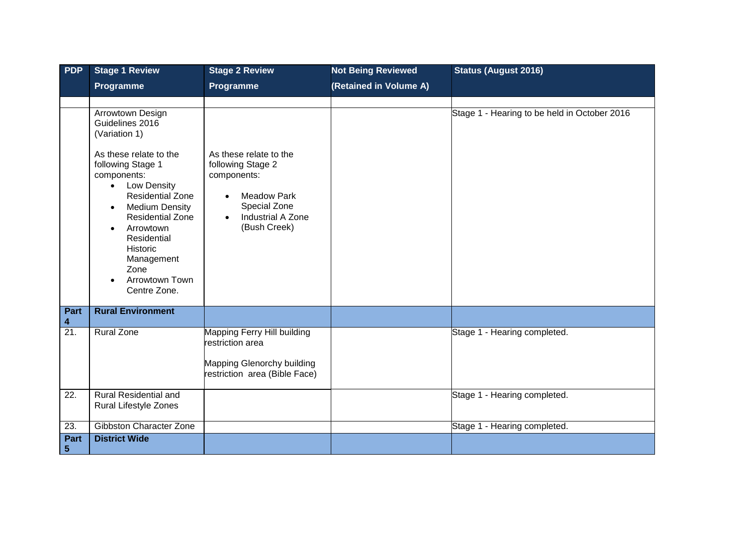| PDP                       | <b>Stage 1 Review</b>                                                                                                                                                                                                                                                                                                                                          | <b>Stage 2 Review</b>                                                                                                                                                  | <b>Not Being Reviewed</b> | <b>Status (August 2016)</b>                  |
|---------------------------|----------------------------------------------------------------------------------------------------------------------------------------------------------------------------------------------------------------------------------------------------------------------------------------------------------------------------------------------------------------|------------------------------------------------------------------------------------------------------------------------------------------------------------------------|---------------------------|----------------------------------------------|
|                           | Programme                                                                                                                                                                                                                                                                                                                                                      | Programme                                                                                                                                                              | (Retained in Volume A)    |                                              |
|                           |                                                                                                                                                                                                                                                                                                                                                                |                                                                                                                                                                        |                           |                                              |
|                           | Arrowtown Design<br>Guidelines 2016<br>(Variation 1)<br>As these relate to the<br>following Stage 1<br>components:<br>Low Density<br>$\bullet$<br><b>Residential Zone</b><br><b>Medium Density</b><br>$\bullet$<br><b>Residential Zone</b><br>Arrowtown<br>$\bullet$<br>Residential<br><b>Historic</b><br>Management<br>Zone<br>Arrowtown Town<br>Centre Zone. | As these relate to the<br>following Stage 2<br>components:<br><b>Meadow Park</b><br>$\bullet$<br>Special Zone<br><b>Industrial A Zone</b><br>$\bullet$<br>(Bush Creek) |                           | Stage 1 - Hearing to be held in October 2016 |
| <b>Part</b><br>4          | <b>Rural Environment</b>                                                                                                                                                                                                                                                                                                                                       |                                                                                                                                                                        |                           |                                              |
| $\overline{21}$ .         | <b>Rural Zone</b>                                                                                                                                                                                                                                                                                                                                              | Mapping Ferry Hill building<br>restriction area<br>Mapping Glenorchy building<br>restriction area (Bible Face)                                                         |                           | Stage 1 - Hearing completed.                 |
| 22.                       | <b>Rural Residential and</b><br>Rural Lifestyle Zones                                                                                                                                                                                                                                                                                                          |                                                                                                                                                                        |                           | Stage 1 - Hearing completed.                 |
| 23.                       | Gibbston Character Zone                                                                                                                                                                                                                                                                                                                                        |                                                                                                                                                                        |                           | Stage 1 - Hearing completed.                 |
| <b>Part</b><br>$\sqrt{5}$ | <b>District Wide</b>                                                                                                                                                                                                                                                                                                                                           |                                                                                                                                                                        |                           |                                              |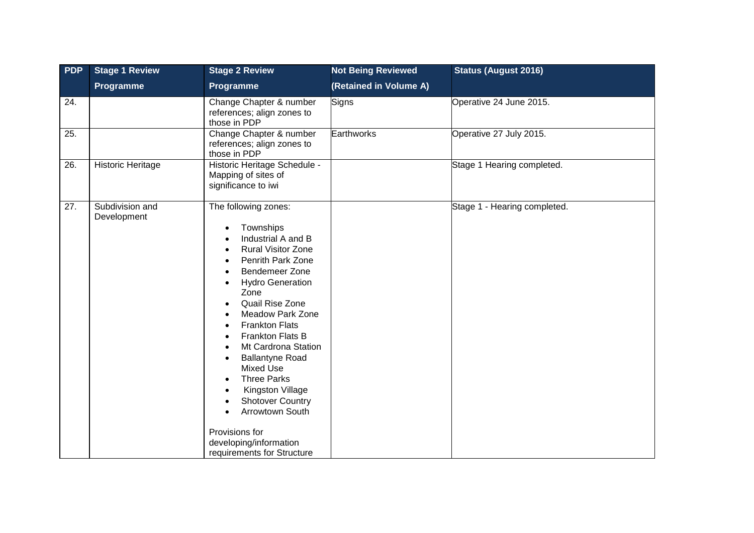| <b>PDP</b> | <b>Stage 1 Review</b>          | <b>Stage 2 Review</b>                                                                                                                                                                                                                                                                                                                                                                                                                                                                                                                                                                                           | <b>Not Being Reviewed</b> | <b>Status (August 2016)</b>  |
|------------|--------------------------------|-----------------------------------------------------------------------------------------------------------------------------------------------------------------------------------------------------------------------------------------------------------------------------------------------------------------------------------------------------------------------------------------------------------------------------------------------------------------------------------------------------------------------------------------------------------------------------------------------------------------|---------------------------|------------------------------|
|            | Programme                      | Programme                                                                                                                                                                                                                                                                                                                                                                                                                                                                                                                                                                                                       | (Retained in Volume A)    |                              |
| 24.        |                                | Change Chapter & number<br>references; align zones to<br>those in PDP                                                                                                                                                                                                                                                                                                                                                                                                                                                                                                                                           | Signs                     | Operative 24 June 2015.      |
| 25.        |                                | Change Chapter & number<br>references; align zones to<br>those in PDP                                                                                                                                                                                                                                                                                                                                                                                                                                                                                                                                           | Earthworks                | Operative 27 July 2015.      |
| 26.        | <b>Historic Heritage</b>       | Historic Heritage Schedule -<br>Mapping of sites of<br>significance to iwi                                                                                                                                                                                                                                                                                                                                                                                                                                                                                                                                      |                           | Stage 1 Hearing completed.   |
| 27.        | Subdivision and<br>Development | The following zones:<br>Townships<br>$\bullet$<br>Industrial A and B<br><b>Rural Visitor Zone</b><br><b>Penrith Park Zone</b><br>Bendemeer Zone<br><b>Hydro Generation</b><br>$\bullet$<br>Zone<br>Quail Rise Zone<br><b>Meadow Park Zone</b><br><b>Frankton Flats</b><br>$\bullet$<br>Frankton Flats B<br>$\bullet$<br>Mt Cardrona Station<br><b>Ballantyne Road</b><br>$\bullet$<br><b>Mixed Use</b><br><b>Three Parks</b><br>$\bullet$<br>Kingston Village<br>$\bullet$<br><b>Shotover Country</b><br>Arrowtown South<br>$\bullet$<br>Provisions for<br>developing/information<br>requirements for Structure |                           | Stage 1 - Hearing completed. |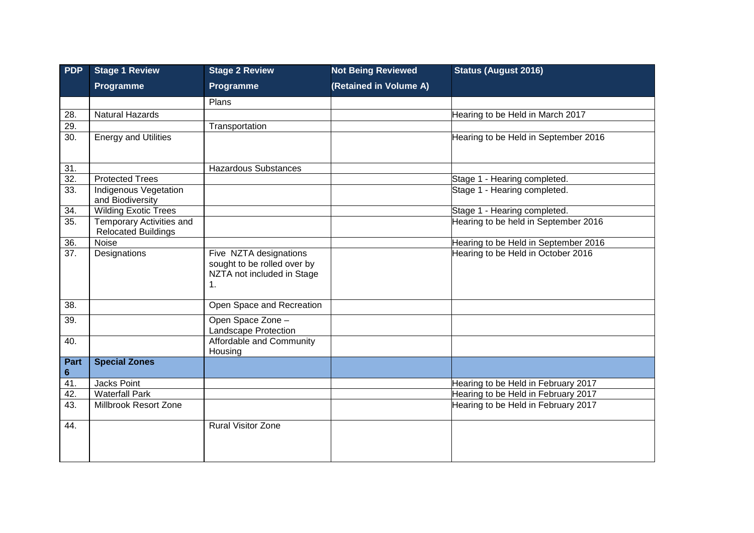| <b>PDP</b>        | <b>Stage 1 Review</b>                                         | <b>Stage 2 Review</b>                                                                                | <b>Not Being Reviewed</b> | <b>Status (August 2016)</b>          |
|-------------------|---------------------------------------------------------------|------------------------------------------------------------------------------------------------------|---------------------------|--------------------------------------|
|                   | Programme                                                     | Programme                                                                                            | (Retained in Volume A)    |                                      |
|                   |                                                               | Plans                                                                                                |                           |                                      |
| 28.               | <b>Natural Hazards</b>                                        |                                                                                                      |                           | Hearing to be Held in March 2017     |
| 29.               |                                                               | Transportation                                                                                       |                           |                                      |
| 30.               | <b>Energy and Utilities</b>                                   |                                                                                                      |                           | Hearing to be Held in September 2016 |
| 31.               |                                                               | <b>Hazardous Substances</b>                                                                          |                           |                                      |
| $\overline{32}$ . | <b>Protected Trees</b>                                        |                                                                                                      |                           | Stage 1 - Hearing completed.         |
| 33.               | <b>Indigenous Vegetation</b><br>and Biodiversity              |                                                                                                      |                           | Stage 1 - Hearing completed.         |
| 34.               | <b>Wilding Exotic Trees</b>                                   |                                                                                                      |                           | Stage 1 - Hearing completed.         |
| 35.               | <b>Temporary Activities and</b><br><b>Relocated Buildings</b> |                                                                                                      |                           | Hearing to be held in September 2016 |
| 36.               | Noise                                                         |                                                                                                      |                           | Hearing to be Held in September 2016 |
| 37.               | Designations                                                  | Five NZTA designations<br>sought to be rolled over by<br>NZTA not included in Stage<br>$\mathbf 1$ . |                           | Hearing to be Held in October 2016   |
| 38.               |                                                               | Open Space and Recreation                                                                            |                           |                                      |
| 39.               |                                                               | Open Space Zone -<br>Landscape Protection                                                            |                           |                                      |
| 40.               |                                                               | Affordable and Community<br>Housing                                                                  |                           |                                      |
| Part<br>6         | <b>Special Zones</b>                                          |                                                                                                      |                           |                                      |
| 41.               | Jacks Point                                                   |                                                                                                      |                           | Hearing to be Held in February 2017  |
| 42.               | <b>Waterfall Park</b>                                         |                                                                                                      |                           | Hearing to be Held in February 2017  |
| 43.               | Millbrook Resort Zone                                         |                                                                                                      |                           | Hearing to be Held in February 2017  |
| 44.               |                                                               | <b>Rural Visitor Zone</b>                                                                            |                           |                                      |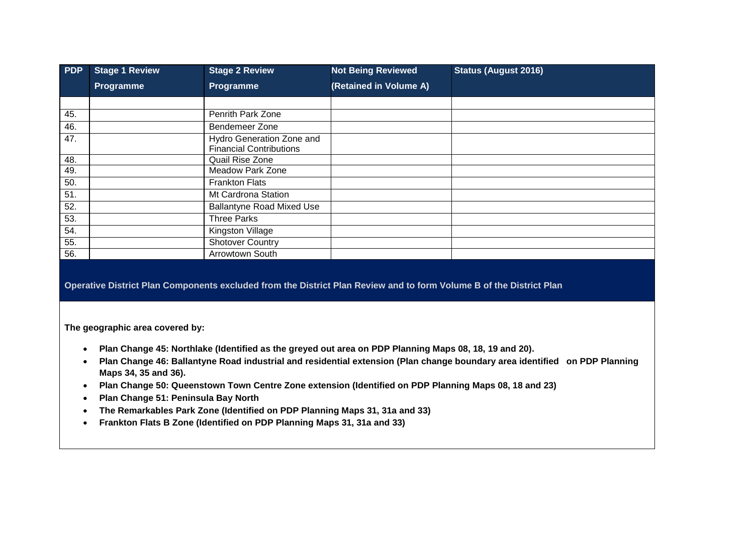| <b>PDP</b> | <b>Stage 1 Review</b> | <b>Stage 2 Review</b>                                       | <b>Not Being Reviewed</b> | <b>Status (August 2016)</b> |
|------------|-----------------------|-------------------------------------------------------------|---------------------------|-----------------------------|
|            | Programme             | Programme                                                   | (Retained in Volume A)    |                             |
|            |                       |                                                             |                           |                             |
| 45.        |                       | Penrith Park Zone                                           |                           |                             |
| 46.        |                       | Bendemeer Zone                                              |                           |                             |
| 47.        |                       | Hydro Generation Zone and<br><b>Financial Contributions</b> |                           |                             |
| 48.        |                       | Quail Rise Zone                                             |                           |                             |
| 49.        |                       | <b>Meadow Park Zone</b>                                     |                           |                             |
| 50.        |                       | <b>Frankton Flats</b>                                       |                           |                             |
| 51.        |                       | Mt Cardrona Station                                         |                           |                             |
| 52.        |                       | <b>Ballantyne Road Mixed Use</b>                            |                           |                             |
| 53.        |                       | <b>Three Parks</b>                                          |                           |                             |
| 54.        |                       | Kingston Village                                            |                           |                             |
| 55.        |                       | <b>Shotover Country</b>                                     |                           |                             |
| 56.        |                       | Arrowtown South                                             |                           |                             |

**Operative District Plan Components excluded from the District Plan Review and to form Volume B of the District Plan**

**The geographic area covered by:**

- **Plan Change 45: Northlake (Identified as the greyed out area on PDP Planning Maps 08, 18, 19 and 20).**
- **Plan Change 46: Ballantyne Road industrial and residential extension (Plan change boundary area identified on PDP Planning Maps 34, 35 and 36).**
- **Plan Change 50: Queenstown Town Centre Zone extension (Identified on PDP Planning Maps 08, 18 and 23)**
- **Plan Change 51: Peninsula Bay North**
- **The Remarkables Park Zone (Identified on PDP Planning Maps 31, 31a and 33)**
- **Frankton Flats B Zone (Identified on PDP Planning Maps 31, 31a and 33)**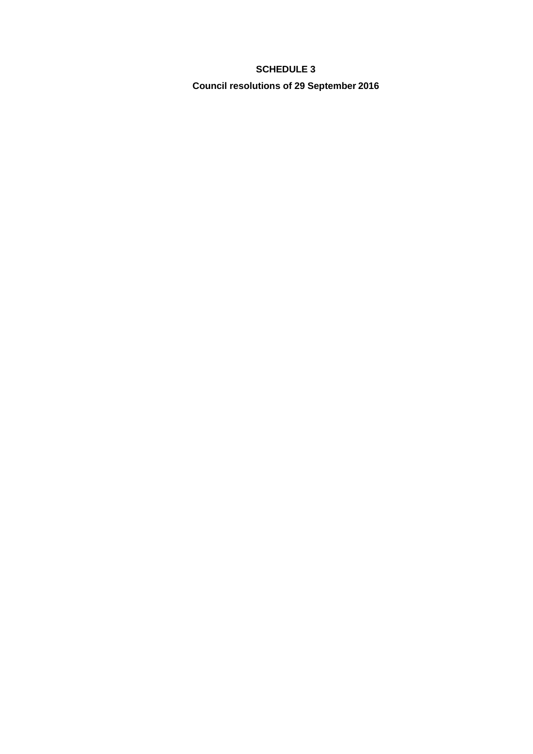## **SCHEDULE 3**

**Council resolutions of 29 September 2016**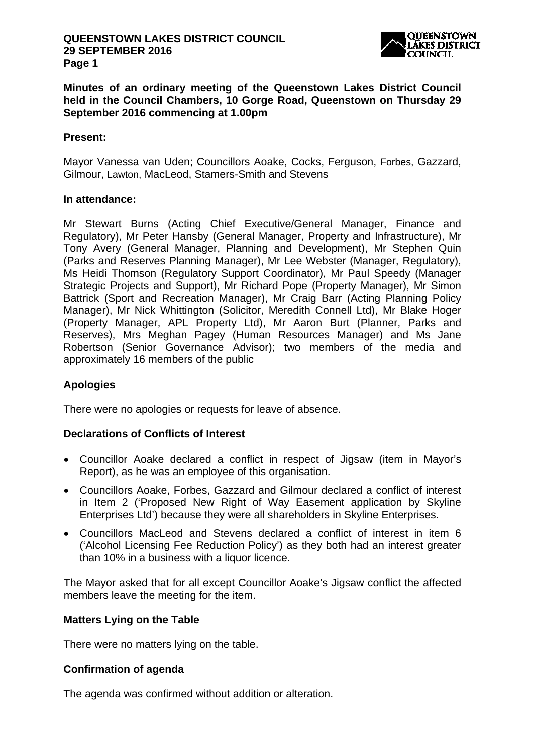

**Minutes of an ordinary meeting of the Queenstown Lakes District Council held in the Council Chambers, 10 Gorge Road, Queenstown on Thursday 29 September 2016 commencing at 1.00pm** 

#### **Present:**

Mayor Vanessa van Uden; Councillors Aoake, Cocks, Ferguson, Forbes, Gazzard, Gilmour, Lawton, MacLeod, Stamers-Smith and Stevens

#### **In attendance:**

Mr Stewart Burns (Acting Chief Executive/General Manager, Finance and Regulatory), Mr Peter Hansby (General Manager, Property and Infrastructure), Mr Tony Avery (General Manager, Planning and Development), Mr Stephen Quin (Parks and Reserves Planning Manager), Mr Lee Webster (Manager, Regulatory), Ms Heidi Thomson (Regulatory Support Coordinator), Mr Paul Speedy (Manager Strategic Projects and Support), Mr Richard Pope (Property Manager), Mr Simon Battrick (Sport and Recreation Manager), Mr Craig Barr (Acting Planning Policy Manager), Mr Nick Whittington (Solicitor, Meredith Connell Ltd), Mr Blake Hoger (Property Manager, APL Property Ltd), Mr Aaron Burt (Planner, Parks and Reserves), Mrs Meghan Pagey (Human Resources Manager) and Ms Jane Robertson (Senior Governance Advisor); two members of the media and approximately 16 members of the public

## **Apologies**

There were no apologies or requests for leave of absence.

## **Declarations of Conflicts of Interest**

- Councillor Aoake declared a conflict in respect of Jigsaw (item in Mayor's Report), as he was an employee of this organisation.
- Councillors Aoake, Forbes, Gazzard and Gilmour declared a conflict of interest in Item 2 ('Proposed New Right of Way Easement application by Skyline Enterprises Ltd') because they were all shareholders in Skyline Enterprises.
- Councillors MacLeod and Stevens declared a conflict of interest in item 6 ('Alcohol Licensing Fee Reduction Policy') as they both had an interest greater than 10% in a business with a liquor licence.

The Mayor asked that for all except Councillor Aoake's Jigsaw conflict the affected members leave the meeting for the item.

## **Matters Lying on the Table**

There were no matters lying on the table.

## **Confirmation of agenda**

The agenda was confirmed without addition or alteration.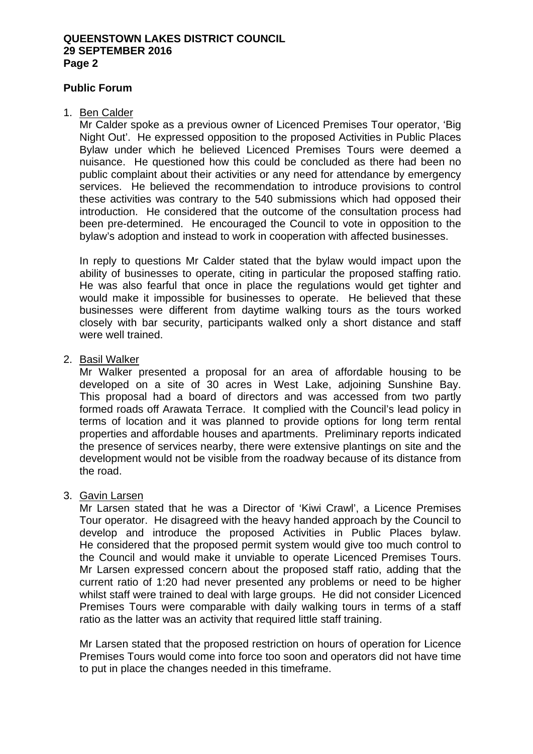## **Public Forum**

#### 1. Ben Calder

Mr Calder spoke as a previous owner of Licenced Premises Tour operator, 'Big Night Out'. He expressed opposition to the proposed Activities in Public Places Bylaw under which he believed Licenced Premises Tours were deemed a nuisance. He questioned how this could be concluded as there had been no public complaint about their activities or any need for attendance by emergency services. He believed the recommendation to introduce provisions to control these activities was contrary to the 540 submissions which had opposed their introduction. He considered that the outcome of the consultation process had been pre-determined. He encouraged the Council to vote in opposition to the bylaw's adoption and instead to work in cooperation with affected businesses.

In reply to questions Mr Calder stated that the bylaw would impact upon the ability of businesses to operate, citing in particular the proposed staffing ratio. He was also fearful that once in place the regulations would get tighter and would make it impossible for businesses to operate. He believed that these businesses were different from daytime walking tours as the tours worked closely with bar security, participants walked only a short distance and staff were well trained.

## 2. Basil Walker

Mr Walker presented a proposal for an area of affordable housing to be developed on a site of 30 acres in West Lake, adjoining Sunshine Bay. This proposal had a board of directors and was accessed from two partly formed roads off Arawata Terrace. It complied with the Council's lead policy in terms of location and it was planned to provide options for long term rental properties and affordable houses and apartments. Preliminary reports indicated the presence of services nearby, there were extensive plantings on site and the development would not be visible from the roadway because of its distance from the road.

#### 3. Gavin Larsen

Mr Larsen stated that he was a Director of 'Kiwi Crawl', a Licence Premises Tour operator. He disagreed with the heavy handed approach by the Council to develop and introduce the proposed Activities in Public Places bylaw. He considered that the proposed permit system would give too much control to the Council and would make it unviable to operate Licenced Premises Tours. Mr Larsen expressed concern about the proposed staff ratio, adding that the current ratio of 1:20 had never presented any problems or need to be higher whilst staff were trained to deal with large groups. He did not consider Licenced Premises Tours were comparable with daily walking tours in terms of a staff ratio as the latter was an activity that required little staff training.

Mr Larsen stated that the proposed restriction on hours of operation for Licence Premises Tours would come into force too soon and operators did not have time to put in place the changes needed in this timeframe.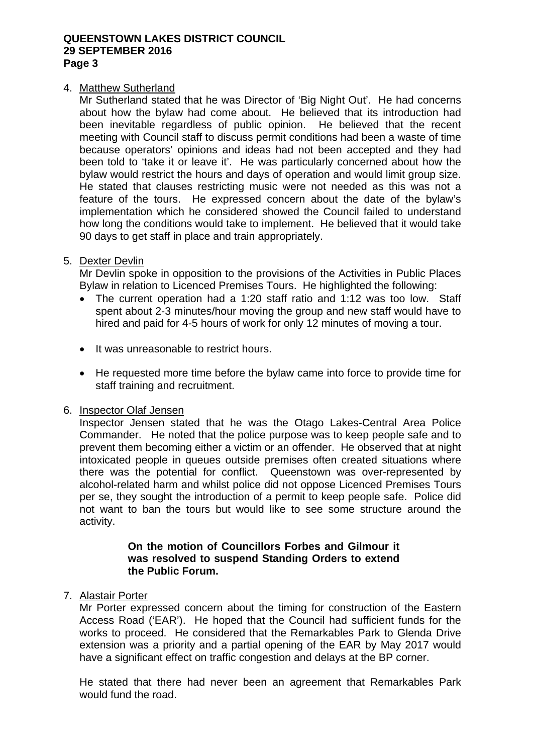## 4. Matthew Sutherland

Mr Sutherland stated that he was Director of 'Big Night Out'. He had concerns about how the bylaw had come about. He believed that its introduction had been inevitable regardless of public opinion. He believed that the recent meeting with Council staff to discuss permit conditions had been a waste of time because operators' opinions and ideas had not been accepted and they had been told to 'take it or leave it'. He was particularly concerned about how the bylaw would restrict the hours and days of operation and would limit group size. He stated that clauses restricting music were not needed as this was not a feature of the tours. He expressed concern about the date of the bylaw's implementation which he considered showed the Council failed to understand how long the conditions would take to implement. He believed that it would take 90 days to get staff in place and train appropriately.

## 5. Dexter Devlin

Mr Devlin spoke in opposition to the provisions of the Activities in Public Places Bylaw in relation to Licenced Premises Tours. He highlighted the following:

- The current operation had a 1:20 staff ratio and 1:12 was too low. Staff spent about 2-3 minutes/hour moving the group and new staff would have to hired and paid for 4-5 hours of work for only 12 minutes of moving a tour.
- It was unreasonable to restrict hours.
- He requested more time before the bylaw came into force to provide time for staff training and recruitment.

#### 6. Inspector Olaf Jensen

Inspector Jensen stated that he was the Otago Lakes-Central Area Police Commander. He noted that the police purpose was to keep people safe and to prevent them becoming either a victim or an offender. He observed that at night intoxicated people in queues outside premises often created situations where there was the potential for conflict. Queenstown was over-represented by alcohol-related harm and whilst police did not oppose Licenced Premises Tours per se, they sought the introduction of a permit to keep people safe. Police did not want to ban the tours but would like to see some structure around the activity.

## **On the motion of Councillors Forbes and Gilmour it was resolved to suspend Standing Orders to extend the Public Forum.**

## 7. Alastair Porter

Mr Porter expressed concern about the timing for construction of the Eastern Access Road ('EAR'). He hoped that the Council had sufficient funds for the works to proceed. He considered that the Remarkables Park to Glenda Drive extension was a priority and a partial opening of the EAR by May 2017 would have a significant effect on traffic congestion and delays at the BP corner.

He stated that there had never been an agreement that Remarkables Park would fund the road.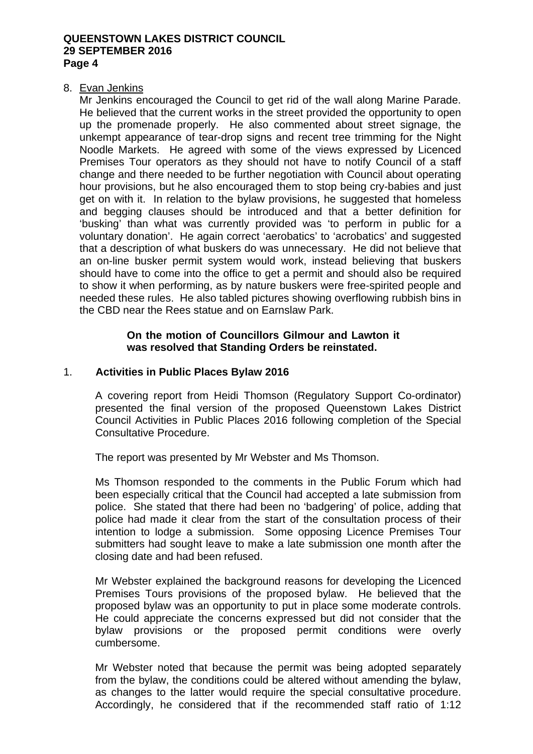#### 8. Evan Jenkins

Mr Jenkins encouraged the Council to get rid of the wall along Marine Parade. He believed that the current works in the street provided the opportunity to open up the promenade properly. He also commented about street signage, the unkempt appearance of tear-drop signs and recent tree trimming for the Night Noodle Markets. He agreed with some of the views expressed by Licenced Premises Tour operators as they should not have to notify Council of a staff change and there needed to be further negotiation with Council about operating hour provisions, but he also encouraged them to stop being cry-babies and just get on with it. In relation to the bylaw provisions, he suggested that homeless and begging clauses should be introduced and that a better definition for 'busking' than what was currently provided was 'to perform in public for a voluntary donation'. He again correct 'aerobatics' to 'acrobatics' and suggested that a description of what buskers do was unnecessary. He did not believe that an on-line busker permit system would work, instead believing that buskers should have to come into the office to get a permit and should also be required to show it when performing, as by nature buskers were free-spirited people and needed these rules. He also tabled pictures showing overflowing rubbish bins in the CBD near the Rees statue and on Earnslaw Park.

## **On the motion of Councillors Gilmour and Lawton it was resolved that Standing Orders be reinstated.**

## 1. **Activities in Public Places Bylaw 2016**

A covering report from Heidi Thomson (Regulatory Support Co-ordinator) presented the final version of the proposed Queenstown Lakes District Council Activities in Public Places 2016 following completion of the Special Consultative Procedure.

The report was presented by Mr Webster and Ms Thomson.

Ms Thomson responded to the comments in the Public Forum which had been especially critical that the Council had accepted a late submission from police. She stated that there had been no 'badgering' of police, adding that police had made it clear from the start of the consultation process of their intention to lodge a submission. Some opposing Licence Premises Tour submitters had sought leave to make a late submission one month after the closing date and had been refused.

Mr Webster explained the background reasons for developing the Licenced Premises Tours provisions of the proposed bylaw. He believed that the proposed bylaw was an opportunity to put in place some moderate controls. He could appreciate the concerns expressed but did not consider that the bylaw provisions or the proposed permit conditions were overly cumbersome.

Mr Webster noted that because the permit was being adopted separately from the bylaw, the conditions could be altered without amending the bylaw, as changes to the latter would require the special consultative procedure. Accordingly, he considered that if the recommended staff ratio of 1:12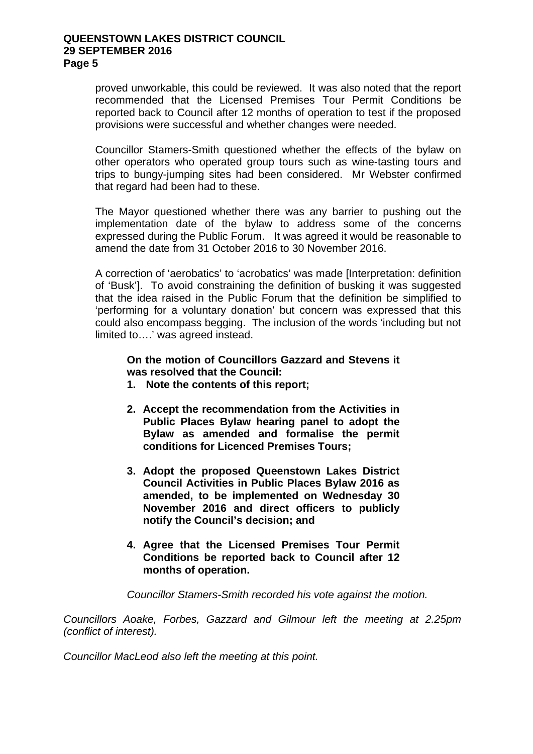proved unworkable, this could be reviewed. It was also noted that the report recommended that the Licensed Premises Tour Permit Conditions be reported back to Council after 12 months of operation to test if the proposed provisions were successful and whether changes were needed.

Councillor Stamers-Smith questioned whether the effects of the bylaw on other operators who operated group tours such as wine-tasting tours and trips to bungy-jumping sites had been considered. Mr Webster confirmed that regard had been had to these.

The Mayor questioned whether there was any barrier to pushing out the implementation date of the bylaw to address some of the concerns expressed during the Public Forum. It was agreed it would be reasonable to amend the date from 31 October 2016 to 30 November 2016.

A correction of 'aerobatics' to 'acrobatics' was made [Interpretation: definition of 'Busk']. To avoid constraining the definition of busking it was suggested that the idea raised in the Public Forum that the definition be simplified to 'performing for a voluntary donation' but concern was expressed that this could also encompass begging. The inclusion of the words 'including but not limited to….' was agreed instead.

**On the motion of Councillors Gazzard and Stevens it was resolved that the Council:** 

- **1. Note the contents of this report;**
- **2. Accept the recommendation from the Activities in Public Places Bylaw hearing panel to adopt the Bylaw as amended and formalise the permit conditions for Licenced Premises Tours;**
- **3. Adopt the proposed Queenstown Lakes District Council Activities in Public Places Bylaw 2016 as amended, to be implemented on Wednesday 30 November 2016 and direct officers to publicly notify the Council's decision; and**
- **4. Agree that the Licensed Premises Tour Permit Conditions be reported back to Council after 12 months of operation.**

*Councillor Stamers-Smith recorded his vote against the motion.* 

*Councillors Aoake, Forbes, Gazzard and Gilmour left the meeting at 2.25pm (conflict of interest).* 

*Councillor MacLeod also left the meeting at this point.*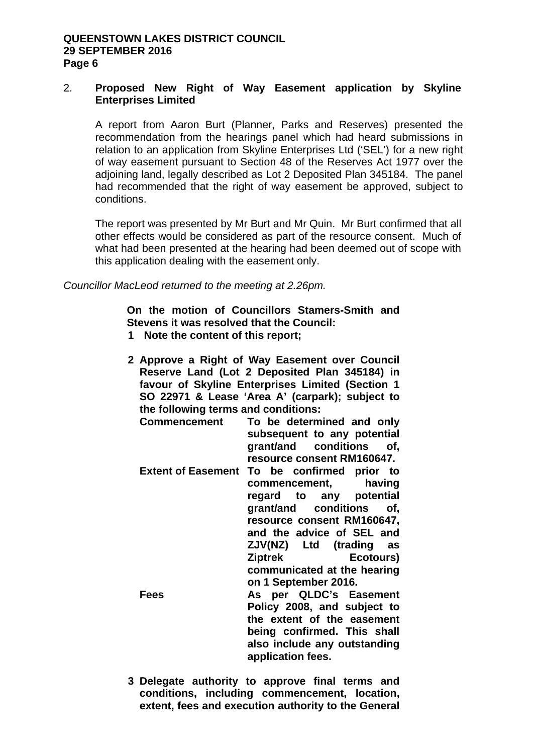## 2. **Proposed New Right of Way Easement application by Skyline Enterprises Limited**

A report from Aaron Burt (Planner, Parks and Reserves) presented the recommendation from the hearings panel which had heard submissions in relation to an application from Skyline Enterprises Ltd ('SEL') for a new right of way easement pursuant to Section 48 of the Reserves Act 1977 over the adjoining land, legally described as Lot 2 Deposited Plan 345184. The panel had recommended that the right of way easement be approved, subject to conditions.

The report was presented by Mr Burt and Mr Quin. Mr Burt confirmed that all other effects would be considered as part of the resource consent. Much of what had been presented at the hearing had been deemed out of scope with this application dealing with the easement only.

*Councillor MacLeod returned to the meeting at 2.26pm.* 

**On the motion of Councillors Stamers-Smith and Stevens it was resolved that the Council:** 

- **1 Note the content of this report;**
- **2 Approve a Right of Way Easement over Council Reserve Land (Lot 2 Deposited Plan 345184) in favour of Skyline Enterprises Limited (Section 1 SO 22971 & Lease 'Area A' (carpark); subject to the following terms and conditions:** 
	- To be determined and only **subsequent to any potential grant/and conditions of, resource consent RM160647.**
	- **Extent of Easement To be confirmed prior to commencement, having**  regard to any pote<br> **grant/and conditions grant/and conditions of, resource consent RM160647, and the advice of SEL and ZJV(NZ) Ltd (trading as Ziptrek Ecotours) communicated at the hearing on 1 September 2016.**  Fees As per QLDC's Easement **Policy 2008, and subject to the extent of the easement being confirmed. This shall also include any outstanding**
- **3 Delegate authority to approve final terms and conditions, including commencement, location, extent, fees and execution authority to the General**

**application fees.**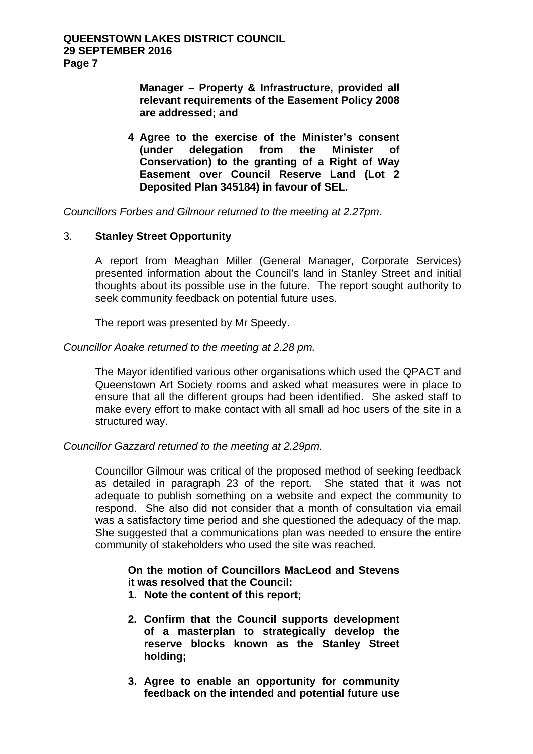**Manager – Property & Infrastructure, provided all relevant requirements of the Easement Policy 2008 are addressed; and** 

**4 Agree to the exercise of the Minister's consent (under delegation from the Minister of Conservation) to the granting of a Right of Way Easement over Council Reserve Land (Lot 2 Deposited Plan 345184) in favour of SEL.** 

*Councillors Forbes and Gilmour returned to the meeting at 2.27pm.* 

## 3. **Stanley Street Opportunity**

A report from Meaghan Miller (General Manager, Corporate Services) presented information about the Council's land in Stanley Street and initial thoughts about its possible use in the future. The report sought authority to seek community feedback on potential future uses.

The report was presented by Mr Speedy.

## *Councillor Aoake returned to the meeting at 2.28 pm.*

The Mayor identified various other organisations which used the QPACT and Queenstown Art Society rooms and asked what measures were in place to ensure that all the different groups had been identified. She asked staff to make every effort to make contact with all small ad hoc users of the site in a structured way.

*Councillor Gazzard returned to the meeting at 2.29pm.* 

Councillor Gilmour was critical of the proposed method of seeking feedback as detailed in paragraph 23 of the report. She stated that it was not adequate to publish something on a website and expect the community to respond. She also did not consider that a month of consultation via email was a satisfactory time period and she questioned the adequacy of the map. She suggested that a communications plan was needed to ensure the entire community of stakeholders who used the site was reached.

## **On the motion of Councillors MacLeod and Stevens it was resolved that the Council:**

- **1. Note the content of this report;**
- **2. Confirm that the Council supports development of a masterplan to strategically develop the reserve blocks known as the Stanley Street holding;**
- **3. Agree to enable an opportunity for community feedback on the intended and potential future use**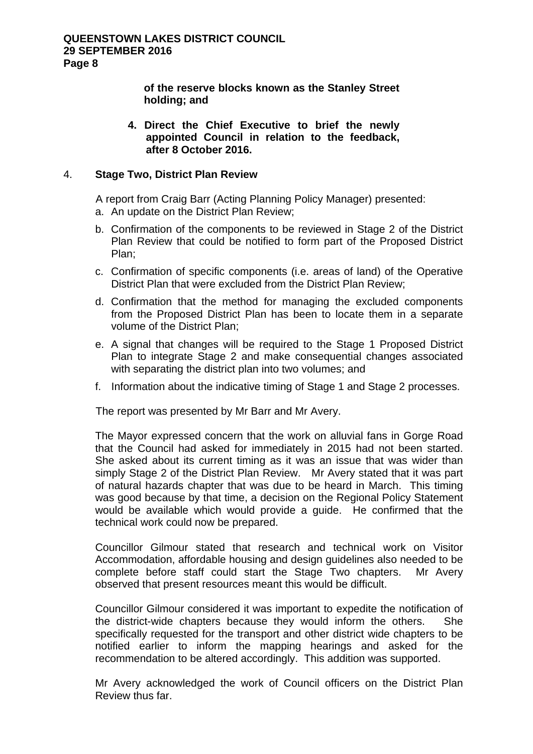**of the reserve blocks known as the Stanley Street holding; and** 

**4. Direct the Chief Executive to brief the newly appointed Council in relation to the feedback, after 8 October 2016.**

## 4. **Stage Two, District Plan Review**

A report from Craig Barr (Acting Planning Policy Manager) presented:

- a. An update on the District Plan Review;
- b. Confirmation of the components to be reviewed in Stage 2 of the District Plan Review that could be notified to form part of the Proposed District Plan;
- c. Confirmation of specific components (i.e. areas of land) of the Operative District Plan that were excluded from the District Plan Review;
- d. Confirmation that the method for managing the excluded components from the Proposed District Plan has been to locate them in a separate volume of the District Plan;
- e. A signal that changes will be required to the Stage 1 Proposed District Plan to integrate Stage 2 and make consequential changes associated with separating the district plan into two volumes; and
- f. Information about the indicative timing of Stage 1 and Stage 2 processes.

The report was presented by Mr Barr and Mr Avery.

The Mayor expressed concern that the work on alluvial fans in Gorge Road that the Council had asked for immediately in 2015 had not been started. She asked about its current timing as it was an issue that was wider than simply Stage 2 of the District Plan Review. Mr Avery stated that it was part of natural hazards chapter that was due to be heard in March. This timing was good because by that time, a decision on the Regional Policy Statement would be available which would provide a guide. He confirmed that the technical work could now be prepared.

Councillor Gilmour stated that research and technical work on Visitor Accommodation, affordable housing and design guidelines also needed to be complete before staff could start the Stage Two chapters. Mr Avery observed that present resources meant this would be difficult.

Councillor Gilmour considered it was important to expedite the notification of the district-wide chapters because they would inform the others. She specifically requested for the transport and other district wide chapters to be notified earlier to inform the mapping hearings and asked for the recommendation to be altered accordingly. This addition was supported.

Mr Avery acknowledged the work of Council officers on the District Plan Review thus far.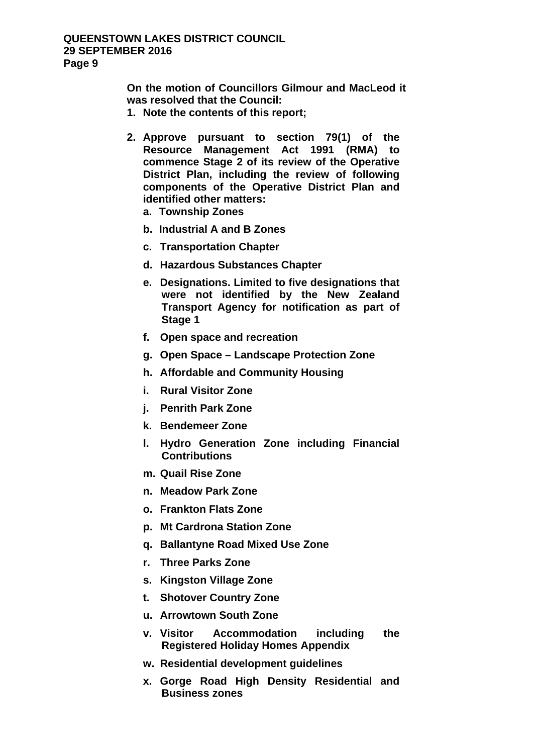**On the motion of Councillors Gilmour and MacLeod it was resolved that the Council:** 

- **1. Note the contents of this report;**
- **2. Approve pursuant to section 79(1) of the Resource Management Act 1991 (RMA) to commence Stage 2 of its review of the Operative District Plan, including the review of following components of the Operative District Plan and identified other matters:** 
	- **a. Township Zones**
	- **b. Industrial A and B Zones**
	- **c. Transportation Chapter**
	- **d. Hazardous Substances Chapter**
	- **e. Designations. Limited to five designations that were not identified by the New Zealand Transport Agency for notification as part of Stage 1**
	- **f. Open space and recreation**
	- **g. Open Space Landscape Protection Zone**
	- **h. Affordable and Community Housing**
	- **i. Rural Visitor Zone**
	- **j. Penrith Park Zone**
	- **k. Bendemeer Zone**
	- **l. Hydro Generation Zone including Financial Contributions**
	- **m. Quail Rise Zone**
	- **n. Meadow Park Zone**
	- **o. Frankton Flats Zone**
	- **p. Mt Cardrona Station Zone**
	- **q. Ballantyne Road Mixed Use Zone**
	- **r. Three Parks Zone**
	- **s. Kingston Village Zone**
	- **t. Shotover Country Zone**
	- **u. Arrowtown South Zone**
	- **v. Visitor Accommodation including the Registered Holiday Homes Appendix**
	- **w. Residential development guidelines**
	- **x. Gorge Road High Density Residential and Business zones**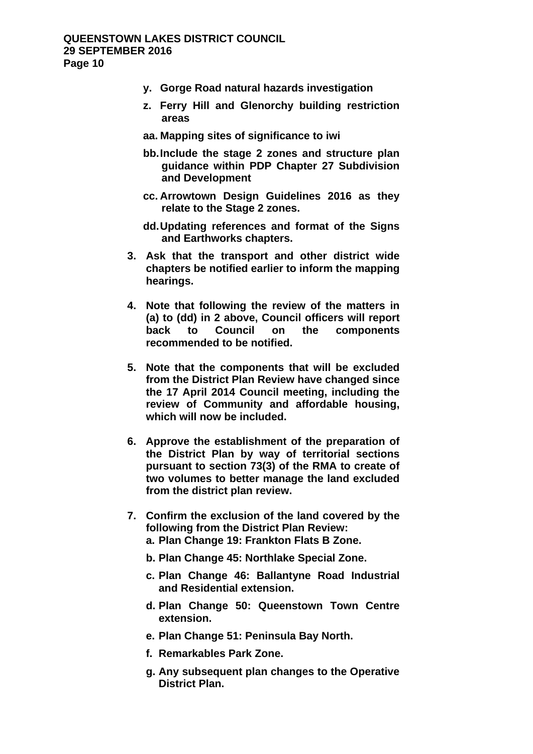- **y. Gorge Road natural hazards investigation**
- **z. Ferry Hill and Glenorchy building restriction areas**
- **aa. Mapping sites of significance to iwi**
- **bb. Include the stage 2 zones and structure plan guidance within PDP Chapter 27 Subdivision and Development**
- **cc. Arrowtown Design Guidelines 2016 as they relate to the Stage 2 zones.**
- **dd. Updating references and format of the Signs and Earthworks chapters.**
- **3. Ask that the transport and other district wide chapters be notified earlier to inform the mapping hearings.**
- **4. Note that following the review of the matters in (a) to (dd) in 2 above, Council officers will report back to Council on the components recommended to be notified.**
- **5. Note that the components that will be excluded from the District Plan Review have changed since the 17 April 2014 Council meeting, including the review of Community and affordable housing, which will now be included.**
- **6. Approve the establishment of the preparation of the District Plan by way of territorial sections pursuant to section 73(3) of the RMA to create of two volumes to better manage the land excluded from the district plan review.**
- **7. Confirm the exclusion of the land covered by the following from the District Plan Review: a. Plan Change 19: Frankton Flats B Zone.** 
	- **b. Plan Change 45: Northlake Special Zone.**
	- **c. Plan Change 46: Ballantyne Road Industrial and Residential extension.**
	- **d. Plan Change 50: Queenstown Town Centre extension.**
	- **e. Plan Change 51: Peninsula Bay North.**
	- **f. Remarkables Park Zone.**
	- **g. Any subsequent plan changes to the Operative District Plan.**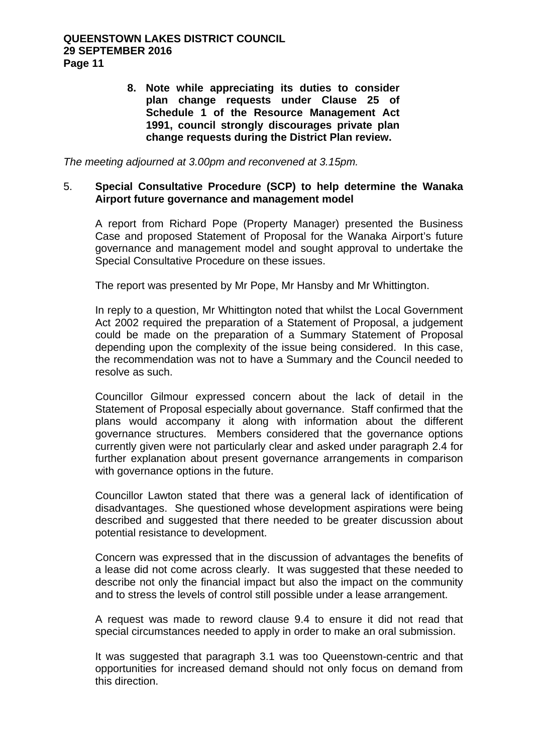**8. Note while appreciating its duties to consider plan change requests under Clause 25 of Schedule 1 of the Resource Management Act 1991, council strongly discourages private plan change requests during the District Plan review.** 

*The meeting adjourned at 3.00pm and reconvened at 3.15pm.* 

## 5. **Special Consultative Procedure (SCP) to help determine the Wanaka Airport future governance and management model**

A report from Richard Pope (Property Manager) presented the Business Case and proposed Statement of Proposal for the Wanaka Airport's future governance and management model and sought approval to undertake the Special Consultative Procedure on these issues.

The report was presented by Mr Pope, Mr Hansby and Mr Whittington.

In reply to a question, Mr Whittington noted that whilst the Local Government Act 2002 required the preparation of a Statement of Proposal, a judgement could be made on the preparation of a Summary Statement of Proposal depending upon the complexity of the issue being considered. In this case, the recommendation was not to have a Summary and the Council needed to resolve as such.

Councillor Gilmour expressed concern about the lack of detail in the Statement of Proposal especially about governance. Staff confirmed that the plans would accompany it along with information about the different governance structures. Members considered that the governance options currently given were not particularly clear and asked under paragraph 2.4 for further explanation about present governance arrangements in comparison with governance options in the future.

Councillor Lawton stated that there was a general lack of identification of disadvantages. She questioned whose development aspirations were being described and suggested that there needed to be greater discussion about potential resistance to development.

Concern was expressed that in the discussion of advantages the benefits of a lease did not come across clearly. It was suggested that these needed to describe not only the financial impact but also the impact on the community and to stress the levels of control still possible under a lease arrangement.

A request was made to reword clause 9.4 to ensure it did not read that special circumstances needed to apply in order to make an oral submission.

It was suggested that paragraph 3.1 was too Queenstown-centric and that opportunities for increased demand should not only focus on demand from this direction.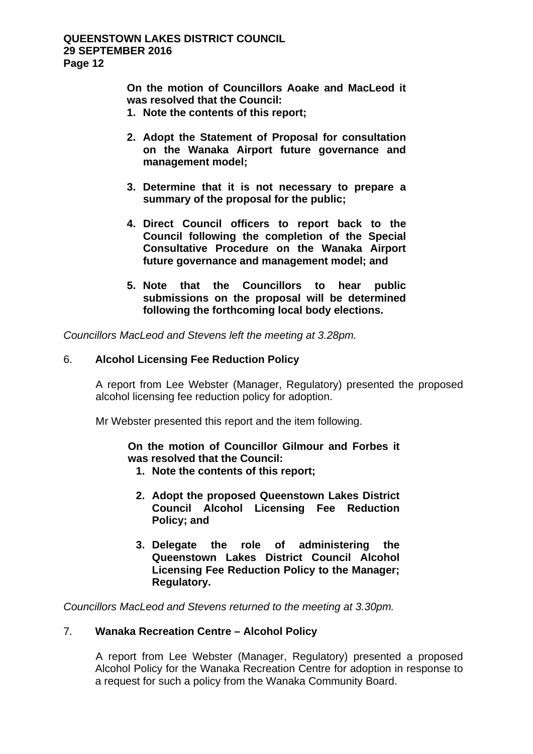**On the motion of Councillors Aoake and MacLeod it was resolved that the Council:** 

- **1. Note the contents of this report;**
- **2. Adopt the Statement of Proposal for consultation on the Wanaka Airport future governance and management model;**
- **3. Determine that it is not necessary to prepare a summary of the proposal for the public;**
- **4. Direct Council officers to report back to the Council following the completion of the Special Consultative Procedure on the Wanaka Airport future governance and management model; and**
- **5. Note that the Councillors to hear public submissions on the proposal will be determined following the forthcoming local body elections.**

*Councillors MacLeod and Stevens left the meeting at 3.28pm.* 

## 6. **Alcohol Licensing Fee Reduction Policy**

A report from Lee Webster (Manager, Regulatory) presented the proposed alcohol licensing fee reduction policy for adoption.

Mr Webster presented this report and the item following.

**On the motion of Councillor Gilmour and Forbes it was resolved that the Council:** 

- **1. Note the contents of this report;**
- **2. Adopt the proposed Queenstown Lakes District Council Alcohol Licensing Fee Reduction Policy; and**
- **3. Delegate the role of administering the Queenstown Lakes District Council Alcohol Licensing Fee Reduction Policy to the Manager; Regulatory.**

*Councillors MacLeod and Stevens returned to the meeting at 3.30pm.* 

## 7. **Wanaka Recreation Centre – Alcohol Policy**

 A report from Lee Webster (Manager, Regulatory) presented a proposed Alcohol Policy for the Wanaka Recreation Centre for adoption in response to a request for such a policy from the Wanaka Community Board.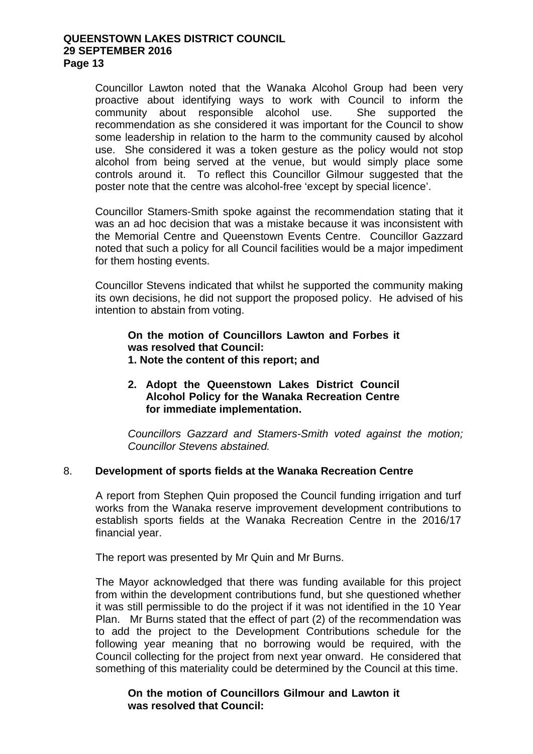Councillor Lawton noted that the Wanaka Alcohol Group had been very proactive about identifying ways to work with Council to inform the community about responsible alcohol use. She supported the recommendation as she considered it was important for the Council to show some leadership in relation to the harm to the community caused by alcohol use. She considered it was a token gesture as the policy would not stop alcohol from being served at the venue, but would simply place some controls around it. To reflect this Councillor Gilmour suggested that the poster note that the centre was alcohol-free 'except by special licence'.

Councillor Stamers-Smith spoke against the recommendation stating that it was an ad hoc decision that was a mistake because it was inconsistent with the Memorial Centre and Queenstown Events Centre. Councillor Gazzard noted that such a policy for all Council facilities would be a major impediment for them hosting events.

Councillor Stevens indicated that whilst he supported the community making its own decisions, he did not support the proposed policy. He advised of his intention to abstain from voting.

**On the motion of Councillors Lawton and Forbes it was resolved that Council: 1. Note the content of this report; and** 

## **2. Adopt the Queenstown Lakes District Council Alcohol Policy for the Wanaka Recreation Centre for immediate implementation.**

*Councillors Gazzard and Stamers-Smith voted against the motion; Councillor Stevens abstained.*

#### 8. **Development of sports fields at the Wanaka Recreation Centre**

A report from Stephen Quin proposed the Council funding irrigation and turf works from the Wanaka reserve improvement development contributions to establish sports fields at the Wanaka Recreation Centre in the 2016/17 financial year.

The report was presented by Mr Quin and Mr Burns.

The Mayor acknowledged that there was funding available for this project from within the development contributions fund, but she questioned whether it was still permissible to do the project if it was not identified in the 10 Year Plan. Mr Burns stated that the effect of part (2) of the recommendation was to add the project to the Development Contributions schedule for the following year meaning that no borrowing would be required, with the Council collecting for the project from next year onward. He considered that something of this materiality could be determined by the Council at this time.

**On the motion of Councillors Gilmour and Lawton it was resolved that Council:**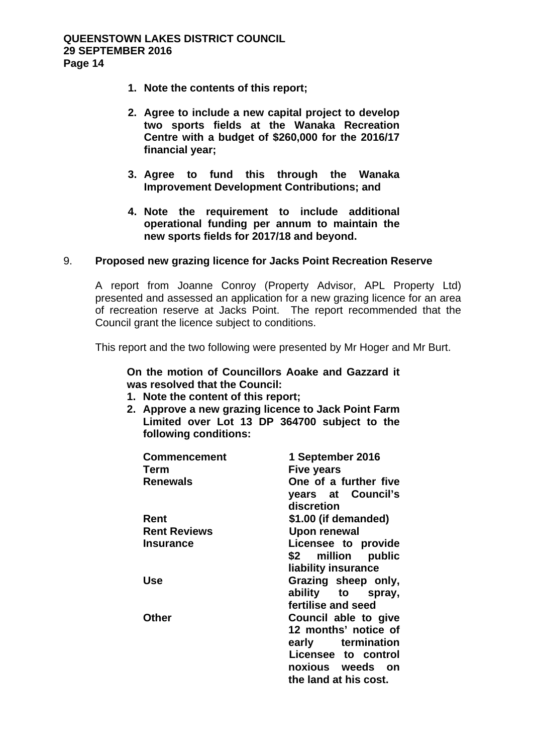- **1. Note the contents of this report;**
- **2. Agree to include a new capital project to develop two sports fields at the Wanaka Recreation Centre with a budget of \$260,000 for the 2016/17 financial year;**
- **3. Agree to fund this through the Wanaka Improvement Development Contributions; and**
- **4. Note the requirement to include additional operational funding per annum to maintain the new sports fields for 2017/18 and beyond.**

## 9. **Proposed new grazing licence for Jacks Point Recreation Reserve**

A report from Joanne Conroy (Property Advisor, APL Property Ltd) presented and assessed an application for a new grazing licence for an area of recreation reserve at Jacks Point. The report recommended that the Council grant the licence subject to conditions.

This report and the two following were presented by Mr Hoger and Mr Burt.

**On the motion of Councillors Aoake and Gazzard it was resolved that the Council:** 

- **1. Note the content of this report;**
- **2. Approve a new grazing licence to Jack Point Farm Limited over Lot 13 DP 364700 subject to the following conditions:**

| <b>Commencement</b><br>Term<br><b>Renewals</b> | 1 September 2016<br>Five years<br>One of a further five<br>years at Council's<br>discretion                                           |
|------------------------------------------------|---------------------------------------------------------------------------------------------------------------------------------------|
| Rent                                           | \$1.00 (if demanded)                                                                                                                  |
| <b>Rent Reviews</b>                            | <b>Upon renewal</b>                                                                                                                   |
| <b>Insurance</b>                               | Licensee to provide<br>\$2 million public<br>liability insurance                                                                      |
| Use                                            | Grazing sheep only,<br>ability to spray,<br>fertilise and seed                                                                        |
| Other                                          | Council able to give<br>12 months' notice of<br>early termination<br>Licensee to control<br>noxious weeds on<br>the land at his cost. |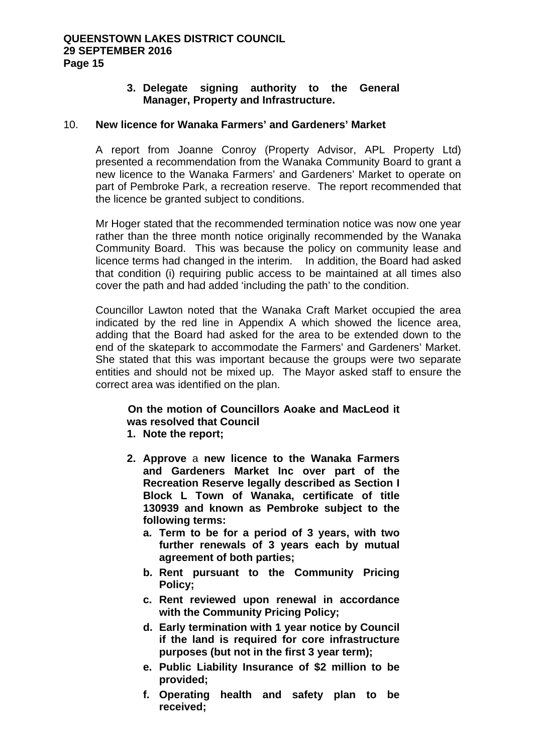## **3. Delegate signing authority to the General Manager, Property and Infrastructure.**

## 10. **New licence for Wanaka Farmers' and Gardeners' Market**

A report from Joanne Conroy (Property Advisor, APL Property Ltd) presented a recommendation from the Wanaka Community Board to grant a new licence to the Wanaka Farmers' and Gardeners' Market to operate on part of Pembroke Park, a recreation reserve. The report recommended that the licence be granted subject to conditions.

Mr Hoger stated that the recommended termination notice was now one year rather than the three month notice originally recommended by the Wanaka Community Board. This was because the policy on community lease and licence terms had changed in the interim. In addition, the Board had asked that condition (i) requiring public access to be maintained at all times also cover the path and had added 'including the path' to the condition.

Councillor Lawton noted that the Wanaka Craft Market occupied the area indicated by the red line in Appendix A which showed the licence area, adding that the Board had asked for the area to be extended down to the end of the skatepark to accommodate the Farmers' and Gardeners' Market. She stated that this was important because the groups were two separate entities and should not be mixed up. The Mayor asked staff to ensure the correct area was identified on the plan.

## **On the motion of Councillors Aoake and MacLeod it was resolved that Council**

- **1. Note the report;**
- **2. Approve** a **new licence to the Wanaka Farmers and Gardeners Market Inc over part of the Recreation Reserve legally described as Section I Block L Town of Wanaka, certificate of title 130939 and known as Pembroke subject to the following terms:** 
	- **a. Term to be for a period of 3 years, with two further renewals of 3 years each by mutual agreement of both parties;**
	- **b. Rent pursuant to the Community Pricing Policy;**
	- **c. Rent reviewed upon renewal in accordance with the Community Pricing Policy;**
	- **d. Early termination with 1 year notice by Council if the land is required for core infrastructure purposes (but not in the first 3 year term);**
	- **e. Public Liability Insurance of \$2 million to be provided;**
	- **f. Operating health and safety plan to be received;**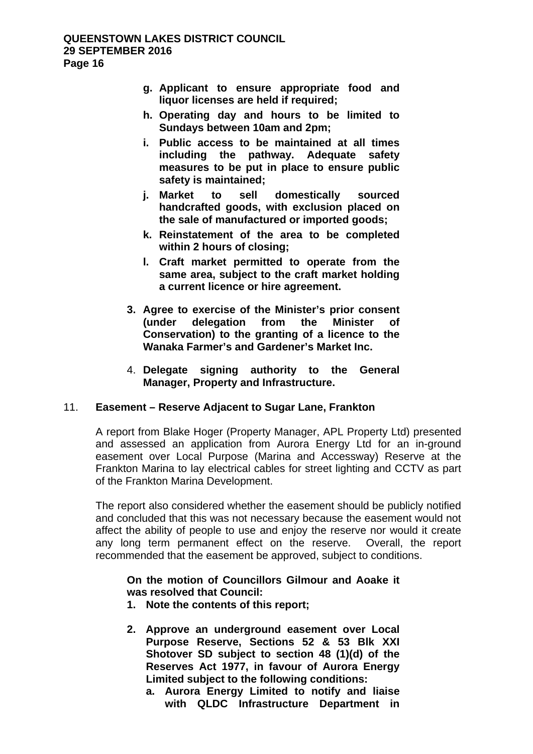- **g. Applicant to ensure appropriate food and liquor licenses are held if required;**
- **h. Operating day and hours to be limited to Sundays between 10am and 2pm;**
- **i. Public access to be maintained at all times including the pathway. Adequate safety measures to be put in place to ensure public safety is maintained;**
- **j. Market to sell domestically sourced handcrafted goods, with exclusion placed on the sale of manufactured or imported goods;**
- **k. Reinstatement of the area to be completed within 2 hours of closing;**
- **l. Craft market permitted to operate from the same area, subject to the craft market holding a current licence or hire agreement.**
- **3. Agree to exercise of the Minister's prior consent (under delegation from the Minister of Conservation) to the granting of a licence to the Wanaka Farmer's and Gardener's Market Inc.**
- 4. **Delegate signing authority to the General Manager, Property and Infrastructure.**

## 11. **Easement – Reserve Adjacent to Sugar Lane, Frankton**

A report from Blake Hoger (Property Manager, APL Property Ltd) presented and assessed an application from Aurora Energy Ltd for an in-ground easement over Local Purpose (Marina and Accessway) Reserve at the Frankton Marina to lay electrical cables for street lighting and CCTV as part of the Frankton Marina Development.

The report also considered whether the easement should be publicly notified and concluded that this was not necessary because the easement would not affect the ability of people to use and enjoy the reserve nor would it create any long term permanent effect on the reserve. Overall, the report recommended that the easement be approved, subject to conditions.

## **On the motion of Councillors Gilmour and Aoake it was resolved that Council:**

- **1. Note the contents of this report;**
- **2. Approve an underground easement over Local Purpose Reserve, Sections 52 & 53 Blk XXI Shotover SD subject to section 48 (1)(d) of the Reserves Act 1977, in favour of Aurora Energy Limited subject to the following conditions:** 
	- **a. Aurora Energy Limited to notify and liaise with QLDC Infrastructure Department in**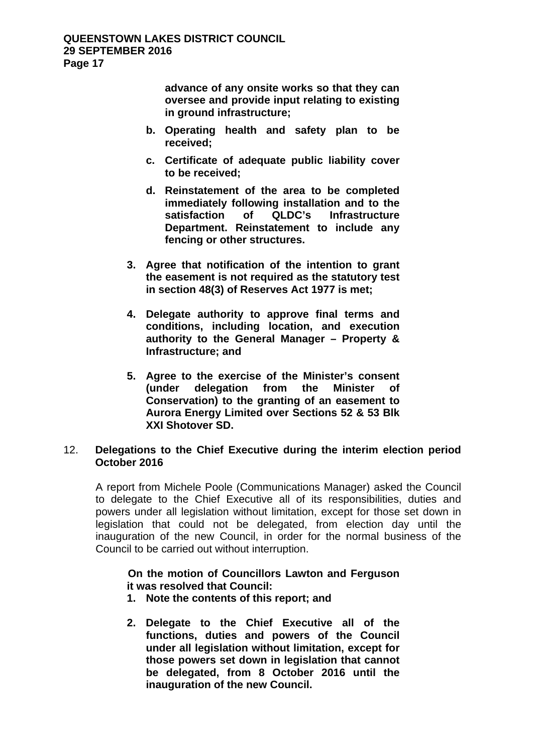**advance of any onsite works so that they can oversee and provide input relating to existing in ground infrastructure;** 

- **b. Operating health and safety plan to be received;**
- **c. Certificate of adequate public liability cover to be received;**
- **d. Reinstatement of the area to be completed immediately following installation and to the Infrastructure Department. Reinstatement to include any fencing or other structures.**
- **3. Agree that notification of the intention to grant the easement is not required as the statutory test in section 48(3) of Reserves Act 1977 is met;**
- **4. Delegate authority to approve final terms and conditions, including location, and execution authority to the General Manager – Property & Infrastructure; and**
- **5. Agree to the exercise of the Minister's consent (under delegation from the Minister of Conservation) to the granting of an easement to Aurora Energy Limited over Sections 52 & 53 Blk XXI Shotover SD.**

## 12. **Delegations to the Chief Executive during the interim election period October 2016**

A report from Michele Poole (Communications Manager) asked the Council to delegate to the Chief Executive all of its responsibilities, duties and powers under all legislation without limitation, except for those set down in legislation that could not be delegated, from election day until the inauguration of the new Council, in order for the normal business of the Council to be carried out without interruption.

## **On the motion of Councillors Lawton and Ferguson it was resolved that Council:**

- **1. Note the contents of this report; and**
- **2. Delegate to the Chief Executive all of the functions, duties and powers of the Council under all legislation without limitation, except for those powers set down in legislation that cannot be delegated, from 8 October 2016 until the inauguration of the new Council.**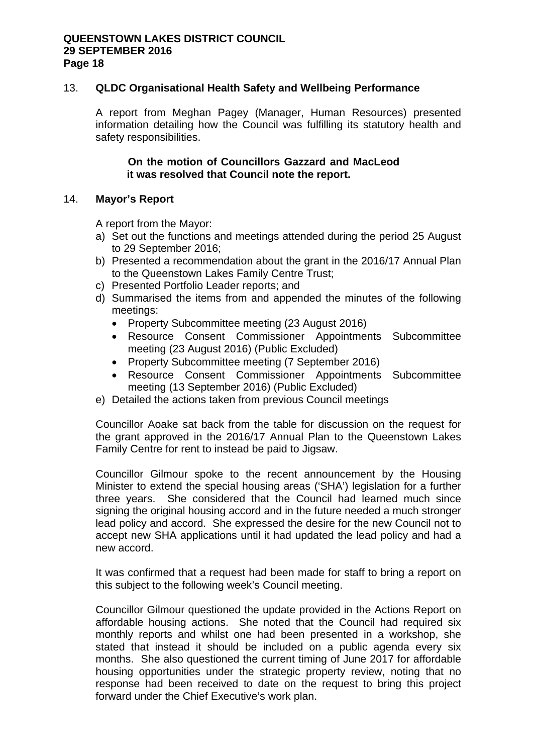#### 13. **QLDC Organisational Health Safety and Wellbeing Performance**

A report from Meghan Pagey (Manager, Human Resources) presented information detailing how the Council was fulfilling its statutory health and safety responsibilities.

#### **On the motion of Councillors Gazzard and MacLeod it was resolved that Council note the report.**

## 14. **Mayor's Report**

A report from the Mayor:

- a) Set out the functions and meetings attended during the period 25 August to 29 September 2016;
- b) Presented a recommendation about the grant in the 2016/17 Annual Plan to the Queenstown Lakes Family Centre Trust;
- c) Presented Portfolio Leader reports; and
- d) Summarised the items from and appended the minutes of the following meetings:
	- Property Subcommittee meeting (23 August 2016)
	- Resource Consent Commissioner Appointments Subcommittee meeting (23 August 2016) (Public Excluded)
	- Property Subcommittee meeting (7 September 2016)
	- Resource Consent Commissioner Appointments Subcommittee meeting (13 September 2016) (Public Excluded)
- e) Detailed the actions taken from previous Council meetings

Councillor Aoake sat back from the table for discussion on the request for the grant approved in the 2016/17 Annual Plan to the Queenstown Lakes Family Centre for rent to instead be paid to Jigsaw.

Councillor Gilmour spoke to the recent announcement by the Housing Minister to extend the special housing areas ('SHA') legislation for a further three years. She considered that the Council had learned much since signing the original housing accord and in the future needed a much stronger lead policy and accord. She expressed the desire for the new Council not to accept new SHA applications until it had updated the lead policy and had a new accord.

It was confirmed that a request had been made for staff to bring a report on this subject to the following week's Council meeting.

Councillor Gilmour questioned the update provided in the Actions Report on affordable housing actions. She noted that the Council had required six monthly reports and whilst one had been presented in a workshop, she stated that instead it should be included on a public agenda every six months. She also questioned the current timing of June 2017 for affordable housing opportunities under the strategic property review, noting that no response had been received to date on the request to bring this project forward under the Chief Executive's work plan.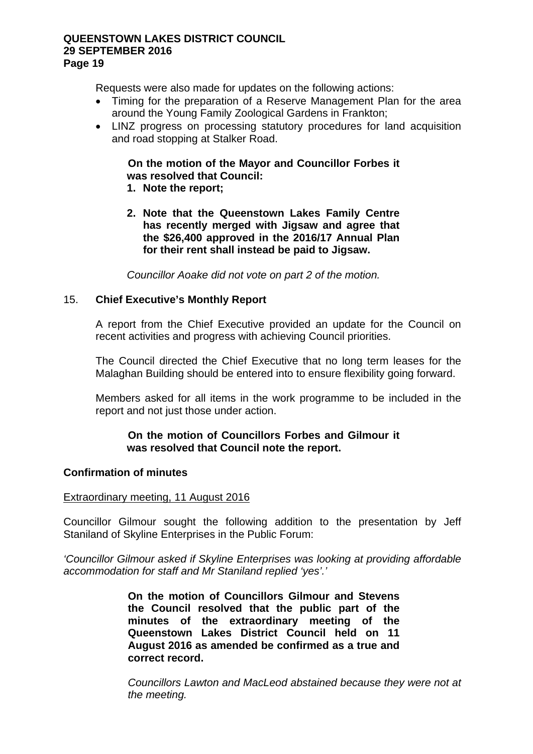Requests were also made for updates on the following actions:

- Timing for the preparation of a Reserve Management Plan for the area around the Young Family Zoological Gardens in Frankton;
- LINZ progress on processing statutory procedures for land acquisition and road stopping at Stalker Road.

# **On the motion of the Mayor and Councillor Forbes it was resolved that Council:**

- **1. Note the report;**
- **2. Note that the Queenstown Lakes Family Centre has recently merged with Jigsaw and agree that the \$26,400 approved in the 2016/17 Annual Plan for their rent shall instead be paid to Jigsaw.**

*Councillor Aoake did not vote on part 2 of the motion.* 

## 15. **Chief Executive's Monthly Report**

A report from the Chief Executive provided an update for the Council on recent activities and progress with achieving Council priorities.

The Council directed the Chief Executive that no long term leases for the Malaghan Building should be entered into to ensure flexibility going forward.

Members asked for all items in the work programme to be included in the report and not just those under action.

## **On the motion of Councillors Forbes and Gilmour it was resolved that Council note the report.**

## **Confirmation of minutes**

## Extraordinary meeting, 11 August 2016

Councillor Gilmour sought the following addition to the presentation by Jeff Staniland of Skyline Enterprises in the Public Forum:

*'Councillor Gilmour asked if Skyline Enterprises was looking at providing affordable accommodation for staff and Mr Staniland replied 'yes'.'* 

> **On the motion of Councillors Gilmour and Stevens the Council resolved that the public part of the minutes of the extraordinary meeting of the Queenstown Lakes District Council held on 11 August 2016 as amended be confirmed as a true and correct record.**

*Councillors Lawton and MacLeod abstained because they were not at the meeting.*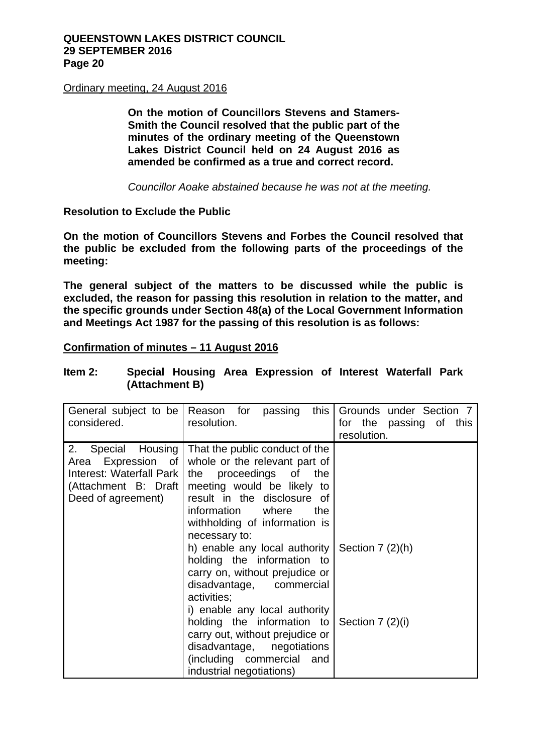## Ordinary meeting, 24 August 2016

**On the motion of Councillors Stevens and Stamers-Smith the Council resolved that the public part of the minutes of the ordinary meeting of the Queenstown Lakes District Council held on 24 August 2016 as amended be confirmed as a true and correct record.** 

*Councillor Aoake abstained because he was not at the meeting.* 

## **Resolution to Exclude the Public**

**On the motion of Councillors Stevens and Forbes the Council resolved that the public be excluded from the following parts of the proceedings of the meeting:** 

**The general subject of the matters to be discussed while the public is excluded, the reason for passing this resolution in relation to the matter, and the specific grounds under Section 48(a) of the Local Government Information and Meetings Act 1987 for the passing of this resolution is as follows:** 

## **Confirmation of minutes – 11 August 2016**

| Item $2:$ |                |  | Special Housing Area Expression of Interest Waterfall Park |  |  |
|-----------|----------------|--|------------------------------------------------------------|--|--|
|           | (Attachment B) |  |                                                            |  |  |

| considered.                                                                                                           | General subject to be Reason for passing<br>this $\vert$<br>resolution.                                                                                                                                                                                                                                                                                                                                                                                                                                                                                                              | Grounds under Section 7<br>for the passing of this<br>resolution. |
|-----------------------------------------------------------------------------------------------------------------------|--------------------------------------------------------------------------------------------------------------------------------------------------------------------------------------------------------------------------------------------------------------------------------------------------------------------------------------------------------------------------------------------------------------------------------------------------------------------------------------------------------------------------------------------------------------------------------------|-------------------------------------------------------------------|
| Special Housing<br>2.<br>Area Expression of<br>Interest: Waterfall Park<br>(Attachment B: Draft<br>Deed of agreement) | That the public conduct of the<br>whole or the relevant part of<br>the proceedings of<br>the<br>meeting would be likely to<br>result in the disclosure of<br>information<br>where<br>the<br>withholding of information is<br>necessary to:<br>h) enable any local authority  <br>holding the information to<br>carry on, without prejudice or<br>disadvantage, commercial<br>activities;<br>i) enable any local authority<br>holding the information to<br>carry out, without prejudice or<br>disadvantage, negotiations<br>(including commercial<br>and<br>industrial negotiations) | Section $7(2)(h)$<br>Section $7(2)(i)$                            |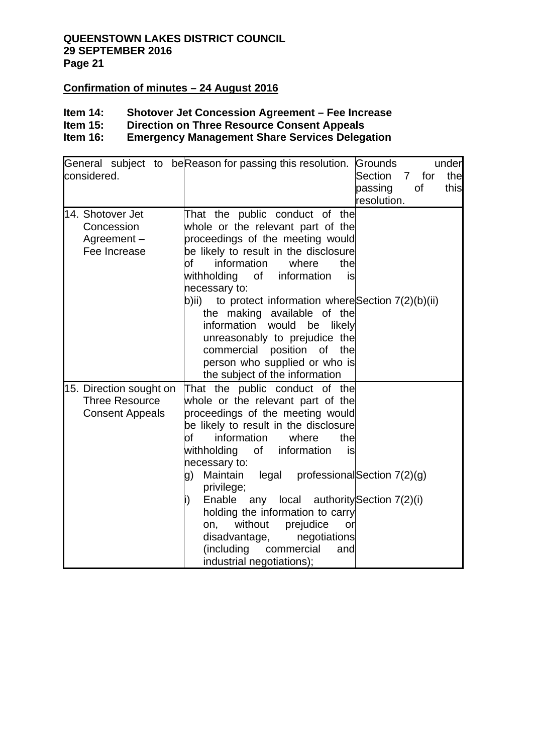## **Confirmation of minutes – 24 August 2016**

# **Item 14: Shotover Jet Concession Agreement – Fee Increase**

**Item 15: Direction on Three Resource Consent Appeals<br>Item 16: Emergency Management Share Services Delega** 

## **Emergency Management Share Services Delegation**

| considered.                                                                | under<br>General subject to be Reason for passing this resolution.<br>Grounds<br>Section<br>the<br>7 for<br>passing<br>of<br>this                                                                                                                                                                                                                                                                                                                                                                                                                |
|----------------------------------------------------------------------------|--------------------------------------------------------------------------------------------------------------------------------------------------------------------------------------------------------------------------------------------------------------------------------------------------------------------------------------------------------------------------------------------------------------------------------------------------------------------------------------------------------------------------------------------------|
| 14. Shotover Jet                                                           | resolution.<br>That the public conduct of the                                                                                                                                                                                                                                                                                                                                                                                                                                                                                                    |
| Concession<br>Agreement-<br>Fee Increase                                   | whole or the relevant part of the<br>proceedings of the meeting would<br>be likely to result in the disclosure<br>information<br>where<br>оf<br>the<br>withholding of information<br>is<br>necessary to:<br>b)ii) to protect information where Section $7(2)(b)(ii)$<br>the making available of the<br>information would be likely<br>unreasonably to prejudice the<br>commercial position of the<br>person who supplied or who is<br>the subject of the information                                                                             |
| 15. Direction sought on<br><b>Three Resource</b><br><b>Consent Appeals</b> | That the public conduct of the<br>whole or the relevant part of the<br>proceedings of the meeting would<br>be likely to result in the disclosure<br>information<br>where<br>the<br>of<br>withholding<br>of information<br>is<br>necessary to:<br>Maintain legal professional Section 7(2)(g)<br>g)<br>privilege;<br>Enable any local authority Section $7(2)(i)$<br>i)<br>holding the information to carry<br>without<br>prejudice<br>on,<br>or<br>disadvantage,<br>negotiations<br>(including<br>commercial<br>and<br>industrial negotiations); |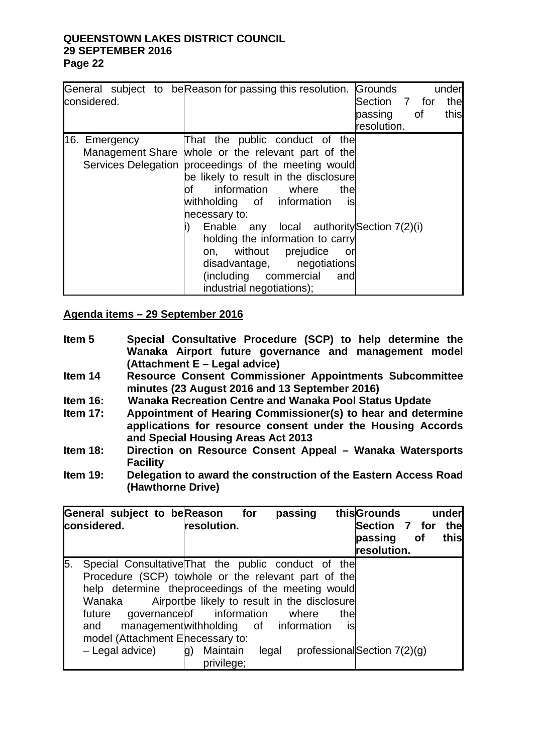| considered.   | General subject to be Reason for passing this resolution.                                                                                                                                                                                                                                                                                                                                                                                                                                   | Grounds<br>under<br>Section 7 for<br>the<br>passing of<br>this |
|---------------|---------------------------------------------------------------------------------------------------------------------------------------------------------------------------------------------------------------------------------------------------------------------------------------------------------------------------------------------------------------------------------------------------------------------------------------------------------------------------------------------|----------------------------------------------------------------|
|               |                                                                                                                                                                                                                                                                                                                                                                                                                                                                                             | resolution.                                                    |
| 16. Emergency | That the public conduct of the<br>Management Share whole or the relevant part of the<br>Services Delegation proceedings of the meeting would<br>be likely to result in the disclosure<br>lof information where<br>thel<br>is<br>withholding of information<br>necessary to:<br>Enable any local authority Section $7(2)(i)$<br>holding the information to carry<br>on, without prejudice<br>or -<br>disadvantage, negotiations<br>(including commercial<br>and<br>industrial negotiations); |                                                                |

## **Agenda items – 29 September 2016**

- **Item 5 Special Consultative Procedure (SCP) to help determine the Wanaka Airport future governance and management model (Attachment E – Legal advice)**
- **Item 14 Resource Consent Commissioner Appointments Subcommittee minutes (23 August 2016 and 13 September 2016)**
- **Item 16: Wanaka Recreation Centre and Wanaka Pool Status Update**
- **Item 17: Appointment of Hearing Commissioner(s) to hear and determine applications for resource consent under the Housing Accords and Special Housing Areas Act 2013**
- **Item 18: Direction on Resource Consent Appeal Wanaka Watersports Facility**
- **Item 19: Delegation to award the construction of the Eastern Access Road (Hawthorne Drive)**

|    | General subject to beReason for<br>considered.                                                                                                                                                                                                      | resolution.                                                                                                                                                             | passing |            | thisGrounds<br>Section 7 for<br>passing<br>resolution. | of | under<br>the<br>this |
|----|-----------------------------------------------------------------------------------------------------------------------------------------------------------------------------------------------------------------------------------------------------|-------------------------------------------------------------------------------------------------------------------------------------------------------------------------|---------|------------|--------------------------------------------------------|----|----------------------|
| 5. | Special Consultative That the public conduct of the<br>Procedure (SCP) towhole or the relevant part of the<br>help determine the proceedings of the meeting would<br>Wanaka<br>future<br>and<br>model (Attachment Enecessary to:<br>- Legal advice) | Airport be likely to result in the disclosure<br>governance of information<br>management with holding of information<br>Maintain<br>$\mathsf{q}$<br>legal<br>privilege; | where   | thel<br>is | professionalSection 7(2)(g)                            |    |                      |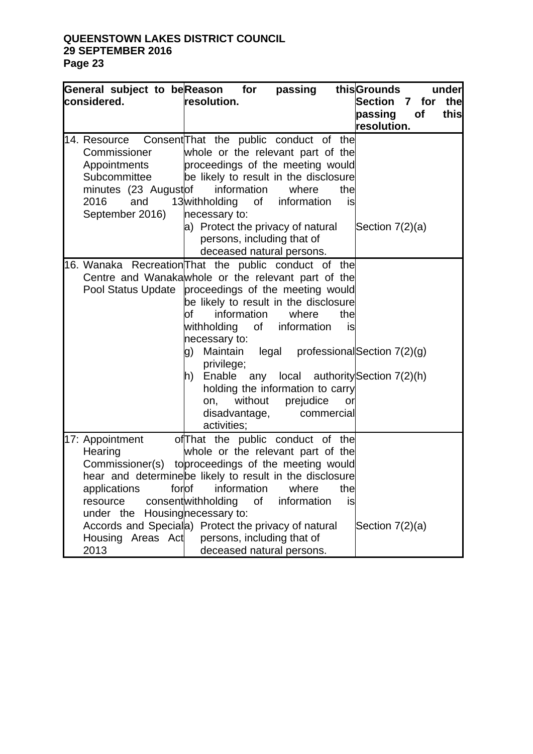| General subject to beReason for<br>considered.                                                                                                        | passing<br>resolution.                                                                                                                                                                                                                                                                                                                                                                                                                                                                                                                                                                      | thisGrounds<br>under<br><b>Section</b><br>the<br>7 for<br>passing<br>of<br>this |
|-------------------------------------------------------------------------------------------------------------------------------------------------------|---------------------------------------------------------------------------------------------------------------------------------------------------------------------------------------------------------------------------------------------------------------------------------------------------------------------------------------------------------------------------------------------------------------------------------------------------------------------------------------------------------------------------------------------------------------------------------------------|---------------------------------------------------------------------------------|
| Commissioner<br>Appointments<br>Subcommittee<br>minutes (23 Augustof<br>2016<br>and<br>September 2016)                                                | 14. Resource Consent That the public conduct of the<br>whole or the relevant part of the<br>proceedings of the meeting would<br>be likely to result in the disclosure<br>information<br>the<br>where<br>13withholding<br>of<br>information<br>is<br>necessary to:<br>a) Protect the privacy of natural<br>persons, including that of                                                                                                                                                                                                                                                        | resolution.<br>Section $7(2)(a)$                                                |
|                                                                                                                                                       | deceased natural persons.<br>16. Wanaka Recreation That the public conduct of the<br>Centre and Wanakawhole or the relevant part of the<br>Pool Status Update proceedings of the meeting would<br>be likely to result in the disclosure<br>information<br>where<br>the<br>of<br>withholding<br>of<br>information<br>is<br>necessary to:<br>Maintain legal professional Section 7(2)(g)<br>g)<br>privilege;<br>Enable any local authority Section 7(2)(h)<br>$ h\rangle$<br>holding the information to carry<br>without prejudice<br>on,<br>or<br>disadvantage,<br>commercial<br>activities; |                                                                                 |
| 17: Appointment<br>Hearing<br>Commissioner(s)<br>forof<br>applications<br>resource<br>under the<br>Accords and Speciala)<br>Housing Areas Act<br>2013 | of That the public conduct of the<br>whole or the relevant part of the<br>toproceedings of the meeting would<br>hear and determine be likely to result in the disclosure<br>information<br>where<br>the<br>consentwithholding<br>information<br>0f<br>is<br>Housingnecessary to:<br>Protect the privacy of natural<br>persons, including that of<br>deceased natural persons.                                                                                                                                                                                                               | Section $7(2)(a)$                                                               |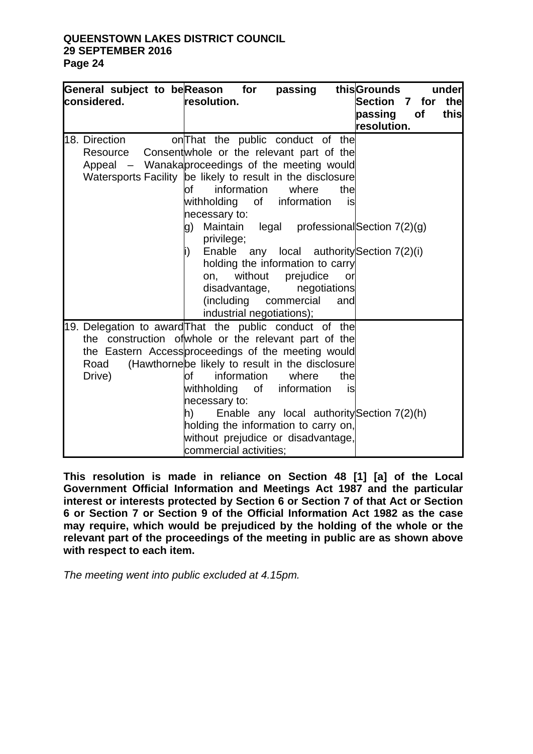| considered.    | General subject to beReason for<br>resolution.                                                                                                                                                                                                                                                                                                                                                                                                                              | passing                                                                                                 |                        | this Grounds<br>Section 7 for the<br>passing<br>resolution. | of | under<br>this |
|----------------|-----------------------------------------------------------------------------------------------------------------------------------------------------------------------------------------------------------------------------------------------------------------------------------------------------------------------------------------------------------------------------------------------------------------------------------------------------------------------------|---------------------------------------------------------------------------------------------------------|------------------------|-------------------------------------------------------------|----|---------------|
| 18. Direction  | on That the public conduct of the<br>Resource Consent whole or the relevant part of the<br>Appeal – Wanakaproceedings of the meeting would<br>Watersports Facility be likely to result in the disclosure<br>information<br>оf<br>withholding<br>of<br>necessary to:<br>Maintain<br>g)<br>privilege;<br>Enable any local authority Section $7(2)(i)$<br>İ)<br>holding the information to carry<br>without<br>on,<br>disadvantage,<br>(including<br>industrial negotiations); | where<br>information<br>legal professional Section $7(2)(g)$<br>prejudice<br>negotiations<br>commercial | the<br>is<br>or<br>and |                                                             |    |               |
| Road<br>Drive) | 19. Delegation to award That the public conduct of the<br>the construction of whole or the relevant part of the<br>the Eastern Access proceedings of the meeting would<br>(Hawthornebe likely to result in the disclosure<br>information<br>of<br>withholding<br>of<br>necessary to:<br>h)<br>holding the information to carry on,<br>without prejudice or disadvantage,<br>commercial activities:                                                                          | where<br>information<br>Enable any local authority Section 7(2)(h)                                      | the<br>is              |                                                             |    |               |

**This resolution is made in reliance on Section 48 [1] [a] of the Local Government Official Information and Meetings Act 1987 and the particular interest or interests protected by Section 6 or Section 7 of that Act or Section 6 or Section 7 or Section 9 of the Official Information Act 1982 as the case may require, which would be prejudiced by the holding of the whole or the relevant part of the proceedings of the meeting in public are as shown above with respect to each item.**

*The meeting went into public excluded at 4.15pm.*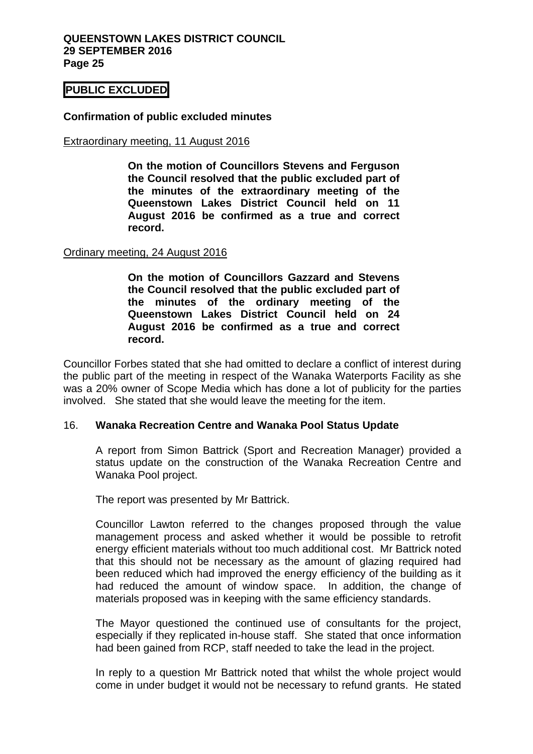## **PUBLIC EXCLUDED**

## **Confirmation of public excluded minutes**

#### Extraordinary meeting, 11 August 2016

**On the motion of Councillors Stevens and Ferguson the Council resolved that the public excluded part of the minutes of the extraordinary meeting of the Queenstown Lakes District Council held on 11 August 2016 be confirmed as a true and correct record.** 

#### Ordinary meeting, 24 August 2016

**On the motion of Councillors Gazzard and Stevens the Council resolved that the public excluded part of the minutes of the ordinary meeting of the Queenstown Lakes District Council held on 24 August 2016 be confirmed as a true and correct record.** 

Councillor Forbes stated that she had omitted to declare a conflict of interest during the public part of the meeting in respect of the Wanaka Waterports Facility as she was a 20% owner of Scope Media which has done a lot of publicity for the parties involved. She stated that she would leave the meeting for the item.

#### 16. **Wanaka Recreation Centre and Wanaka Pool Status Update**

A report from Simon Battrick (Sport and Recreation Manager) provided a status update on the construction of the Wanaka Recreation Centre and Wanaka Pool project.

The report was presented by Mr Battrick.

Councillor Lawton referred to the changes proposed through the value management process and asked whether it would be possible to retrofit energy efficient materials without too much additional cost. Mr Battrick noted that this should not be necessary as the amount of glazing required had been reduced which had improved the energy efficiency of the building as it had reduced the amount of window space. In addition, the change of materials proposed was in keeping with the same efficiency standards.

The Mayor questioned the continued use of consultants for the project, especially if they replicated in-house staff. She stated that once information had been gained from RCP, staff needed to take the lead in the project.

In reply to a question Mr Battrick noted that whilst the whole project would come in under budget it would not be necessary to refund grants. He stated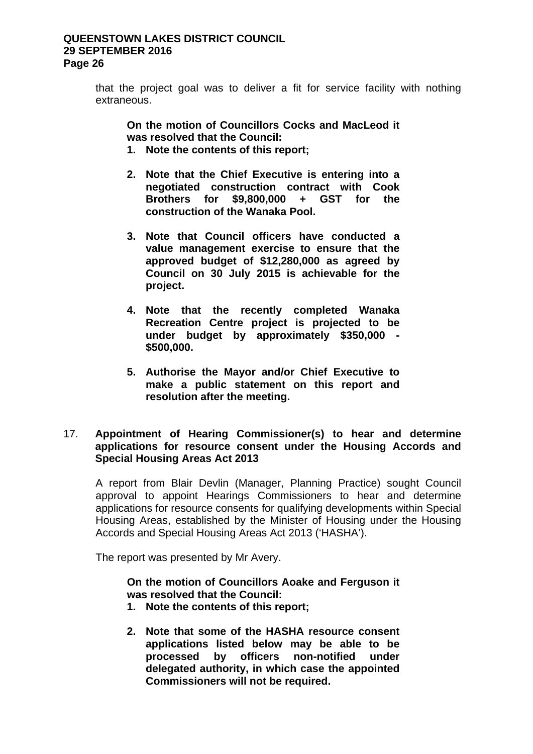that the project goal was to deliver a fit for service facility with nothing extraneous.

**On the motion of Councillors Cocks and MacLeod it was resolved that the Council:** 

- **1. Note the contents of this report;**
- **2. Note that the Chief Executive is entering into a negotiated construction contract with Cook Brothers for \$9,800,000 + GST for the construction of the Wanaka Pool.**
- **3. Note that Council officers have conducted a value management exercise to ensure that the approved budget of \$12,280,000 as agreed by Council on 30 July 2015 is achievable for the project.**
- **4. Note that the recently completed Wanaka Recreation Centre project is projected to be under budget by approximately \$350,000 - \$500,000.**
- **5. Authorise the Mayor and/or Chief Executive to make a public statement on this report and resolution after the meeting.**

## 17. **Appointment of Hearing Commissioner(s) to hear and determine applications for resource consent under the Housing Accords and Special Housing Areas Act 2013**

A report from Blair Devlin (Manager, Planning Practice) sought Council approval to appoint Hearings Commissioners to hear and determine applications for resource consents for qualifying developments within Special Housing Areas, established by the Minister of Housing under the Housing Accords and Special Housing Areas Act 2013 ('HASHA').

The report was presented by Mr Avery.

**On the motion of Councillors Aoake and Ferguson it was resolved that the Council:** 

- **1. Note the contents of this report;**
- **2. Note that some of the HASHA resource consent applications listed below may be able to be processed by officers non-notified under delegated authority, in which case the appointed Commissioners will not be required.**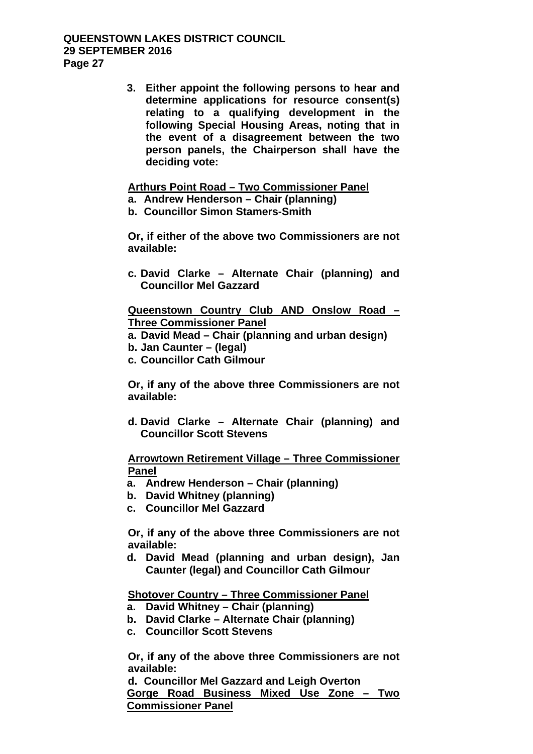**3. Either appoint the following persons to hear and determine applications for resource consent(s) relating to a qualifying development in the following Special Housing Areas, noting that in the event of a disagreement between the two person panels, the Chairperson shall have the deciding vote:** 

## **Arthurs Point Road – Two Commissioner Panel**

- **a. Andrew Henderson Chair (planning)**
- **b. Councillor Simon Stamers-Smith**

**Or, if either of the above two Commissioners are not available:**

**c. David Clarke – Alternate Chair (planning) and Councillor Mel Gazzard** 

**Queenstown Country Club AND Onslow Road – Three Commissioner Panel** 

- **a. David Mead Chair (planning and urban design)**
- **b. Jan Caunter (legal)**
- **c. Councillor Cath Gilmour**

**Or, if any of the above three Commissioners are not available:** 

**d. David Clarke – Alternate Chair (planning) and Councillor Scott Stevens** 

**Arrowtown Retirement Village – Three Commissioner Panel** 

- **a. Andrew Henderson Chair (planning)**
- **b. David Whitney (planning)**
- **c. Councillor Mel Gazzard**

**Or, if any of the above three Commissioners are not available:**

**d. David Mead (planning and urban design), Jan Caunter (legal) and Councillor Cath Gilmour** 

**Shotover Country – Three Commissioner Panel**

**a. David Whitney – Chair (planning)**

**b. David Clarke – Alternate Chair (planning)** 

**c. Councillor Scott Stevens** 

**Or, if any of the above three Commissioners are not available:**

**d. Councillor Mel Gazzard and Leigh Overton Gorge Road Business Mixed Use Zone – Two Commissioner Panel**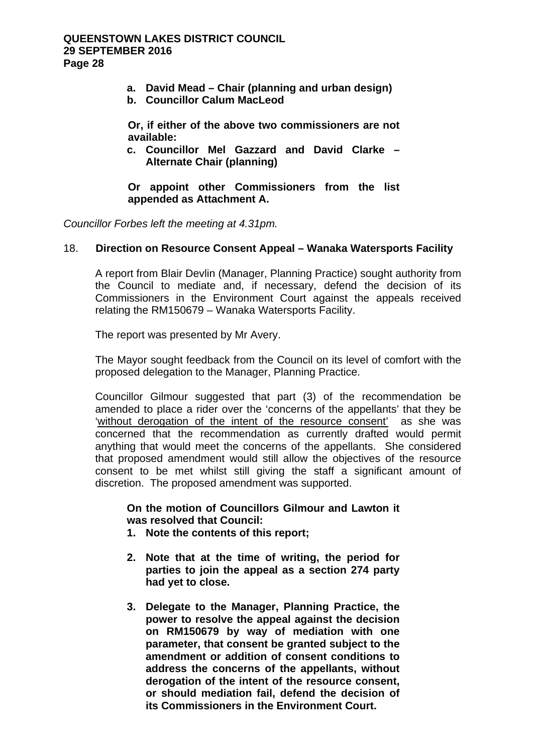- **a. David Mead Chair (planning and urban design)**
- **b. Councillor Calum MacLeod**

**Or, if either of the above two commissioners are not available:** 

**c. Councillor Mel Gazzard and David Clarke – Alternate Chair (planning)** 

**Or appoint other Commissioners from the list appended as Attachment A.** 

*Councillor Forbes left the meeting at 4.31pm.* 

## 18. **Direction on Resource Consent Appeal – Wanaka Watersports Facility**

A report from Blair Devlin (Manager, Planning Practice) sought authority from the Council to mediate and, if necessary, defend the decision of its Commissioners in the Environment Court against the appeals received relating the RM150679 – Wanaka Watersports Facility.

The report was presented by Mr Avery.

The Mayor sought feedback from the Council on its level of comfort with the proposed delegation to the Manager, Planning Practice.

Councillor Gilmour suggested that part (3) of the recommendation be amended to place a rider over the 'concerns of the appellants' that they be 'without derogation of the intent of the resource consent' as she was concerned that the recommendation as currently drafted would permit anything that would meet the concerns of the appellants. She considered that proposed amendment would still allow the objectives of the resource consent to be met whilst still giving the staff a significant amount of discretion. The proposed amendment was supported.

**On the motion of Councillors Gilmour and Lawton it was resolved that Council:** 

- **1. Note the contents of this report;**
- **2. Note that at the time of writing, the period for parties to join the appeal as a section 274 party had yet to close.**
- **3. Delegate to the Manager, Planning Practice, the power to resolve the appeal against the decision on RM150679 by way of mediation with one parameter, that consent be granted subject to the amendment or addition of consent conditions to address the concerns of the appellants, without derogation of the intent of the resource consent, or should mediation fail, defend the decision of its Commissioners in the Environment Court.**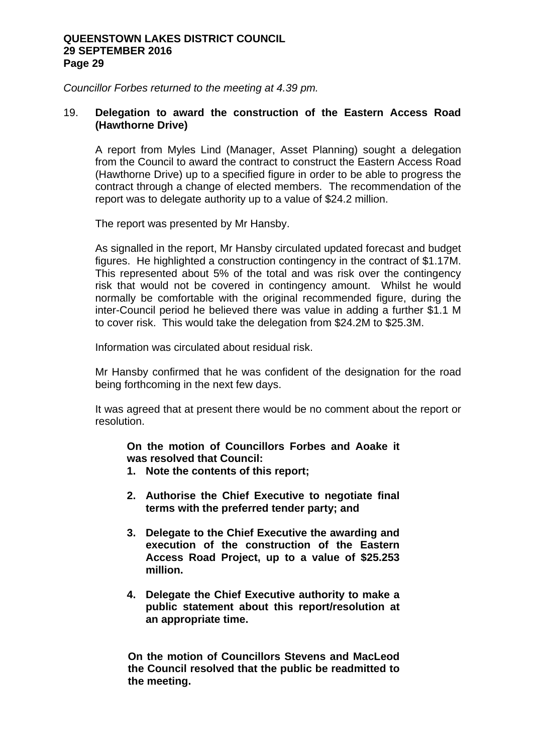*Councillor Forbes returned to the meeting at 4.39 pm.* 

## 19. **Delegation to award the construction of the Eastern Access Road (Hawthorne Drive)**

A report from Myles Lind (Manager, Asset Planning) sought a delegation from the Council to award the contract to construct the Eastern Access Road (Hawthorne Drive) up to a specified figure in order to be able to progress the contract through a change of elected members. The recommendation of the report was to delegate authority up to a value of \$24.2 million.

The report was presented by Mr Hansby.

As signalled in the report, Mr Hansby circulated updated forecast and budget figures. He highlighted a construction contingency in the contract of \$1.17M. This represented about 5% of the total and was risk over the contingency risk that would not be covered in contingency amount. Whilst he would normally be comfortable with the original recommended figure, during the inter-Council period he believed there was value in adding a further \$1.1 M to cover risk. This would take the delegation from \$24.2M to \$25.3M.

Information was circulated about residual risk.

Mr Hansby confirmed that he was confident of the designation for the road being forthcoming in the next few days.

It was agreed that at present there would be no comment about the report or resolution.

**On the motion of Councillors Forbes and Aoake it was resolved that Council:** 

- **1. Note the contents of this report;**
- **2. Authorise the Chief Executive to negotiate final terms with the preferred tender party; and**
- **3. Delegate to the Chief Executive the awarding and execution of the construction of the Eastern Access Road Project, up to a value of \$25.253 million.**
- **4. Delegate the Chief Executive authority to make a public statement about this report/resolution at an appropriate time.**

**On the motion of Councillors Stevens and MacLeod the Council resolved that the public be readmitted to the meeting.**